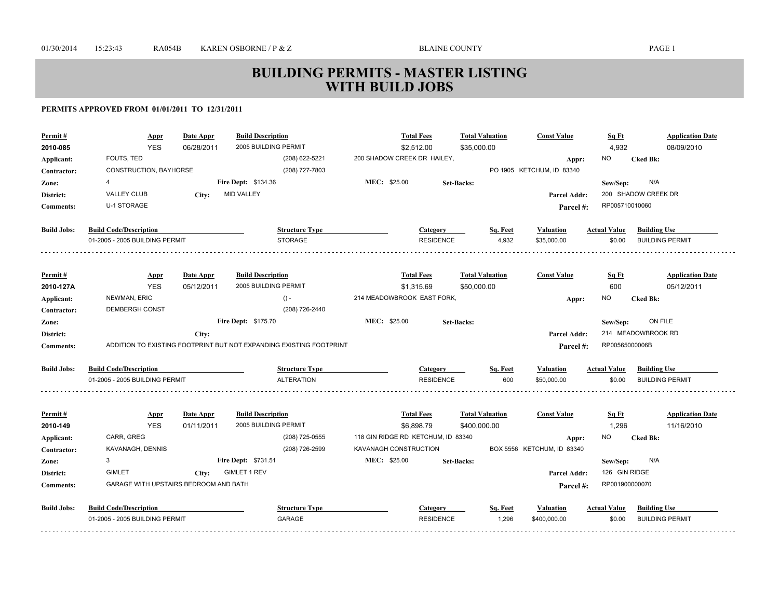| Permit#            | <u>Appr</u>                           | Date Appr  | <b>Build Description</b>                                            | <b>Total Fees</b>                  | <b>Total Valuation</b> | <b>Const Value</b>         | Sq Ft               | <b>Application Date</b> |
|--------------------|---------------------------------------|------------|---------------------------------------------------------------------|------------------------------------|------------------------|----------------------------|---------------------|-------------------------|
| 2010-085           | <b>YES</b>                            | 06/28/2011 | 2005 BUILDING PERMIT                                                | \$2,512.00                         | \$35,000.00            |                            | 4,932               | 08/09/2010              |
| Applicant:         | FOUTS, TED                            |            | (208) 622-5221                                                      | 200 SHADOW CREEK DR HAILEY,        |                        | Appr:                      | <b>NO</b>           | <b>Cked Bk:</b>         |
| Contractor:        | CONSTRUCTION, BAYHORSE                |            | (208) 727-7803                                                      |                                    |                        | PO 1905 KETCHUM, ID 83340  |                     |                         |
| Zone:              | $\overline{\mathbf{4}}$               |            | Fire Dept: \$134.36                                                 | MEC: \$25.00                       | <b>Set-Backs:</b>      |                            | Sew/Sep:            | N/A                     |
| District:          | <b>VALLEY CLUB</b>                    | City:      | <b>MID VALLEY</b>                                                   |                                    |                        | Parcel Addr:               |                     | 200 SHADOW CREEK DR     |
| <b>Comments:</b>   | <b>U-1 STORAGE</b>                    |            |                                                                     |                                    |                        | Parcel #:                  | RP005710010060      |                         |
|                    |                                       |            |                                                                     |                                    |                        |                            |                     |                         |
| <b>Build Jobs:</b> | <b>Build Code/Description</b>         |            | <b>Structure Type</b>                                               | <b>Category</b>                    | Sq. Feet               | <b>Valuation</b>           | <b>Actual Value</b> | <b>Building Use</b>     |
|                    | 01-2005 - 2005 BUILDING PERMIT        |            | <b>STORAGE</b>                                                      | <b>RESIDENCE</b>                   | 4,932                  | \$35,000.00                | \$0.00              | <b>BUILDING PERMIT</b>  |
|                    |                                       |            |                                                                     |                                    |                        |                            |                     |                         |
| Permit#            | <b>Appr</b>                           | Date Appr  | <b>Build Description</b>                                            | <b>Total Fees</b>                  | <b>Total Valuation</b> | <b>Const Value</b>         | Sq Ft               | <b>Application Date</b> |
| 2010-127A          | <b>YES</b>                            | 05/12/2011 | 2005 BUILDING PERMIT                                                | \$1,315.69                         | \$50,000.00            |                            | 600                 | 05/12/2011              |
| Applicant:         | NEWMAN, ERIC                          |            | $() -$                                                              | 214 MEADOWBROOK EAST FORK,         |                        | Appr:                      | NO.                 | <b>Cked Bk:</b>         |
| Contractor:        | <b>DEMBERGH CONST</b>                 |            | (208) 726-2440                                                      |                                    |                        |                            |                     |                         |
| Zone:              |                                       |            | <b>Fire Dept: \$175.70</b>                                          | MEC: \$25.00                       | <b>Set-Backs:</b>      |                            | Sew/Sep:            | ON FILE                 |
| District:          |                                       | City:      |                                                                     |                                    |                        | <b>Parcel Addr:</b>        |                     | 214 MEADOWBROOK RD      |
| <b>Comments:</b>   |                                       |            | ADDITION TO EXISTING FOOTPRINT BUT NOT EXPANDING EXISTING FOOTPRINT |                                    |                        | Parcel #:                  | RP00565000006B      |                         |
| <b>Build Jobs:</b> | <b>Build Code/Description</b>         |            | <b>Structure Type</b>                                               | Category                           | Sq. Feet               | <b>Valuation</b>           | <b>Actual Value</b> | <b>Building Use</b>     |
|                    | 01-2005 - 2005 BUILDING PERMIT        |            | <b>ALTERATION</b>                                                   | <b>RESIDENCE</b>                   | 600                    | \$50,000.00                | \$0.00              | <b>BUILDING PERMIT</b>  |
|                    |                                       |            |                                                                     |                                    |                        |                            |                     |                         |
| Permit#            | Appr                                  | Date Appr  | <b>Build Description</b>                                            | <b>Total Fees</b>                  | <b>Total Valuation</b> | <b>Const Value</b>         | Sq Ft               | <b>Application Date</b> |
| 2010-149           | <b>YES</b>                            | 01/11/2011 | 2005 BUILDING PERMIT                                                | \$6,898.79                         | \$400,000.00           |                            | 1.296               | 11/16/2010              |
| Applicant:         | CARR, GREG                            |            | (208) 725-0555                                                      | 118 GIN RIDGE RD KETCHUM, ID 83340 |                        | Appr:                      | NO.                 | <b>Cked Bk:</b>         |
| Contractor:        | KAVANAGH, DENNIS                      |            | (208) 726-2599                                                      | KAVANAGH CONSTRUCTION              |                        | BOX 5556 KETCHUM, ID 83340 |                     |                         |
| Zone:              | 3                                     |            | Fire Dept: \$731.51                                                 | MEC: \$25.00                       | <b>Set-Backs:</b>      |                            | Sew/Sep:            | N/A                     |
| District:          | <b>GIMLET</b>                         | City:      | <b>GIMLET 1 REV</b>                                                 |                                    |                        | <b>Parcel Addr:</b>        | 126 GIN RIDGE       |                         |
| <b>Comments:</b>   | GARAGE WITH UPSTAIRS BEDROOM AND BATH |            |                                                                     |                                    |                        | Parcel#:                   | RP001900000070      |                         |
| <b>Build Jobs:</b> | <b>Build Code/Description</b>         |            | <b>Structure Type</b>                                               | Category                           | Sq. Feet               | <b>Valuation</b>           | <b>Actual Value</b> | <b>Building Use</b>     |
|                    | 01-2005 - 2005 BUILDING PERMIT        |            | GARAGE                                                              | <b>RESIDENCE</b>                   | 1,296                  | \$400,000.00               | \$0.00              | <b>BUILDING PERMIT</b>  |
|                    |                                       |            |                                                                     |                                    |                        |                            |                     |                         |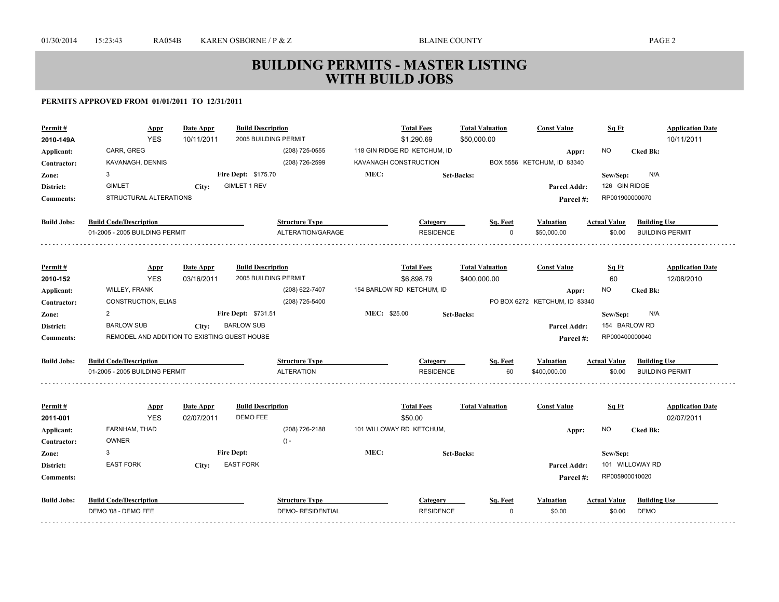| Permit#            | <b>Appr</b>                                  | Date Appr  | <b>Build Description</b>   |                          |              | <b>Total Fees</b>            | <b>Total Valuation</b> |          | <b>Const Value</b>            | Sq Ft               | <b>Application Date</b> |
|--------------------|----------------------------------------------|------------|----------------------------|--------------------------|--------------|------------------------------|------------------------|----------|-------------------------------|---------------------|-------------------------|
| 2010-149A          | <b>YES</b>                                   | 10/11/2011 | 2005 BUILDING PERMIT       |                          |              | \$1,290.69                   | \$50,000.00            |          |                               |                     | 10/11/2011              |
| Applicant:         | CARR, GREG                                   |            |                            | (208) 725-0555           |              | 118 GIN RIDGE RD KETCHUM, ID |                        |          | Appr:                         | NO.                 | <b>Cked Bk:</b>         |
| Contractor:        | KAVANAGH, DENNIS                             |            |                            | (208) 726-2599           |              | KAVANAGH CONSTRUCTION        |                        |          | BOX 5556 KETCHUM, ID 83340    |                     |                         |
| Zone:              | 3                                            |            | <b>Fire Dept: \$175.70</b> |                          | MEC:         |                              | <b>Set-Backs:</b>      |          |                               | Sew/Sep:            | N/A                     |
| District:          | <b>GIMLET</b>                                | City:      | <b>GIMLET 1 REV</b>        |                          |              |                              |                        |          | Parcel Addr:                  | 126 GIN RIDGE       |                         |
| <b>Comments:</b>   | STRUCTURAL ALTERATIONS                       |            |                            |                          |              |                              |                        |          | Parcel#:                      | RP001900000070      |                         |
| <b>Build Jobs:</b> | <b>Build Code/Description</b>                |            |                            | <b>Structure Type</b>    |              | Category                     |                        | Sq. Feet | Valuation                     | <b>Actual Value</b> | <b>Building Use</b>     |
|                    | 01-2005 - 2005 BUILDING PERMIT               |            |                            | ALTERATION/GARAGE        |              | <b>RESIDENCE</b>             |                        | $\Omega$ | \$50,000.00                   | \$0.00              | <b>BUILDING PERMIT</b>  |
|                    |                                              |            |                            |                          |              |                              |                        |          |                               |                     |                         |
| Permit#            | <u>Appr</u>                                  | Date Appr  | <b>Build Description</b>   |                          |              | <b>Total Fees</b>            | <b>Total Valuation</b> |          | <b>Const Value</b>            | Sq Ft               | <b>Application Date</b> |
| 2010-152           | <b>YES</b>                                   | 03/16/2011 | 2005 BUILDING PERMIT       |                          |              | \$6.898.79                   | \$400,000.00           |          |                               | 60                  | 12/08/2010              |
| Applicant:         | <b>WILLEY, FRANK</b>                         |            |                            | (208) 622-7407           |              | 154 BARLOW RD KETCHUM, ID    |                        |          | Appr:                         | NO.                 | <b>Cked Bk:</b>         |
| Contractor:        | CONSTRUCTION, ELIAS                          |            |                            | (208) 725-5400           |              |                              |                        |          | PO BOX 6272 KETCHUM, ID 83340 |                     |                         |
| Zone:              | 2                                            |            | <b>Fire Dept: \$731.51</b> |                          | MEC: \$25.00 |                              | <b>Set-Backs:</b>      |          |                               | Sew/Sep:            | N/A                     |
| District:          | <b>BARLOW SUB</b>                            | City:      | <b>BARLOW SUB</b>          |                          |              |                              |                        |          | <b>Parcel Addr:</b>           | 154 BARLOW RD       |                         |
| <b>Comments:</b>   | REMODEL AND ADDITION TO EXISTING GUEST HOUSE |            |                            |                          |              |                              |                        |          | Parcel#:                      | RP000400000040      |                         |
| <b>Build Jobs:</b> | <b>Build Code/Description</b>                |            |                            | <b>Structure Type</b>    |              | Category                     |                        | Sq. Feet | Valuation                     | <b>Actual Value</b> | <b>Building Use</b>     |
|                    | 01-2005 - 2005 BUILDING PERMIT               |            |                            | <b>ALTERATION</b>        |              | <b>RESIDENCE</b>             |                        | 60       | \$400,000.00                  | \$0.00              | <b>BUILDING PERMIT</b>  |
|                    |                                              |            |                            |                          |              |                              |                        |          |                               |                     |                         |
| Permit#            | <b>Appr</b>                                  | Date Appr  | <b>Build Description</b>   |                          |              | <b>Total Fees</b>            | <b>Total Valuation</b> |          | <b>Const Value</b>            | Sq Ft               | <b>Application Date</b> |
| 2011-001           | <b>YES</b>                                   | 02/07/2011 | DEMO FEE                   |                          |              | \$50.00                      |                        |          |                               |                     | 02/07/2011              |
| Applicant:         | FARNHAM, THAD                                |            |                            | (208) 726-2188           |              | 101 WILLOWAY RD KETCHUM,     |                        |          | Appr:                         | NO.                 | <b>Cked Bk:</b>         |
| Contractor:        | <b>OWNER</b>                                 |            |                            | $() -$                   |              |                              |                        |          |                               |                     |                         |
| Zone:              | 3                                            |            | <b>Fire Dept:</b>          |                          | MEC:         |                              | <b>Set-Backs:</b>      |          |                               | Sew/Sep:            |                         |
| District:          | <b>EAST FORK</b>                             | City:      | <b>EAST FORK</b>           |                          |              |                              |                        |          | <b>Parcel Addr:</b>           |                     | 101 WILLOWAY RD         |
| <b>Comments:</b>   |                                              |            |                            |                          |              |                              |                        |          | Parcel#:                      | RP005900010020      |                         |
| <b>Build Jobs:</b> | <b>Build Code/Description</b>                |            |                            | <b>Structure Type</b>    |              | Category                     |                        | Sq. Feet | Valuation                     | <b>Actual Value</b> | <b>Building Use</b>     |
|                    | DEMO '08 - DEMO FEE                          |            |                            | <b>DEMO- RESIDENTIAL</b> |              | <b>RESIDENCE</b>             |                        | $\Omega$ | \$0.00                        | \$0.00              | DEMO                    |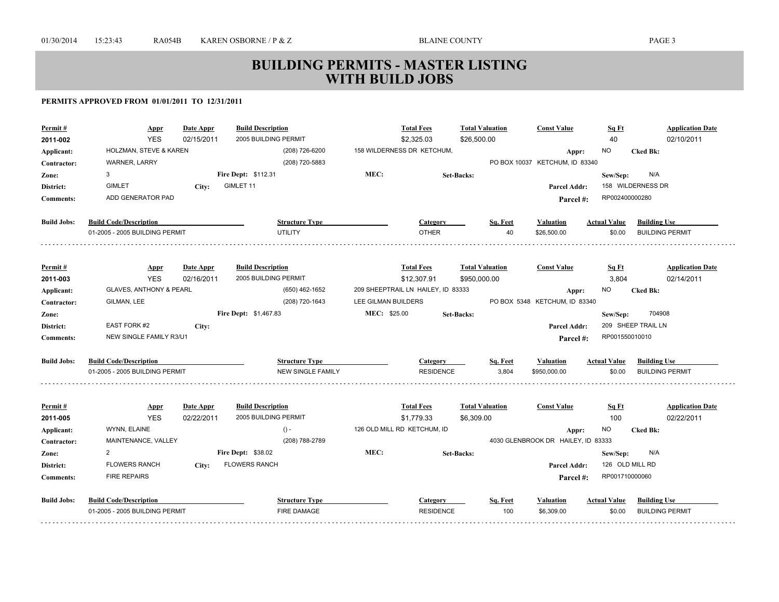| Permit#<br>2011-002           | <b>Appr</b><br><b>YES</b>          | <b>Date Appr</b><br>02/15/2011 | <b>Build Description</b><br>2005 BUILDING PERMIT |                     | <b>Total Fees</b><br>\$2,325.03    | <b>Total Valuation</b><br>\$26,500.00 | <b>Const Value</b>                      | Sq Ft<br>40         | <b>Application Date</b><br>02/10/2011 |
|-------------------------------|------------------------------------|--------------------------------|--------------------------------------------------|---------------------|------------------------------------|---------------------------------------|-----------------------------------------|---------------------|---------------------------------------|
| Applicant:                    | HOLZMAN, STEVE & KAREN             |                                | (208) 726-6200                                   |                     | 158 WILDERNESS DR KETCHUM,         |                                       |                                         | <b>NO</b>           | <b>Cked Bk:</b>                       |
| Contractor:                   | WARNER, LARRY                      |                                | (208) 720-5883                                   |                     |                                    |                                       | Appr:<br>PO BOX 10037 KETCHUM, ID 83340 |                     |                                       |
|                               | 3                                  |                                | Fire Dept: \$112.31                              | MEC:                |                                    |                                       |                                         | Sew/Sep:            | N/A                                   |
| Zone:                         | <b>GIMLET</b>                      |                                | GIMLET 11                                        |                     |                                    | <b>Set-Backs:</b>                     |                                         |                     | 158 WILDERNESS DR                     |
| District:<br><b>Comments:</b> | ADD GENERATOR PAD                  | City:                          |                                                  |                     |                                    |                                       | Parcel Addr:                            | RP002400000280      |                                       |
|                               |                                    |                                |                                                  |                     |                                    |                                       | Parcel#:                                |                     |                                       |
| <b>Build Jobs:</b>            | <b>Build Code/Description</b>      |                                | <b>Structure Type</b>                            |                     | Category                           | Sq. Feet                              | <b>Valuation</b>                        | <b>Actual Value</b> | <b>Building Use</b>                   |
|                               | 01-2005 - 2005 BUILDING PERMIT     |                                | <b>UTILITY</b>                                   |                     | <b>OTHER</b>                       | 40                                    | \$26,500.00                             | \$0.00              | <b>BUILDING PERMIT</b>                |
|                               |                                    |                                |                                                  |                     |                                    |                                       |                                         |                     |                                       |
| Permit#                       | <b>Appr</b>                        | Date Appr                      | <b>Build Description</b>                         |                     | <b>Total Fees</b>                  | <b>Total Valuation</b>                | <b>Const Value</b>                      | Sq Ft               | <b>Application Date</b>               |
| 2011-003                      | <b>YES</b>                         | 02/16/2011                     | 2005 BUILDING PERMIT                             |                     | \$12,307.91                        | \$950,000.00                          |                                         | 3,804               | 02/14/2011                            |
| Applicant:                    | <b>GLAVES, ANTHONY &amp; PEARL</b> |                                | (650) 462-1652                                   |                     | 209 SHEEPTRAIL LN HAILEY, ID 83333 |                                       | Appr:                                   | NO.                 | <b>Cked Bk:</b>                       |
| Contractor:                   | GILMAN, LEE                        |                                | (208) 720-1643                                   | LEE GILMAN BUILDERS |                                    |                                       | PO BOX 5348 KETCHUM, ID 83340           |                     |                                       |
| Zone:                         |                                    |                                | Fire Dept: \$1,467.83                            | MEC: \$25.00        |                                    | Set-Backs:                            |                                         | Sew/Sep:            | 704908                                |
| District:                     | EAST FORK #2                       | City:                          |                                                  |                     |                                    |                                       | <b>Parcel Addr:</b>                     |                     | 209 SHEEP TRAIL LN                    |
| <b>Comments:</b>              | NEW SINGLE FAMILY R3/U1            |                                |                                                  |                     |                                    |                                       | Parcel#:                                | RP001550010010      |                                       |
| <b>Build Jobs:</b>            | <b>Build Code/Description</b>      |                                | <b>Structure Type</b>                            |                     | Category                           | Sq. Feet                              | <b>Valuation</b>                        | <b>Actual Value</b> | <b>Building Use</b>                   |
|                               | 01-2005 - 2005 BUILDING PERMIT     |                                | <b>NEW SINGLE FAMILY</b>                         |                     | <b>RESIDENCE</b>                   | 3,804                                 | \$950,000.00                            | \$0.00              | <b>BUILDING PERMIT</b>                |
|                               |                                    |                                |                                                  |                     |                                    |                                       |                                         |                     |                                       |
| Permit#                       | <b>Appr</b>                        | Date Appr                      | <b>Build Description</b>                         |                     | <b>Total Fees</b>                  | <b>Total Valuation</b>                | <b>Const Value</b>                      | Sq Ft               | <b>Application Date</b>               |
| 2011-005                      | <b>YES</b>                         | 02/22/2011                     | 2005 BUILDING PERMIT                             |                     | \$1,779.33                         | \$6,309.00                            |                                         | 100                 | 02/22/2011                            |
| Applicant:                    | WYNN, ELAINE                       |                                | $() -$                                           |                     | 126 OLD MILL RD KETCHUM, ID        |                                       | Appr:                                   | <b>NO</b>           | <b>Cked Bk:</b>                       |
| Contractor:                   | MAINTENANCE, VALLEY                |                                | (208) 788-2789                                   |                     |                                    |                                       | 4030 GLENBROOK DR HAILEY, ID 83333      |                     |                                       |
| Zone:                         | 2                                  |                                | <b>Fire Dept: \$38.02</b>                        | MEC:                |                                    | <b>Set-Backs:</b>                     |                                         | Sew/Sep:            | N/A                                   |
| District:                     | <b>FLOWERS RANCH</b>               | City:                          | <b>FLOWERS RANCH</b>                             |                     |                                    |                                       | <b>Parcel Addr:</b>                     |                     | 126 OLD MILL RD                       |
| <b>Comments:</b>              | <b>FIRE REPAIRS</b>                |                                |                                                  |                     |                                    |                                       | Parcel#:                                | RP001710000060      |                                       |
| <b>Build Jobs:</b>            | <b>Build Code/Description</b>      |                                | <b>Structure Type</b>                            |                     | Category                           | Sq. Feet                              | <b>Valuation</b>                        | <b>Actual Value</b> | <b>Building Use</b>                   |
|                               | 01-2005 - 2005 BUILDING PERMIT     |                                | <b>FIRE DAMAGE</b>                               |                     | <b>RESIDENCE</b>                   | 100                                   | \$6,309.00                              | \$0.00              | <b>BUILDING PERMIT</b>                |
|                               |                                    |                                |                                                  |                     |                                    |                                       |                                         |                     |                                       |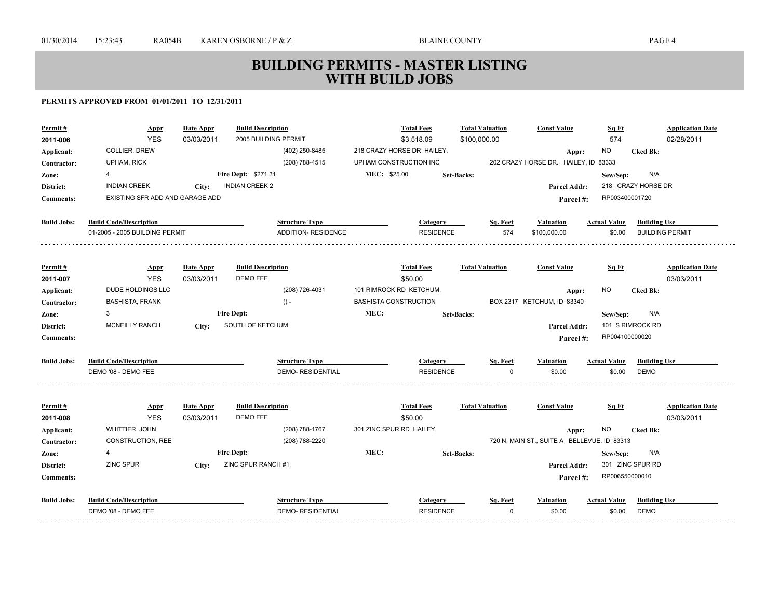| Permit#            | <b>Appr</b>                     | Date Appr  | <b>Build Description</b>             |                            |                              | <b>Total Fees</b>          | <b>Total Valuation</b> |          | <b>Const Value</b>                          | Sq Ft               |                        | <b>Application Date</b> |
|--------------------|---------------------------------|------------|--------------------------------------|----------------------------|------------------------------|----------------------------|------------------------|----------|---------------------------------------------|---------------------|------------------------|-------------------------|
| 2011-006           | <b>YES</b>                      | 03/03/2011 | 2005 BUILDING PERMIT                 |                            |                              | \$3,518.09                 | \$100,000.00           |          |                                             | 574                 |                        | 02/28/2011              |
| Applicant:         | COLLIER, DREW                   |            |                                      | (402) 250-8485             |                              | 218 CRAZY HORSE DR HAILEY, |                        |          | Appr:                                       | NO.                 | <b>Cked Bk:</b>        |                         |
| Contractor:        | <b>UPHAM, RICK</b>              |            |                                      | (208) 788-4515             | UPHAM CONSTRUCTION INC       |                            |                        |          | 202 CRAZY HORSE DR. HAILEY, ID 83333        |                     |                        |                         |
| Zone:              | 4                               |            | Fire Dept: \$271.31                  |                            | MEC: \$25.00                 |                            | <b>Set-Backs:</b>      |          |                                             | Sew/Sep:            | N/A                    |                         |
| District:          | <b>INDIAN CREEK</b>             | City:      | <b>INDIAN CREEK 2</b>                |                            |                              |                            |                        |          | <b>Parcel Addr:</b>                         |                     | 218 CRAZY HORSE DR     |                         |
| <b>Comments:</b>   | EXISTING SFR ADD AND GARAGE ADD |            |                                      |                            |                              |                            |                        |          | Parcel #:                                   | RP003400001720      |                        |                         |
| <b>Build Jobs:</b> | <b>Build Code/Description</b>   |            |                                      | <b>Structure Type</b>      |                              | Category                   |                        | Sq. Feet | <b>Valuation</b>                            | <b>Actual Value</b> | <b>Building Use</b>    |                         |
|                    | 01-2005 - 2005 BUILDING PERMIT  |            |                                      | <b>ADDITION- RESIDENCE</b> |                              | <b>RESIDENCE</b>           |                        | 574      | \$100,000.00                                | \$0.00              | <b>BUILDING PERMIT</b> |                         |
|                    |                                 |            |                                      |                            |                              |                            |                        |          |                                             |                     |                        |                         |
| Permit#            | <b>Appr</b><br><b>YES</b>       | Date Appr  | <b>Build Description</b><br>DEMO FEE |                            |                              | <b>Total Fees</b>          | <b>Total Valuation</b> |          | <b>Const Value</b>                          | Sq Ft               |                        | <b>Application Date</b> |
| 2011-007           | DUDE HOLDINGS LLC               | 03/03/2011 |                                      | (208) 726-4031             | 101 RIMROCK RD KETCHUM,      | \$50.00                    |                        |          |                                             | NO.                 |                        | 03/03/2011              |
| Applicant:         | <b>BASHISTA, FRANK</b>          |            |                                      |                            | <b>BASHISTA CONSTRUCTION</b> |                            |                        |          | Appr:<br>BOX 2317 KETCHUM, ID 83340         |                     | <b>Cked Bk:</b>        |                         |
| Contractor:        | 3                               |            | <b>Fire Dept:</b>                    | $() -$                     | MEC:                         |                            |                        |          |                                             |                     | N/A                    |                         |
| Zone:              |                                 |            | SOUTH OF KETCHUM                     |                            |                              |                            | <b>Set-Backs:</b>      |          |                                             | Sew/Sep:            | 101 S RIMROCK RD       |                         |
| District:          | <b>MCNEILLY RANCH</b>           | City:      |                                      |                            |                              |                            |                        |          | <b>Parcel Addr:</b>                         | RP004100000020      |                        |                         |
| <b>Comments:</b>   |                                 |            |                                      |                            |                              |                            |                        |          | Parcel#:                                    |                     |                        |                         |
| <b>Build Jobs:</b> | <b>Build Code/Description</b>   |            |                                      | <b>Structure Type</b>      |                              | Category                   |                        | Sq. Feet | <b>Valuation</b>                            | Actual Value        | <b>Building Use</b>    |                         |
|                    | DEMO '08 - DEMO FEE             |            |                                      | <b>DEMO- RESIDENTIAL</b>   |                              | <b>RESIDENCE</b>           |                        | $\Omega$ | \$0.00                                      | \$0.00              | <b>DEMO</b>            |                         |
| Permit#            | <b>Appr</b>                     | Date Appr  | <b>Build Description</b>             |                            |                              | <b>Total Fees</b>          | <b>Total Valuation</b> |          | <b>Const Value</b>                          | Sq Ft               |                        | <b>Application Date</b> |
| 2011-008           | <b>YES</b>                      | 03/03/2011 | <b>DEMO FEE</b>                      |                            |                              | \$50.00                    |                        |          |                                             |                     |                        | 03/03/2011              |
| Applicant:         | WHITTIER, JOHN                  |            |                                      | (208) 788-1767             | 301 ZINC SPUR RD HAILEY,     |                            |                        |          | Appr:                                       | NO                  | <b>Cked Bk:</b>        |                         |
| Contractor:        | CONSTRUCTION, REE               |            |                                      | (208) 788-2220             |                              |                            |                        |          | 720 N. MAIN ST., SUITE A BELLEVUE, ID 83313 |                     |                        |                         |
| Zone:              | 4                               |            | <b>Fire Dept:</b>                    |                            | MEC:                         |                            | Set-Backs:             |          |                                             | Sew/Sep:            | N/A                    |                         |
| District:          | ZINC SPUR                       | City:      | ZINC SPUR RANCH #1                   |                            |                              |                            |                        |          | Parcel Addr:                                |                     | 301 ZINC SPUR RD       |                         |
| <b>Comments:</b>   |                                 |            |                                      |                            |                              |                            |                        |          | Parcel #:                                   | RP006550000010      |                        |                         |
| <b>Build Jobs:</b> | <b>Build Code/Description</b>   |            |                                      | <b>Structure Type</b>      |                              | Category                   |                        | Sq. Feet | <b>Valuation</b>                            | <b>Actual Value</b> | <b>Building Use</b>    |                         |
|                    | DEMO '08 - DEMO FEE             |            |                                      | <b>DEMO- RESIDENTIAL</b>   |                              | <b>RESIDENCE</b>           |                        | $\Omega$ | \$0.00                                      | \$0.00              | DEMO                   |                         |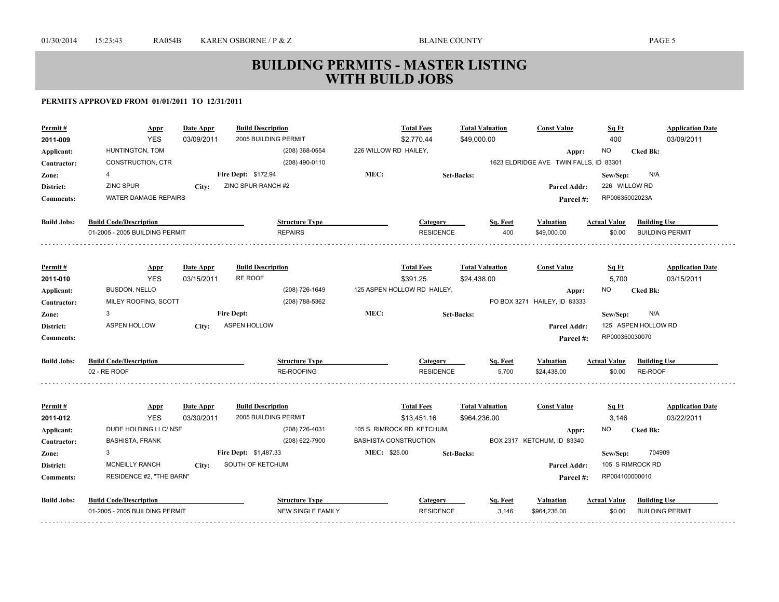| Permit#<br>2011-009 | <u>Appr</u><br><b>YES</b>      | <u>Date Appr</u><br>03/09/2011 | <b>Build Description</b><br>2005 BUILDING PERMIT |                                              | <b>Total Fees</b><br>\$2,770.44 | <b>Total Valuation</b><br>\$49,000.00 |          | <b>Const Value</b>                     | Sq Ft<br>400        | <b>Application Date</b><br>03/09/2011 |
|---------------------|--------------------------------|--------------------------------|--------------------------------------------------|----------------------------------------------|---------------------------------|---------------------------------------|----------|----------------------------------------|---------------------|---------------------------------------|
| Applicant:          | HUNTINGTON, TOM                |                                | (208) 368-0554                                   | 226 WILLOW RD HAILEY,                        |                                 |                                       |          | Appr:                                  | NO                  | <b>Cked Bk:</b>                       |
| Contractor:         | CONSTRUCTION, CTR              |                                | (208) 490-0110                                   |                                              |                                 |                                       |          | 1623 ELDRIDGE AVE TWIN FALLS, ID 83301 |                     |                                       |
| Zone:               | 4                              |                                | Fire Dept: \$172.94                              | MEC:                                         |                                 | <b>Set-Backs:</b>                     |          |                                        | Sew/Sep:            | N/A                                   |
| District:           | <b>ZINC SPUR</b>               | City:                          | ZINC SPUR RANCH #2                               |                                              |                                 |                                       |          | Parcel Addr:                           | 226 WILLOW RD       |                                       |
| <b>Comments:</b>    | <b>WATER DAMAGE REPAIRS</b>    |                                |                                                  |                                              |                                 |                                       |          | Parcel#:                               | RP00635002023A      |                                       |
|                     |                                |                                |                                                  |                                              |                                 |                                       |          |                                        |                     |                                       |
| <b>Build Jobs:</b>  | <b>Build Code/Description</b>  |                                | <b>Structure Type</b>                            |                                              | <b>Category</b>                 |                                       | Sq. Feet | <b>Valuation</b>                       | <b>Actual Value</b> | <b>Building Use</b>                   |
|                     | 01-2005 - 2005 BUILDING PERMIT |                                | <b>REPAIRS</b>                                   |                                              | <b>RESIDENCE</b>                |                                       | 400      | \$49,000.00                            | \$0.00              | <b>BUILDING PERMIT</b>                |
|                     |                                |                                |                                                  |                                              |                                 |                                       |          |                                        |                     |                                       |
| Permit#             | <b>Appr</b>                    | Date Appr                      | <b>Build Description</b>                         |                                              | <b>Total Fees</b>               | <b>Total Valuation</b>                |          | <b>Const Value</b>                     | <u>Sq Ft</u>        | <b>Application Date</b>               |
| 2011-010            | <b>YES</b>                     | 03/15/2011                     | RE ROOF                                          |                                              | \$391.25                        | \$24,438.00                           |          |                                        | 5,700               | 03/15/2011                            |
| Applicant:          | <b>BUSDON, NELLO</b>           |                                | (208) 726-1649                                   |                                              | 125 ASPEN HOLLOW RD HAILEY,     |                                       |          | Appr:                                  | ΝO                  | <b>Cked Bk:</b>                       |
| Contractor:         | MILEY ROOFING, SCOTT           |                                | (208) 788-5362                                   |                                              |                                 |                                       |          | PO BOX 3271 HAILEY, ID 83333           |                     |                                       |
| Zone:               | 3                              |                                | <b>Fire Dept:</b>                                | MEC:                                         |                                 | <b>Set-Backs:</b>                     |          |                                        | Sew/Sep:            | N/A                                   |
| District:           | <b>ASPEN HOLLOW</b>            | City:                          | <b>ASPEN HOLLOW</b>                              |                                              |                                 |                                       |          | Parcel Addr:                           |                     | 125 ASPEN HOLLOW RD                   |
| <b>Comments:</b>    |                                |                                |                                                  |                                              |                                 |                                       |          | Parcel #:                              | RP000350030070      |                                       |
| <b>Build Jobs:</b>  | <b>Build Code/Description</b>  |                                | <b>Structure Type</b>                            |                                              | Category                        |                                       | Sq. Feet | <b>Valuation</b>                       | <b>Actual Value</b> | <b>Building Use</b>                   |
|                     | 02 - RE ROOF                   |                                | <b>RE-ROOFING</b>                                |                                              | <b>RESIDENCE</b>                |                                       | 5.700    | \$24,438.00                            | \$0.00              | <b>RE-ROOF</b>                        |
|                     |                                |                                |                                                  |                                              |                                 |                                       |          |                                        |                     |                                       |
| Permit#             | <b>Appr</b>                    | Date Appr                      | <b>Build Description</b>                         |                                              | <b>Total Fees</b>               | <b>Total Valuation</b>                |          | <b>Const Value</b>                     | Sq Ft               | <b>Application Date</b>               |
| 2011-012            | <b>YES</b>                     | 03/30/2011                     | 2005 BUILDING PERMIT                             |                                              | \$13,451.16                     | \$964,236.00                          |          |                                        | 3,146               | 03/22/2011                            |
| Applicant:          | DUDE HOLDING LLC/ NSF          |                                | (208) 726-4031                                   |                                              | 105 S. RIMROCK RD KETCHUM,      |                                       |          | Appr:                                  | ΝO                  | <b>Cked Bk:</b>                       |
| Contractor:         | <b>BASHISTA, FRANK</b><br>3    |                                | (208) 622-7900<br>Fire Dept: \$1,487.33          | <b>BASHISTA CONSTRUCTION</b><br>MEC: \$25.00 |                                 |                                       |          | BOX 2317 KETCHUM, ID 83340             |                     | 704909                                |
| Zone:               | <b>MCNEILLY RANCH</b>          |                                | SOUTH OF KETCHUM                                 |                                              |                                 | <b>Set-Backs:</b>                     |          |                                        | Sew/Sep:            | 105 S RIMROCK RD                      |
| District:           | RESIDENCE #2, "THE BARN"       | City:                          |                                                  |                                              |                                 |                                       |          | <b>Parcel Addr:</b>                    | RP004100000010      |                                       |
| <b>Comments:</b>    |                                |                                |                                                  |                                              |                                 |                                       |          | Parcel #:                              |                     |                                       |
| <b>Build Jobs:</b>  | <b>Build Code/Description</b>  |                                | <b>Structure Type</b>                            |                                              | Category                        |                                       | Sq. Feet | <b>Valuation</b>                       | <b>Actual Value</b> | <b>Building Use</b>                   |
|                     | 01-2005 - 2005 BUILDING PERMIT |                                | <b>NEW SINGLE FAMILY</b>                         |                                              | <b>RESIDENCE</b>                |                                       | 3,146    | \$964,236.00                           | \$0.00              | <b>BUILDING PERMIT</b>                |
|                     |                                |                                |                                                  |                                              |                                 |                                       |          |                                        |                     |                                       |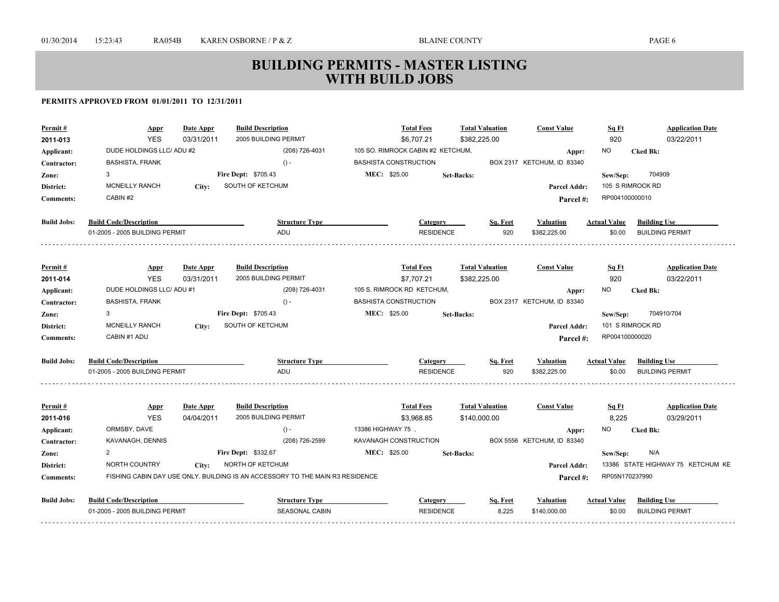| Permit#<br>2011-013 | Appr<br><b>YES</b>             | Date Appr<br>03/31/2011 | <b>Build Description</b><br>2005 BUILDING PERMIT                              | <b>Total Fees</b><br>\$6,707.21   | \$382,225.00      | <b>Total Valuation</b> | <b>Const Value</b>         | Sq Ft<br>920        | <b>Application Date</b><br>03/22/2011 |
|---------------------|--------------------------------|-------------------------|-------------------------------------------------------------------------------|-----------------------------------|-------------------|------------------------|----------------------------|---------------------|---------------------------------------|
| Applicant:          | DUDE HOLDINGS LLC/ ADU #2      |                         | (208) 726-4031                                                                | 105 SO. RIMROCK CABIN #2 KETCHUM, |                   |                        | Appr:                      | NO.                 | <b>Cked Bk:</b>                       |
| Contractor:         | <b>BASHISTA, FRANK</b>         |                         | $() -$                                                                        | <b>BASHISTA CONSTRUCTION</b>      |                   |                        | BOX 2317 KETCHUM, ID 83340 |                     |                                       |
| Zone:               | 3                              |                         | Fire Dept: \$705.43                                                           | MEC: \$25.00                      | <b>Set-Backs:</b> |                        |                            | Sew/Sep:            | 704909                                |
| District:           | <b>MCNEILLY RANCH</b>          | City:                   | SOUTH OF KETCHUM                                                              |                                   |                   |                        | Parcel Addr:               |                     | 105 S RIMROCK RD                      |
| <b>Comments:</b>    | CABIN #2                       |                         |                                                                               |                                   |                   |                        | Parcel #:                  | RP004100000010      |                                       |
| <b>Build Jobs:</b>  | <b>Build Code/Description</b>  |                         | <b>Structure Type</b>                                                         | <b>Category</b>                   |                   | Sq. Feet               | Valuation                  | <b>Actual Value</b> | <b>Building Use</b>                   |
|                     | 01-2005 - 2005 BUILDING PERMIT |                         | ADU                                                                           | <b>RESIDENCE</b>                  |                   | 920                    | \$382,225.00               | \$0.00              | <b>BUILDING PERMIT</b>                |
| Permit#             | <b>Appr</b>                    | Date Appr               | <b>Build Description</b>                                                      | <b>Total Fees</b>                 |                   | <b>Total Valuation</b> | <b>Const Value</b>         | <b>Sq Ft</b>        | <b>Application Date</b>               |
| 2011-014            | <b>YES</b>                     | 03/31/2011              | 2005 BUILDING PERMIT                                                          | \$7,707.21                        | \$382,225.00      |                        |                            | 920                 | 03/22/2011                            |
| Applicant:          | DUDE HOLDINGS LLC/ ADU #1      |                         | (208) 726-4031                                                                | 105 S. RIMROCK RD KETCHUM,        |                   |                        | Appr:                      | NO.                 | <b>Cked Bk:</b>                       |
| Contractor:         | <b>BASHISTA, FRANK</b>         |                         | $() -$                                                                        | <b>BASHISTA CONSTRUCTION</b>      |                   |                        | BOX 2317 KETCHUM, ID 83340 |                     |                                       |
| Zone:               | 3                              |                         | <b>Fire Dept: \$705.43</b>                                                    | MEC: \$25.00                      | <b>Set-Backs:</b> |                        |                            | Sew/Sep:            | 704910/704                            |
| District:           | <b>MCNEILLY RANCH</b>          | City:                   | SOUTH OF KETCHUM                                                              |                                   |                   |                        | Parcel Addr:               |                     | 101 S RIMROCK RD                      |
| <b>Comments:</b>    | CABIN #1 ADU                   |                         |                                                                               |                                   |                   |                        | Parcel #:                  | RP004100000020      |                                       |
| <b>Build Jobs:</b>  | <b>Build Code/Description</b>  |                         | <b>Structure Type</b>                                                         | <b>Category</b>                   |                   | Sq. Feet               | Valuation                  | <b>Actual Value</b> | <b>Building Use</b>                   |
|                     | 01-2005 - 2005 BUILDING PERMIT |                         | ADU                                                                           | <b>RESIDENCE</b>                  |                   | 920                    | \$382.225.00               | \$0.00              | <b>BUILDING PERMIT</b>                |
| Permit#             | <b>Appr</b>                    | Date Appr               | <b>Build Description</b>                                                      | <b>Total Fees</b>                 |                   | <b>Total Valuation</b> | <b>Const Value</b>         | Sq Ft               | <b>Application Date</b>               |
| 2011-016            | <b>YES</b>                     | 04/04/2011              | 2005 BUILDING PERMIT                                                          | \$3,968.85                        | \$140,000.00      |                        |                            | 8,225               | 03/29/2011                            |
| Applicant:          | ORMSBY, DAVE                   |                         | $() -$                                                                        | 13386 HIGHWAY 75,                 |                   |                        | Appr:                      | NO.                 | <b>Cked Bk:</b>                       |
| Contractor:         | KAVANAGH, DENNIS               |                         | (208) 726-2599                                                                | KAVANAGH CONSTRUCTION             |                   |                        | BOX 5556 KETCHUM, ID 83340 |                     |                                       |
| Zone:               | $\overline{2}$                 |                         | Fire Dept: \$332.67                                                           | MEC: \$25.00                      | <b>Set-Backs:</b> |                        |                            | Sew/Sep:            | N/A                                   |
| District:           | NORTH COUNTRY                  | City:                   | NORTH OF KETCHUM                                                              |                                   |                   |                        | Parcel Addr:               |                     | 13386 STATE HIGHWAY 75 KETCHUM KE     |
| <b>Comments:</b>    |                                |                         | FISHING CABIN DAY USE ONLY. BUILDING IS AN ACCESSORY TO THE MAIN R3 RESIDENCE |                                   |                   |                        | Parcel#:                   | RP05N170237990      |                                       |
| <b>Build Jobs:</b>  | <b>Build Code/Description</b>  |                         | <b>Structure Type</b>                                                         | <b>Category</b>                   |                   | Sq. Feet               | Valuation                  | <b>Actual Value</b> | <b>Building Use</b>                   |
|                     | 01-2005 - 2005 BUILDING PERMIT |                         | SEASONAL CABIN                                                                | <b>RESIDENCE</b>                  |                   | 8,225                  | \$140,000.00               | \$0.00              | <b>BUILDING PERMIT</b>                |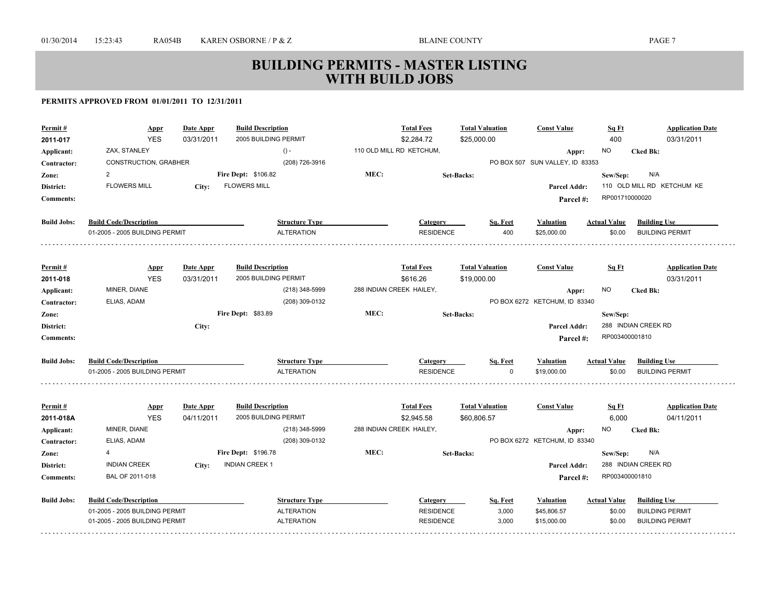| Permit#                   | <b>Appr</b><br><b>YES</b>      | Date Appr<br>03/31/2011 | <b>Build Description</b><br>2005 BUILDING PERMIT |                          | <b>Total Fees</b><br>\$2,284.72 | <b>Total Valuation</b><br>\$25,000.00 | <b>Const Value</b>                       | Sq Ft<br>400        | <b>Application Date</b><br>03/31/2011 |
|---------------------------|--------------------------------|-------------------------|--------------------------------------------------|--------------------------|---------------------------------|---------------------------------------|------------------------------------------|---------------------|---------------------------------------|
| 2011-017                  | ZAX, STANLEY                   |                         | $() -$                                           |                          | 110 OLD MILL RD KETCHUM,        |                                       |                                          | NO                  | <b>Cked Bk:</b>                       |
| Applicant:<br>Contractor: | CONSTRUCTION, GRABHER          |                         | (208) 726-3916                                   |                          |                                 |                                       | Appr:<br>PO BOX 507 SUN VALLEY, ID 83353 |                     |                                       |
| Zone:                     | 2                              |                         | <b>Fire Dept: \$106.82</b>                       | MEC:                     |                                 | <b>Set-Backs:</b>                     |                                          | Sew/Sep:            | N/A                                   |
| District:                 | <b>FLOWERS MILL</b>            | City:                   | <b>FLOWERS MILL</b>                              |                          |                                 |                                       | Parcel Addr:                             |                     | 110 OLD MILL RD KETCHUM KE            |
| <b>Comments:</b>          |                                |                         |                                                  |                          |                                 |                                       | Parcel #:                                | RP001710000020      |                                       |
|                           |                                |                         |                                                  |                          |                                 |                                       |                                          |                     |                                       |
| <b>Build Jobs:</b>        | <b>Build Code/Description</b>  |                         | <b>Structure Type</b>                            |                          | Category                        | Sq. Feet                              | <b>Valuation</b>                         | <b>Actual Value</b> | <b>Building Use</b>                   |
|                           | 01-2005 - 2005 BUILDING PERMIT |                         | <b>ALTERATION</b>                                |                          | <b>RESIDENCE</b>                | 400                                   | \$25,000.00                              | \$0.00              | <b>BUILDING PERMIT</b>                |
|                           |                                |                         |                                                  |                          |                                 |                                       |                                          |                     |                                       |
| Permit#                   | <b>Appr</b>                    | Date Appr               | <b>Build Description</b>                         |                          | <b>Total Fees</b>               | <b>Total Valuation</b>                | <b>Const Value</b>                       | Sq Ft               | <b>Application Date</b>               |
| 2011-018                  | <b>YES</b>                     | 03/31/2011              | 2005 BUILDING PERMIT                             |                          | \$616.26                        | \$19,000.00                           |                                          |                     | 03/31/2011                            |
| Applicant:                | MINER, DIANE                   |                         | (218) 348-5999                                   | 288 INDIAN CREEK HAILEY, |                                 |                                       | Appr:                                    | <b>NO</b>           | <b>Cked Bk:</b>                       |
| Contractor:               | ELIAS, ADAM                    |                         | (208) 309-0132                                   |                          |                                 |                                       | PO BOX 6272 KETCHUM, ID 83340            |                     |                                       |
| Zone:                     |                                |                         | Fire Dept: \$83.89                               | MEC:                     |                                 | <b>Set-Backs:</b>                     |                                          | Sew/Sep:            |                                       |
| District:                 |                                | City:                   |                                                  |                          |                                 |                                       | Parcel Addr:                             |                     | 288 INDIAN CREEK RD                   |
| <b>Comments:</b>          |                                |                         |                                                  |                          |                                 |                                       | Parcel#:                                 | RP003400001810      |                                       |
| <b>Build Jobs:</b>        | <b>Build Code/Description</b>  |                         | <b>Structure Type</b>                            |                          | Category                        | Sq. Feet                              | <b>Valuation</b>                         | <b>Actual Value</b> | <b>Building Use</b>                   |
|                           | 01-2005 - 2005 BUILDING PERMIT |                         | <b>ALTERATION</b>                                |                          | <b>RESIDENCE</b>                | $\Omega$                              | \$19,000.00                              | \$0.00              | <b>BUILDING PERMIT</b>                |
|                           |                                |                         |                                                  |                          |                                 |                                       |                                          |                     |                                       |
| Permit#                   | <b>Appr</b>                    | Date Appr               | <b>Build Description</b>                         |                          | <b>Total Fees</b>               | <b>Total Valuation</b>                | <b>Const Value</b>                       | Sq Ft               | <b>Application Date</b>               |
| 2011-018A                 | <b>YES</b>                     | 04/11/2011              | 2005 BUILDING PERMIT                             |                          | \$2,945.58                      | \$60,806.57                           |                                          | 6,000               | 04/11/2011                            |
| Applicant:                | MINER, DIANE                   |                         | (218) 348-5999                                   | 288 INDIAN CREEK HAILEY, |                                 |                                       | Appr:                                    | NO.                 | <b>Cked Bk:</b>                       |
| Contractor:               | ELIAS, ADAM                    |                         | (208) 309-0132                                   |                          |                                 |                                       | PO BOX 6272 KETCHUM, ID 83340            |                     |                                       |
| Zone:                     | 4                              |                         | Fire Dept: \$196.78                              | MEC:                     |                                 | <b>Set-Backs:</b>                     |                                          | Sew/Sep:            | N/A                                   |
| District:                 | <b>INDIAN CREEK</b>            | City:                   | <b>INDIAN CREEK 1</b>                            |                          |                                 |                                       | Parcel Addr:                             |                     | 288 INDIAN CREEK RD                   |
| <b>Comments:</b>          | BAL OF 2011-018                |                         |                                                  |                          |                                 |                                       | Parcel#:                                 | RP003400001810      |                                       |
| <b>Build Jobs:</b>        | <b>Build Code/Description</b>  |                         | <b>Structure Type</b>                            |                          | Category                        | Sq. Feet                              | <b>Valuation</b>                         | <b>Actual Value</b> | <b>Building Use</b>                   |
|                           | 01-2005 - 2005 BUILDING PERMIT |                         | <b>ALTERATION</b>                                |                          | <b>RESIDENCE</b>                | 3,000                                 | \$45,806.57                              | \$0.00              | <b>BUILDING PERMIT</b>                |
|                           | 01-2005 - 2005 BUILDING PERMIT |                         | <b>ALTERATION</b>                                |                          | <b>RESIDENCE</b>                | 3,000                                 | \$15,000.00                              | \$0.00              | <b>BUILDING PERMIT</b>                |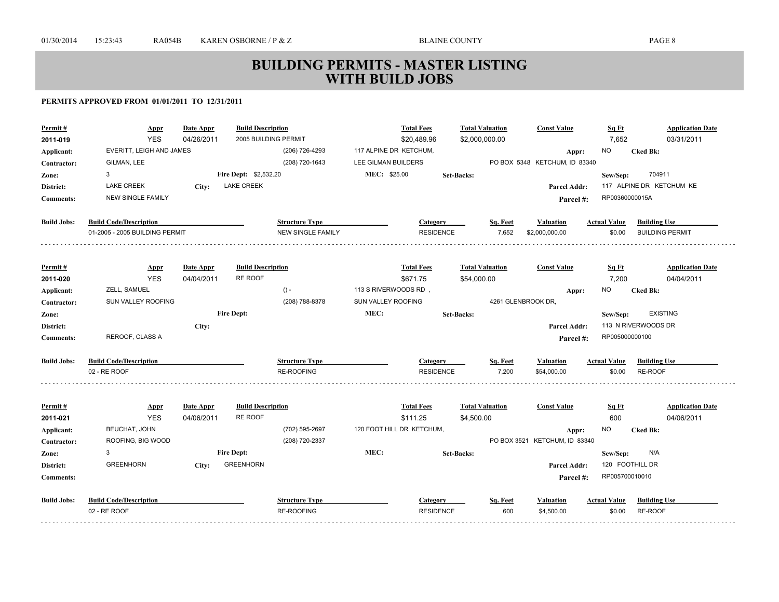| Permit#            | <u>Appr</u>                        | Date Appr  | <b>Build Description</b>                   |                          |                        | <b>Total Fees</b>                     | <b>Total Valuation</b> |                        | <b>Const Value</b>                     | Sq Ft               | <b>Application Date</b>  |
|--------------------|------------------------------------|------------|--------------------------------------------|--------------------------|------------------------|---------------------------------------|------------------------|------------------------|----------------------------------------|---------------------|--------------------------|
| 2011-019           | <b>YES</b>                         | 04/26/2011 | 2005 BUILDING PERMIT                       |                          |                        | \$20,489.96                           | \$2,000,000.00         |                        |                                        | 7,652               | 03/31/2011               |
| Applicant:         | EVERITT, LEIGH AND JAMES           |            |                                            | (206) 726-4293           | 117 ALPINE DR KETCHUM, |                                       |                        |                        | Appr:                                  | <b>NO</b>           | <b>Cked Bk:</b>          |
| Contractor:        | GILMAN, LEE                        |            |                                            | (208) 720-1643           | LEE GILMAN BUILDERS    |                                       |                        |                        | PO BOX 5348 KETCHUM, ID 83340          |                     |                          |
| Zone:              | 3                                  |            | <b>Fire Dept: \$2,532.20</b>               |                          | MEC: \$25.00           |                                       | <b>Set-Backs:</b>      |                        |                                        | Sew/Sep:            | 704911                   |
| District:          | <b>LAKE CREEK</b>                  | City:      | <b>LAKE CREEK</b>                          |                          |                        |                                       |                        |                        | Parcel Addr:                           |                     | 117 ALPINE DR KETCHUM KE |
| <b>Comments:</b>   | <b>NEW SINGLE FAMILY</b>           |            |                                            |                          |                        |                                       |                        |                        | Parcel#:                               | RP00360000015A      |                          |
| <b>Build Jobs:</b> | <b>Build Code/Description</b>      |            |                                            | <b>Structure Type</b>    |                        | Category                              |                        | Sq. Feet               | Valuation                              | <b>Actual Value</b> | <b>Building Use</b>      |
|                    | 01-2005 - 2005 BUILDING PERMIT     |            |                                            | <b>NEW SINGLE FAMILY</b> |                        | <b>RESIDENCE</b>                      |                        | 7,652                  | \$2,000,000.00                         | \$0.00              | <b>BUILDING PERMIT</b>   |
| Permit#            |                                    | Date Appr  | <b>Build Description</b>                   |                          |                        | <b>Total Fees</b>                     | <b>Total Valuation</b> |                        | <b>Const Value</b>                     | Sq Ft               | <b>Application Date</b>  |
| 2011-020           | <b>Appr</b><br><b>YES</b>          | 04/04/2011 | <b>RE ROOF</b>                             |                          |                        | \$671.75                              | \$54,000.00            |                        |                                        | 7,200               | 04/04/2011               |
| Applicant:         | ZELL, SAMUEL                       |            |                                            | $() -$                   | 113 S RIVERWOODS RD,   |                                       |                        |                        | Appr:                                  | NO.                 | <b>Cked Bk:</b>          |
| Contractor:        | SUN VALLEY ROOFING                 |            |                                            | (208) 788-8378           | SUN VALLEY ROOFING     |                                       |                        | 4261 GLENBROOK DR,     |                                        |                     |                          |
| Zone:              |                                    |            | <b>Fire Dept:</b>                          |                          | MEC:                   |                                       | <b>Set-Backs:</b>      |                        |                                        | Sew/Sep:            | <b>EXISTING</b>          |
| District:          |                                    | City:      |                                            |                          |                        |                                       |                        |                        | Parcel Addr:                           |                     | 113 N RIVERWOODS DR      |
| <b>Comments:</b>   | REROOF, CLASS A                    |            |                                            |                          |                        |                                       |                        |                        | Parcel#:                               | RP005000000100      |                          |
| <b>Build Jobs:</b> | <b>Build Code/Description</b>      |            |                                            | <b>Structure Type</b>    |                        | Category                              |                        | Sq. Feet               | <b>Valuation</b>                       | <b>Actual Value</b> | <b>Building Use</b>      |
|                    | 02 - RE ROOF                       |            |                                            | <b>RE-ROOFING</b>        |                        | <b>RESIDENCE</b>                      |                        | 7,200                  | \$54,000.00                            | \$0.00              | RE-ROOF                  |
|                    |                                    |            |                                            |                          |                        |                                       |                        |                        |                                        |                     |                          |
| Permit#            | <b>Appr</b>                        | Date Appr  | <b>Build Description</b><br><b>RE ROOF</b> |                          |                        | <b>Total Fees</b>                     |                        | <b>Total Valuation</b> | <b>Const Value</b>                     | Sq Ft               | <b>Application Date</b>  |
| 2011-021           | <b>YES</b><br><b>BEUCHAT, JOHN</b> | 04/06/2011 |                                            | (702) 595-2697           |                        | \$111.25<br>120 FOOT HILL DR KETCHUM, | \$4,500.00             |                        |                                        | 600<br><b>NO</b>    | 04/06/2011               |
| Applicant:         | ROOFING, BIG WOOD                  |            |                                            | (208) 720-2337           |                        |                                       |                        |                        | Appr:<br>PO BOX 3521 KETCHUM, ID 83340 |                     | <b>Cked Bk:</b>          |
| Contractor:        | 3                                  |            | <b>Fire Dept:</b>                          |                          | MEC:                   |                                       | <b>Set-Backs:</b>      |                        |                                        | Sew/Sep:            | N/A                      |
| Zone:<br>District: | <b>GREENHORN</b>                   | City:      | <b>GREENHORN</b>                           |                          |                        |                                       |                        |                        | <b>Parcel Addr:</b>                    | 120 FOOTHILL DR     |                          |
| <b>Comments:</b>   |                                    |            |                                            |                          |                        |                                       |                        |                        |                                        | RP005700010010      |                          |
|                    |                                    |            |                                            |                          |                        |                                       |                        |                        | Parcel#:                               |                     |                          |
| <b>Build Jobs:</b> | <b>Build Code/Description</b>      |            |                                            | <b>Structure Type</b>    |                        | Category                              |                        | Sq. Feet               | Valuation                              | <b>Actual Value</b> | <b>Building Use</b>      |
|                    | 02 - RE ROOF                       |            |                                            | <b>RE-ROOFING</b>        |                        | <b>RESIDENCE</b>                      |                        | 600                    | \$4,500.00                             | \$0.00              | RE-ROOF                  |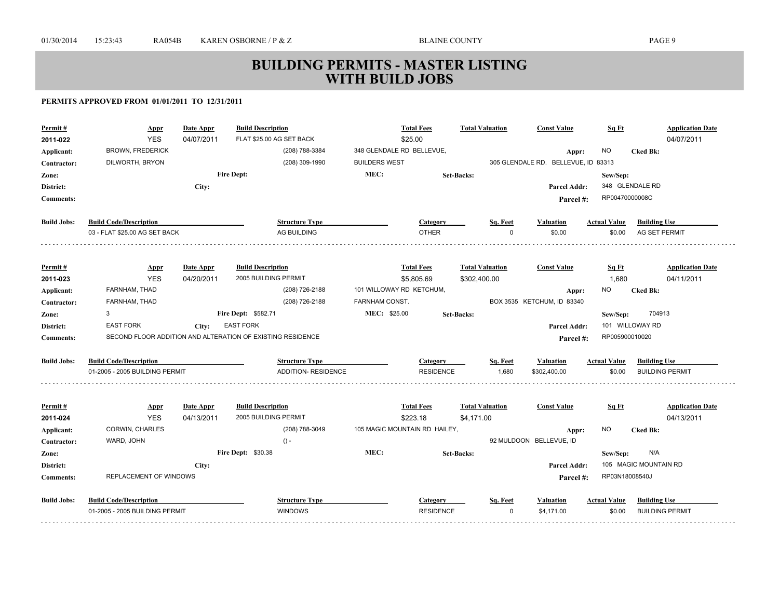| <b>BROWN, FREDERICK</b><br>(208) 788-3384<br>348 GLENDALE RD BELLEVUE,<br>NO.<br><b>Cked Bk:</b><br>Applicant:<br>Appr:<br>(208) 309-1990<br><b>BUILDERS WEST</b><br>305 GLENDALE RD. BELLEVUE, ID 83313<br>DILWORTH, BRYON<br>Contractor:<br>MEC:<br><b>Fire Dept:</b><br><b>Set-Backs:</b><br>Sew/Sep:<br>Zone:<br>348 GLENDALE RD<br>District:<br>City:<br>Parcel Addr:<br>RP00470000008C<br><b>Comments:</b><br>Parcel#:<br><b>Build Jobs:</b><br><b>Build Code/Description</b><br><b>Structure Type</b><br><b>Building Use</b><br>Category<br>Sq. Feet<br><b>Valuation</b><br><b>Actual Value</b><br><b>OTHER</b><br>03 - FLAT \$25.00 AG SET BACK<br>AG BUILDING<br>AG SET PERMIT<br>$\Omega$<br>\$0.00<br>\$0.00<br><b>Build Description</b><br><b>Total Fees</b><br><b>Total Valuation</b><br><b>Const Value</b><br>Sq Ft<br><b>Application Date</b><br>Permit#<br><b>Appr</b><br>Date Appr<br><b>YES</b><br>04/11/2011<br>04/20/2011<br>2005 BUILDING PERMIT<br>\$5,805.69<br>\$302,400.00<br>1,680<br>2011-023<br>FARNHAM, THAD<br>(208) 726-2188<br>101 WILLOWAY RD KETCHUM,<br>Applicant:<br>NO.<br><b>Cked Bk:</b><br>Appr:<br>(208) 726-2188<br><b>FARNHAM CONST.</b><br>FARNHAM, THAD<br>BOX 3535 KETCHUM, ID 83340<br>Contractor:<br>MEC: \$25.00<br>Fire Dept: \$582.71<br>704913<br>3<br><b>Set-Backs:</b><br>Sew/Sep:<br>Zone:<br>101 WILLOWAY RD<br>District:<br><b>EAST FORK</b><br><b>EAST FORK</b><br>Parcel Addr:<br>City:<br>SECOND FLOOR ADDITION AND ALTERATION OF EXISTING RESIDENCE<br>RP005900010020<br><b>Comments:</b><br>Parcel#:<br><b>Build Code/Description</b><br><b>Build Jobs:</b><br><b>Structure Type</b><br><b>Building Use</b><br>Sq. Feet<br><b>Actual Value</b><br>Category<br><b>Valuation</b><br><b>ADDITION- RESIDENCE</b><br>1.680<br>01-2005 - 2005 BUILDING PERMIT<br><b>RESIDENCE</b><br>\$302,400.00<br>\$0.00<br><b>BUILDING PERMIT</b><br><b>Build Description</b><br><b>Total Fees</b><br><b>Total Valuation</b><br><b>Const Value</b><br>Sq Ft<br><b>Application Date</b><br>Permit#<br>Date Appr<br><b>Appr</b><br>2005 BUILDING PERMIT<br><b>YES</b><br>04/13/2011<br>\$223.18<br>04/13/2011<br>2011-024<br>\$4,171.00<br>CORWIN, CHARLES<br>(208) 788-3049<br>105 MAGIC MOUNTAIN RD HAILEY,<br>NO.<br>Applicant:<br><b>Cked Bk:</b><br>Appr:<br>WARD, JOHN<br>92 MULDOON BELLEVUE, ID<br>$() -$<br>Contractor:<br>MEC:<br>Fire Dept: \$30.38<br>N/A<br><b>Set-Backs:</b><br>Sew/Sep:<br>Zone:<br>105 MAGIC MOUNTAIN RD<br>District:<br>City:<br><b>Parcel Addr:</b><br>REPLACEMENT OF WINDOWS<br>RP03N18008540J<br><b>Comments:</b><br>Parcel#:<br><b>Build Jobs:</b><br><b>Build Code/Description</b><br><b>Structure Type</b><br><b>Building Use</b><br>Sq. Feet<br><b>Actual Value</b><br>Category<br><b>Valuation</b><br>01-2005 - 2005 BUILDING PERMIT<br><b>WINDOWS</b><br><b>RESIDENCE</b><br><b>BUILDING PERMIT</b><br>$\Omega$<br>\$4,171.00<br>\$0.00 | Permit#<br>2011-022 | <b>Appr</b><br><b>YES</b> | Date Appr<br>04/07/2011 | <b>Build Description</b><br>FLAT \$25.00 AG SET BACK | <b>Total Fees</b><br>\$25.00 | <b>Total Valuation</b> | <b>Const Value</b> | Sq Ft | <b>Application Date</b><br>04/07/2011 |
|-----------------------------------------------------------------------------------------------------------------------------------------------------------------------------------------------------------------------------------------------------------------------------------------------------------------------------------------------------------------------------------------------------------------------------------------------------------------------------------------------------------------------------------------------------------------------------------------------------------------------------------------------------------------------------------------------------------------------------------------------------------------------------------------------------------------------------------------------------------------------------------------------------------------------------------------------------------------------------------------------------------------------------------------------------------------------------------------------------------------------------------------------------------------------------------------------------------------------------------------------------------------------------------------------------------------------------------------------------------------------------------------------------------------------------------------------------------------------------------------------------------------------------------------------------------------------------------------------------------------------------------------------------------------------------------------------------------------------------------------------------------------------------------------------------------------------------------------------------------------------------------------------------------------------------------------------------------------------------------------------------------------------------------------------------------------------------------------------------------------------------------------------------------------------------------------------------------------------------------------------------------------------------------------------------------------------------------------------------------------------------------------------------------------------------------------------------------------------------------------------------------------------------------------------------------------------------------------------------------------------------------------------------------------------------------------------------------------------------------------------------------------------------------------------------------------------------------------------------------------------------------------------------------------------------|---------------------|---------------------------|-------------------------|------------------------------------------------------|------------------------------|------------------------|--------------------|-------|---------------------------------------|
|                                                                                                                                                                                                                                                                                                                                                                                                                                                                                                                                                                                                                                                                                                                                                                                                                                                                                                                                                                                                                                                                                                                                                                                                                                                                                                                                                                                                                                                                                                                                                                                                                                                                                                                                                                                                                                                                                                                                                                                                                                                                                                                                                                                                                                                                                                                                                                                                                                                                                                                                                                                                                                                                                                                                                                                                                                                                                                                             |                     |                           |                         |                                                      |                              |                        |                    |       |                                       |
|                                                                                                                                                                                                                                                                                                                                                                                                                                                                                                                                                                                                                                                                                                                                                                                                                                                                                                                                                                                                                                                                                                                                                                                                                                                                                                                                                                                                                                                                                                                                                                                                                                                                                                                                                                                                                                                                                                                                                                                                                                                                                                                                                                                                                                                                                                                                                                                                                                                                                                                                                                                                                                                                                                                                                                                                                                                                                                                             |                     |                           |                         |                                                      |                              |                        |                    |       |                                       |
|                                                                                                                                                                                                                                                                                                                                                                                                                                                                                                                                                                                                                                                                                                                                                                                                                                                                                                                                                                                                                                                                                                                                                                                                                                                                                                                                                                                                                                                                                                                                                                                                                                                                                                                                                                                                                                                                                                                                                                                                                                                                                                                                                                                                                                                                                                                                                                                                                                                                                                                                                                                                                                                                                                                                                                                                                                                                                                                             |                     |                           |                         |                                                      |                              |                        |                    |       |                                       |
|                                                                                                                                                                                                                                                                                                                                                                                                                                                                                                                                                                                                                                                                                                                                                                                                                                                                                                                                                                                                                                                                                                                                                                                                                                                                                                                                                                                                                                                                                                                                                                                                                                                                                                                                                                                                                                                                                                                                                                                                                                                                                                                                                                                                                                                                                                                                                                                                                                                                                                                                                                                                                                                                                                                                                                                                                                                                                                                             |                     |                           |                         |                                                      |                              |                        |                    |       |                                       |
|                                                                                                                                                                                                                                                                                                                                                                                                                                                                                                                                                                                                                                                                                                                                                                                                                                                                                                                                                                                                                                                                                                                                                                                                                                                                                                                                                                                                                                                                                                                                                                                                                                                                                                                                                                                                                                                                                                                                                                                                                                                                                                                                                                                                                                                                                                                                                                                                                                                                                                                                                                                                                                                                                                                                                                                                                                                                                                                             |                     |                           |                         |                                                      |                              |                        |                    |       |                                       |
|                                                                                                                                                                                                                                                                                                                                                                                                                                                                                                                                                                                                                                                                                                                                                                                                                                                                                                                                                                                                                                                                                                                                                                                                                                                                                                                                                                                                                                                                                                                                                                                                                                                                                                                                                                                                                                                                                                                                                                                                                                                                                                                                                                                                                                                                                                                                                                                                                                                                                                                                                                                                                                                                                                                                                                                                                                                                                                                             |                     |                           |                         |                                                      |                              |                        |                    |       |                                       |
|                                                                                                                                                                                                                                                                                                                                                                                                                                                                                                                                                                                                                                                                                                                                                                                                                                                                                                                                                                                                                                                                                                                                                                                                                                                                                                                                                                                                                                                                                                                                                                                                                                                                                                                                                                                                                                                                                                                                                                                                                                                                                                                                                                                                                                                                                                                                                                                                                                                                                                                                                                                                                                                                                                                                                                                                                                                                                                                             |                     |                           |                         |                                                      |                              |                        |                    |       |                                       |
|                                                                                                                                                                                                                                                                                                                                                                                                                                                                                                                                                                                                                                                                                                                                                                                                                                                                                                                                                                                                                                                                                                                                                                                                                                                                                                                                                                                                                                                                                                                                                                                                                                                                                                                                                                                                                                                                                                                                                                                                                                                                                                                                                                                                                                                                                                                                                                                                                                                                                                                                                                                                                                                                                                                                                                                                                                                                                                                             |                     |                           |                         |                                                      |                              |                        |                    |       |                                       |
|                                                                                                                                                                                                                                                                                                                                                                                                                                                                                                                                                                                                                                                                                                                                                                                                                                                                                                                                                                                                                                                                                                                                                                                                                                                                                                                                                                                                                                                                                                                                                                                                                                                                                                                                                                                                                                                                                                                                                                                                                                                                                                                                                                                                                                                                                                                                                                                                                                                                                                                                                                                                                                                                                                                                                                                                                                                                                                                             |                     |                           |                         |                                                      |                              |                        |                    |       |                                       |
|                                                                                                                                                                                                                                                                                                                                                                                                                                                                                                                                                                                                                                                                                                                                                                                                                                                                                                                                                                                                                                                                                                                                                                                                                                                                                                                                                                                                                                                                                                                                                                                                                                                                                                                                                                                                                                                                                                                                                                                                                                                                                                                                                                                                                                                                                                                                                                                                                                                                                                                                                                                                                                                                                                                                                                                                                                                                                                                             |                     |                           |                         |                                                      |                              |                        |                    |       |                                       |
|                                                                                                                                                                                                                                                                                                                                                                                                                                                                                                                                                                                                                                                                                                                                                                                                                                                                                                                                                                                                                                                                                                                                                                                                                                                                                                                                                                                                                                                                                                                                                                                                                                                                                                                                                                                                                                                                                                                                                                                                                                                                                                                                                                                                                                                                                                                                                                                                                                                                                                                                                                                                                                                                                                                                                                                                                                                                                                                             |                     |                           |                         |                                                      |                              |                        |                    |       |                                       |
|                                                                                                                                                                                                                                                                                                                                                                                                                                                                                                                                                                                                                                                                                                                                                                                                                                                                                                                                                                                                                                                                                                                                                                                                                                                                                                                                                                                                                                                                                                                                                                                                                                                                                                                                                                                                                                                                                                                                                                                                                                                                                                                                                                                                                                                                                                                                                                                                                                                                                                                                                                                                                                                                                                                                                                                                                                                                                                                             |                     |                           |                         |                                                      |                              |                        |                    |       |                                       |
|                                                                                                                                                                                                                                                                                                                                                                                                                                                                                                                                                                                                                                                                                                                                                                                                                                                                                                                                                                                                                                                                                                                                                                                                                                                                                                                                                                                                                                                                                                                                                                                                                                                                                                                                                                                                                                                                                                                                                                                                                                                                                                                                                                                                                                                                                                                                                                                                                                                                                                                                                                                                                                                                                                                                                                                                                                                                                                                             |                     |                           |                         |                                                      |                              |                        |                    |       |                                       |
|                                                                                                                                                                                                                                                                                                                                                                                                                                                                                                                                                                                                                                                                                                                                                                                                                                                                                                                                                                                                                                                                                                                                                                                                                                                                                                                                                                                                                                                                                                                                                                                                                                                                                                                                                                                                                                                                                                                                                                                                                                                                                                                                                                                                                                                                                                                                                                                                                                                                                                                                                                                                                                                                                                                                                                                                                                                                                                                             |                     |                           |                         |                                                      |                              |                        |                    |       |                                       |
|                                                                                                                                                                                                                                                                                                                                                                                                                                                                                                                                                                                                                                                                                                                                                                                                                                                                                                                                                                                                                                                                                                                                                                                                                                                                                                                                                                                                                                                                                                                                                                                                                                                                                                                                                                                                                                                                                                                                                                                                                                                                                                                                                                                                                                                                                                                                                                                                                                                                                                                                                                                                                                                                                                                                                                                                                                                                                                                             |                     |                           |                         |                                                      |                              |                        |                    |       |                                       |
|                                                                                                                                                                                                                                                                                                                                                                                                                                                                                                                                                                                                                                                                                                                                                                                                                                                                                                                                                                                                                                                                                                                                                                                                                                                                                                                                                                                                                                                                                                                                                                                                                                                                                                                                                                                                                                                                                                                                                                                                                                                                                                                                                                                                                                                                                                                                                                                                                                                                                                                                                                                                                                                                                                                                                                                                                                                                                                                             |                     |                           |                         |                                                      |                              |                        |                    |       |                                       |
|                                                                                                                                                                                                                                                                                                                                                                                                                                                                                                                                                                                                                                                                                                                                                                                                                                                                                                                                                                                                                                                                                                                                                                                                                                                                                                                                                                                                                                                                                                                                                                                                                                                                                                                                                                                                                                                                                                                                                                                                                                                                                                                                                                                                                                                                                                                                                                                                                                                                                                                                                                                                                                                                                                                                                                                                                                                                                                                             |                     |                           |                         |                                                      |                              |                        |                    |       |                                       |
|                                                                                                                                                                                                                                                                                                                                                                                                                                                                                                                                                                                                                                                                                                                                                                                                                                                                                                                                                                                                                                                                                                                                                                                                                                                                                                                                                                                                                                                                                                                                                                                                                                                                                                                                                                                                                                                                                                                                                                                                                                                                                                                                                                                                                                                                                                                                                                                                                                                                                                                                                                                                                                                                                                                                                                                                                                                                                                                             |                     |                           |                         |                                                      |                              |                        |                    |       |                                       |
|                                                                                                                                                                                                                                                                                                                                                                                                                                                                                                                                                                                                                                                                                                                                                                                                                                                                                                                                                                                                                                                                                                                                                                                                                                                                                                                                                                                                                                                                                                                                                                                                                                                                                                                                                                                                                                                                                                                                                                                                                                                                                                                                                                                                                                                                                                                                                                                                                                                                                                                                                                                                                                                                                                                                                                                                                                                                                                                             |                     |                           |                         |                                                      |                              |                        |                    |       |                                       |
|                                                                                                                                                                                                                                                                                                                                                                                                                                                                                                                                                                                                                                                                                                                                                                                                                                                                                                                                                                                                                                                                                                                                                                                                                                                                                                                                                                                                                                                                                                                                                                                                                                                                                                                                                                                                                                                                                                                                                                                                                                                                                                                                                                                                                                                                                                                                                                                                                                                                                                                                                                                                                                                                                                                                                                                                                                                                                                                             |                     |                           |                         |                                                      |                              |                        |                    |       |                                       |
|                                                                                                                                                                                                                                                                                                                                                                                                                                                                                                                                                                                                                                                                                                                                                                                                                                                                                                                                                                                                                                                                                                                                                                                                                                                                                                                                                                                                                                                                                                                                                                                                                                                                                                                                                                                                                                                                                                                                                                                                                                                                                                                                                                                                                                                                                                                                                                                                                                                                                                                                                                                                                                                                                                                                                                                                                                                                                                                             |                     |                           |                         |                                                      |                              |                        |                    |       |                                       |
|                                                                                                                                                                                                                                                                                                                                                                                                                                                                                                                                                                                                                                                                                                                                                                                                                                                                                                                                                                                                                                                                                                                                                                                                                                                                                                                                                                                                                                                                                                                                                                                                                                                                                                                                                                                                                                                                                                                                                                                                                                                                                                                                                                                                                                                                                                                                                                                                                                                                                                                                                                                                                                                                                                                                                                                                                                                                                                                             |                     |                           |                         |                                                      |                              |                        |                    |       |                                       |
|                                                                                                                                                                                                                                                                                                                                                                                                                                                                                                                                                                                                                                                                                                                                                                                                                                                                                                                                                                                                                                                                                                                                                                                                                                                                                                                                                                                                                                                                                                                                                                                                                                                                                                                                                                                                                                                                                                                                                                                                                                                                                                                                                                                                                                                                                                                                                                                                                                                                                                                                                                                                                                                                                                                                                                                                                                                                                                                             |                     |                           |                         |                                                      |                              |                        |                    |       |                                       |
|                                                                                                                                                                                                                                                                                                                                                                                                                                                                                                                                                                                                                                                                                                                                                                                                                                                                                                                                                                                                                                                                                                                                                                                                                                                                                                                                                                                                                                                                                                                                                                                                                                                                                                                                                                                                                                                                                                                                                                                                                                                                                                                                                                                                                                                                                                                                                                                                                                                                                                                                                                                                                                                                                                                                                                                                                                                                                                                             |                     |                           |                         |                                                      |                              |                        |                    |       |                                       |
|                                                                                                                                                                                                                                                                                                                                                                                                                                                                                                                                                                                                                                                                                                                                                                                                                                                                                                                                                                                                                                                                                                                                                                                                                                                                                                                                                                                                                                                                                                                                                                                                                                                                                                                                                                                                                                                                                                                                                                                                                                                                                                                                                                                                                                                                                                                                                                                                                                                                                                                                                                                                                                                                                                                                                                                                                                                                                                                             |                     |                           |                         |                                                      |                              |                        |                    |       |                                       |
|                                                                                                                                                                                                                                                                                                                                                                                                                                                                                                                                                                                                                                                                                                                                                                                                                                                                                                                                                                                                                                                                                                                                                                                                                                                                                                                                                                                                                                                                                                                                                                                                                                                                                                                                                                                                                                                                                                                                                                                                                                                                                                                                                                                                                                                                                                                                                                                                                                                                                                                                                                                                                                                                                                                                                                                                                                                                                                                             |                     |                           |                         |                                                      |                              |                        |                    |       |                                       |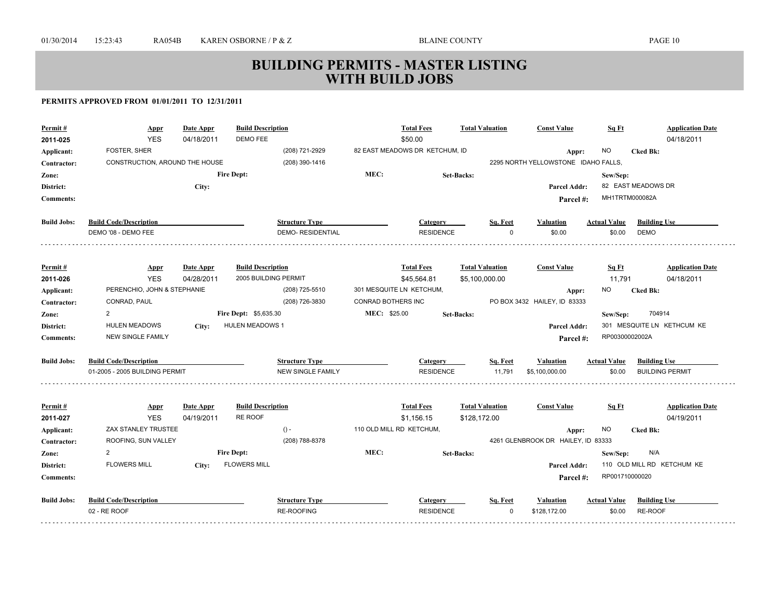| Permit#<br>2011-025 | Appr<br><b>YES</b>             | <b>Date Appr</b><br>04/18/2011 | <b>Build Description</b><br><b>DEMO FEE</b> |                          |                          | <b>Total Fees</b><br>\$50.00   | <b>Total Valuation</b> |          | <b>Const Value</b>                           | Sq Ft               |                            | <b>Application Date</b><br>04/18/2011 |
|---------------------|--------------------------------|--------------------------------|---------------------------------------------|--------------------------|--------------------------|--------------------------------|------------------------|----------|----------------------------------------------|---------------------|----------------------------|---------------------------------------|
|                     | FOSTER, SHER                   |                                |                                             | (208) 721-2929           |                          | 82 EAST MEADOWS DR KETCHUM, ID |                        |          |                                              | NO.                 | <b>Cked Bk:</b>            |                                       |
| Applicant:          | CONSTRUCTION, AROUND THE HOUSE |                                |                                             | (208) 390-1416           |                          |                                |                        |          | Appr:<br>2295 NORTH YELLOWSTONE IDAHO FALLS, |                     |                            |                                       |
| Contractor:         |                                |                                | <b>Fire Dept:</b>                           |                          | MEC:                     |                                |                        |          |                                              |                     |                            |                                       |
| Zone:               |                                |                                |                                             |                          |                          |                                | <b>Set-Backs:</b>      |          |                                              | Sew/Sep:            | 82 EAST MEADOWS DR         |                                       |
| District:           |                                | City:                          |                                             |                          |                          |                                |                        |          | Parcel Addr:                                 |                     | MH1TRTM000082A             |                                       |
| <b>Comments:</b>    |                                |                                |                                             |                          |                          |                                |                        |          | Parcel#:                                     |                     |                            |                                       |
| <b>Build Jobs:</b>  | <b>Build Code/Description</b>  |                                |                                             | <b>Structure Type</b>    |                          | Category                       |                        | Sq. Feet | Valuation                                    | <b>Actual Value</b> | <b>Building Use</b>        |                                       |
|                     | DEMO '08 - DEMO FEE            |                                |                                             | <b>DEMO-RESIDENTIAL</b>  |                          | <b>RESIDENCE</b>               |                        | $\Omega$ | \$0.00                                       | \$0.00              | <b>DEMO</b>                |                                       |
|                     |                                |                                |                                             |                          |                          |                                |                        |          |                                              |                     |                            |                                       |
| Permit#             | <b>Appr</b>                    | Date Appr                      | <b>Build Description</b>                    |                          |                          | <b>Total Fees</b>              | <b>Total Valuation</b> |          | <b>Const Value</b>                           | Sq Ft               |                            | <b>Application Date</b>               |
| 2011-026            | <b>YES</b>                     | 04/28/2011                     | 2005 BUILDING PERMIT                        |                          |                          | \$45.564.81                    | \$5,100,000.00         |          |                                              | 11,791              |                            | 04/18/2011                            |
| Applicant:          | PERENCHIO, JOHN & STEPHANIE    |                                |                                             | (208) 725-5510           |                          | 301 MESQUITE LN KETCHUM,       |                        |          | Appr:                                        | NO                  | <b>Cked Bk:</b>            |                                       |
| Contractor:         | CONRAD, PAUL                   |                                |                                             | (208) 726-3830           | CONRAD BOTHERS INC       |                                |                        |          | PO BOX 3432 HAILEY, ID 83333                 |                     |                            |                                       |
| Zone:               | $\overline{2}$                 |                                | Fire Dept: \$5,635.30                       |                          | MEC: \$25.00             |                                | <b>Set-Backs:</b>      |          |                                              | Sew/Sep:            | 704914                     |                                       |
| District:           | <b>HULEN MEADOWS</b>           | City:                          | <b>HULEN MEADOWS 1</b>                      |                          |                          |                                |                        |          | Parcel Addr:                                 |                     | 301 MESQUITE LN KETHCUM KE |                                       |
| <b>Comments:</b>    | <b>NEW SINGLE FAMILY</b>       |                                |                                             |                          |                          |                                |                        |          | Parcel#:                                     | RP00300002002A      |                            |                                       |
| <b>Build Jobs:</b>  | <b>Build Code/Description</b>  |                                |                                             | <b>Structure Type</b>    |                          | Category                       |                        | Sq. Feet | Valuation                                    | <b>Actual Value</b> | <b>Building Use</b>        |                                       |
|                     | 01-2005 - 2005 BUILDING PERMIT |                                |                                             | <b>NEW SINGLE FAMILY</b> |                          | <b>RESIDENCE</b>               |                        | 11.791   | \$5,100,000,00                               | \$0.00              | <b>BUILDING PERMIT</b>     |                                       |
|                     |                                |                                |                                             |                          |                          |                                |                        |          |                                              |                     |                            |                                       |
| Permit#             | <b>Appr</b>                    | Date Appr                      | <b>Build Description</b>                    |                          |                          | <b>Total Fees</b>              | <b>Total Valuation</b> |          | <b>Const Value</b>                           | Sq Ft               |                            | <b>Application Date</b>               |
| 2011-027            | <b>YES</b>                     | 04/19/2011                     | RE ROOF                                     |                          |                          | \$1,156.15                     | \$128,172.00           |          |                                              |                     |                            | 04/19/2011                            |
| Applicant:          | ZAX STANLEY TRUSTEE            |                                |                                             | $() -$                   | 110 OLD MILL RD KETCHUM, |                                |                        |          | Appr:                                        | NO.                 | <b>Cked Bk:</b>            |                                       |
| Contractor:         | ROOFING, SUN VALLEY            |                                |                                             | (208) 788-8378           |                          |                                |                        |          | 4261 GLENBROOK DR HAILEY, ID 83333           |                     |                            |                                       |
| Zone:               | 2                              |                                | <b>Fire Dept:</b>                           |                          | MEC:                     |                                | <b>Set-Backs:</b>      |          |                                              | Sew/Sep:            | N/A                        |                                       |
| District:           | <b>FLOWERS MILL</b>            | City:                          | <b>FLOWERS MILL</b>                         |                          |                          |                                |                        |          | Parcel Addr:                                 |                     | 110 OLD MILL RD KETCHUM KE |                                       |
| <b>Comments:</b>    |                                |                                |                                             |                          |                          |                                |                        |          | Parcel#:                                     | RP001710000020      |                            |                                       |
| <b>Build Jobs:</b>  | <b>Build Code/Description</b>  |                                |                                             | <b>Structure Type</b>    |                          | Category                       |                        | Sq. Feet | Valuation                                    | <b>Actual Value</b> | <b>Building Use</b>        |                                       |
|                     | 02 - RE ROOF                   |                                |                                             | <b>RE-ROOFING</b>        |                          | <b>RESIDENCE</b>               |                        | $\Omega$ | \$128,172.00                                 | \$0.00              | RE-ROOF                    |                                       |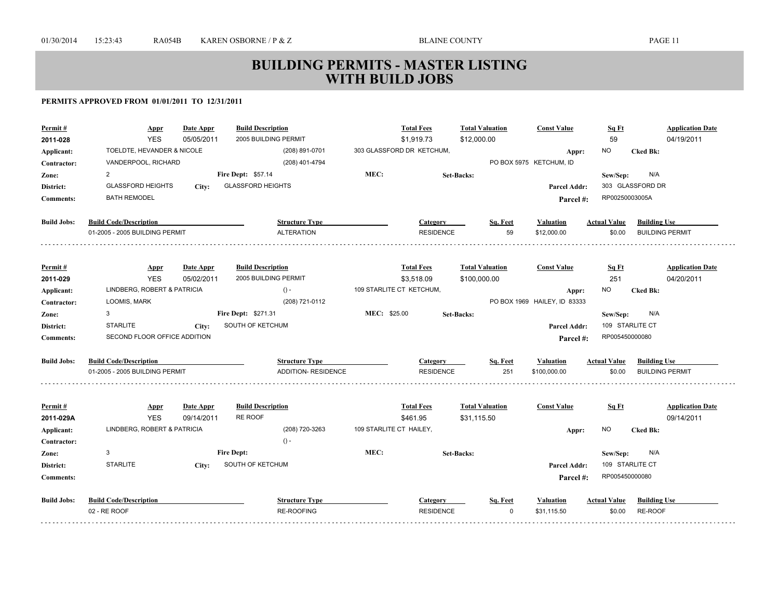| Permit#<br>2011-028 | <b>Appr</b><br><b>YES</b>                     | <b>Date Appr</b><br>05/05/2011 | <b>Build Description</b><br>2005 BUILDING PERMIT |                         | <b>Total Fees</b><br>\$1,919.73 | <b>Total Valuation</b><br>\$12,000.00 | <b>Const Value</b>              | Sq Ft<br>59                   | <b>Application Date</b><br>04/19/2011 |
|---------------------|-----------------------------------------------|--------------------------------|--------------------------------------------------|-------------------------|---------------------------------|---------------------------------------|---------------------------------|-------------------------------|---------------------------------------|
| Applicant:          | TOELDTE, HEVANDER & NICOLE                    |                                | (208) 891-0701                                   |                         | 303 GLASSFORD DR KETCHUM,       |                                       | Appr:                           | <b>NO</b>                     | <b>Cked Bk:</b>                       |
| Contractor:         | VANDERPOOL, RICHARD                           |                                | (208) 401-4794                                   |                         |                                 |                                       | PO BOX 5975 KETCHUM, ID         |                               |                                       |
| Zone:               | $\overline{2}$                                |                                | <b>Fire Dept: \$57.14</b>                        | MEC:                    |                                 | <b>Set-Backs:</b>                     |                                 | Sew/Sep:                      | N/A                                   |
| District:           | <b>GLASSFORD HEIGHTS</b>                      | City:                          | <b>GLASSFORD HEIGHTS</b>                         |                         |                                 |                                       | Parcel Addr:                    |                               | 303 GLASSFORD DR                      |
| <b>Comments:</b>    | <b>BATH REMODEL</b>                           |                                |                                                  |                         |                                 |                                       | Parcel#:                        | RP00250003005A                |                                       |
| <b>Build Jobs:</b>  | <b>Build Code/Description</b>                 |                                | <b>Structure Type</b>                            |                         | Category                        | Sq. Feet                              | <b>Valuation</b>                | <b>Actual Value</b>           | <b>Building Use</b>                   |
|                     | 01-2005 - 2005 BUILDING PERMIT                |                                | <b>ALTERATION</b>                                |                         | <b>RESIDENCE</b>                | 59                                    | \$12,000.00                     | \$0.00                        | <b>BUILDING PERMIT</b>                |
| Permit#             | <u>Appr</u>                                   | Date Appr                      | <b>Build Description</b>                         |                         | <b>Total Fees</b>               | <b>Total Valuation</b>                | <b>Const Value</b>              | Sq Ft                         | <b>Application Date</b>               |
| 2011-029            | <b>YES</b>                                    | 05/02/2011                     | 2005 BUILDING PERMIT                             |                         | \$3.518.09                      | \$100,000.00                          |                                 | 251                           | 04/20/2011                            |
| Applicant:          | LINDBERG, ROBERT & PATRICIA                   |                                | $() -$                                           |                         | 109 STARLITE CT KETCHUM,        |                                       | Appr:                           | NO.                           | <b>Cked Bk:</b>                       |
| Contractor:         | LOOMIS, MARK                                  |                                | (208) 721-0112                                   |                         |                                 |                                       | PO BOX 1969 HAILEY, ID 83333    |                               |                                       |
| Zone:               | 3                                             |                                | Fire Dept: \$271.31                              | MEC: \$25.00            |                                 | <b>Set-Backs:</b>                     |                                 | Sew/Sep:                      | N/A                                   |
| District:           | <b>STARLITE</b>                               | City:                          | SOUTH OF KETCHUM                                 |                         |                                 |                                       | Parcel Addr:                    | 109 STARLITE CT               |                                       |
| <b>Comments:</b>    | SECOND FLOOR OFFICE ADDITION                  |                                |                                                  |                         |                                 |                                       | Parcel#:                        | RP005450000080                |                                       |
| <b>Build Jobs:</b>  | <b>Build Code/Description</b>                 |                                | <b>Structure Type</b>                            |                         | Category                        | Sq. Feet                              | <b>Valuation</b>                | <b>Actual Value</b>           | <b>Building Use</b>                   |
|                     | 01-2005 - 2005 BUILDING PERMIT                |                                | <b>ADDITION- RESIDENCE</b>                       |                         | <b>RESIDENCE</b>                | 251                                   | \$100,000.00                    | \$0.00                        | <b>BUILDING PERMIT</b>                |
| Permit#             | <b>Appr</b>                                   | Date Appr                      | <b>Build Description</b>                         |                         | <b>Total Fees</b>               | <b>Total Valuation</b>                | <b>Const Value</b>              | Sq Ft                         | <b>Application Date</b>               |
| 2011-029A           | <b>YES</b>                                    | 09/14/2011                     | RE ROOF                                          |                         | \$461.95                        | \$31.115.50                           |                                 |                               | 09/14/2011                            |
| Applicant:          | LINDBERG, ROBERT & PATRICIA                   |                                | (208) 720-3263                                   | 109 STARLITE CT HAILEY, |                                 |                                       | Appr:                           | NO.                           | <b>Cked Bk:</b>                       |
| Contractor:         |                                               |                                | $() -$                                           |                         |                                 |                                       |                                 |                               |                                       |
| Zone:               | 3                                             | <b>Fire Dept:</b>              |                                                  | MEC:                    |                                 | <b>Set-Backs:</b>                     |                                 | Sew/Sep:                      | N/A                                   |
| District:           | <b>STARLITE</b>                               | City:                          | SOUTH OF KETCHUM                                 |                         |                                 |                                       | Parcel Addr:                    | 109 STARLITE CT               |                                       |
| <b>Comments:</b>    |                                               |                                |                                                  |                         |                                 |                                       | Parcel #:                       | RP005450000080                |                                       |
| <b>Build Jobs:</b>  | <b>Build Code/Description</b><br>02 - RE ROOF |                                | <b>Structure Type</b><br>RE-ROOFING              |                         | Category<br><b>RESIDENCE</b>    | Sq. Feet<br>$\Omega$                  | <b>Valuation</b><br>\$31,115.50 | <b>Actual Value</b><br>\$0.00 | <b>Building Use</b><br>RE-ROOF        |
|                     |                                               |                                |                                                  |                         |                                 |                                       |                                 |                               |                                       |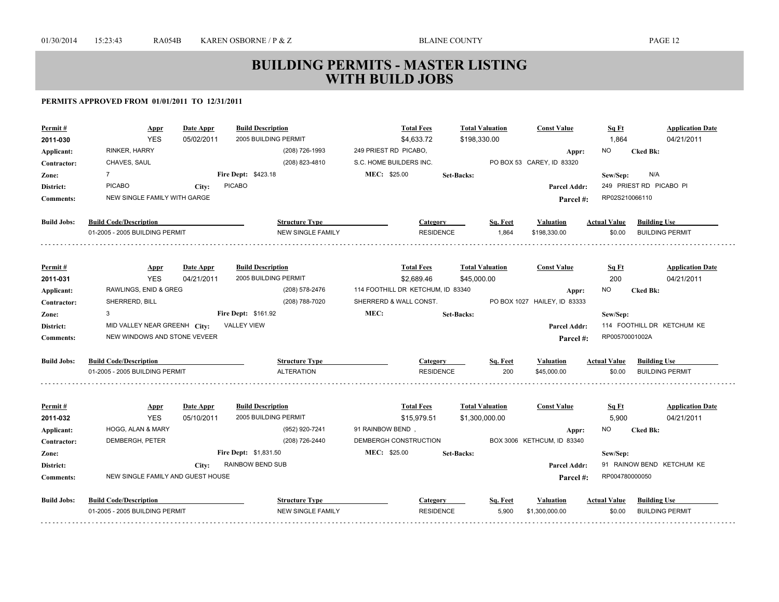| Permit #           | <b>Appr</b>                       | Date Appr  | <b>Build Description</b>               | <b>Total Fees</b>                   | <b>Total Valuation</b> | <b>Const Value</b>                 | Sq Ft               | <b>Application Date</b>    |
|--------------------|-----------------------------------|------------|----------------------------------------|-------------------------------------|------------------------|------------------------------------|---------------------|----------------------------|
| 2011-030           | <b>YES</b><br>RINKER, HARRY       | 05/02/2011 | 2005 BUILDING PERMIT<br>(208) 726-1993 | \$4,633.72<br>249 PRIEST RD PICABO, | \$198,330.00           |                                    | 1,864               | 04/21/2011                 |
| Applicant:         |                                   |            | (208) 823-4810                         | S.C. HOME BUILDERS INC.             |                        | Appr:<br>PO BOX 53 CAREY, ID 83320 | NO.                 | <b>Cked Bk:</b>            |
| Contractor:        | CHAVES, SAUL<br>$\overline{7}$    |            |                                        | MEC: \$25.00                        |                        |                                    |                     |                            |
| Zone:              |                                   |            | Fire Dept: \$423.18                    |                                     | <b>Set-Backs:</b>      |                                    | Sew/Sep:            | N/A                        |
| District:          | <b>PICABO</b>                     | City:      | <b>PICABO</b>                          |                                     |                        | <b>Parcel Addr:</b>                |                     | 249 PRIEST RD PICABO PI    |
| <b>Comments:</b>   | NEW SINGLE FAMILY WITH GARGE      |            |                                        |                                     |                        | Parcel#:                           | RP02S210066110      |                            |
| <b>Build Jobs:</b> | <b>Build Code/Description</b>     |            | <b>Structure Type</b>                  | <b>Category</b>                     |                        | Sq. Feet<br>Valuation              | <b>Actual Value</b> | <b>Building Use</b>        |
|                    | 01-2005 - 2005 BUILDING PERMIT    |            | <b>NEW SINGLE FAMILY</b>               |                                     | <b>RESIDENCE</b>       | 1,864<br>\$198,330.00              | \$0.00              | <b>BUILDING PERMIT</b>     |
|                    |                                   |            |                                        |                                     |                        |                                    |                     |                            |
| Permit#            | <b>Appr</b>                       | Date Appr  | <b>Build Description</b>               | <b>Total Fees</b>                   | <b>Total Valuation</b> | <b>Const Value</b>                 | Sq Ft               | <b>Application Date</b>    |
| 2011-031           | <b>YES</b>                        | 04/21/2011 | 2005 BUILDING PERMIT                   | \$2,689.46                          | \$45,000.00            |                                    | 200                 | 04/21/2011                 |
| Applicant:         | RAWLINGS, ENID & GREG             |            | (208) 578-2476                         | 114 FOOTHILL DR KETCHUM, ID 83340   |                        | Appr:                              | <b>NO</b>           | <b>Cked Bk:</b>            |
| Contractor:        | SHERRERD, BILL                    |            | (208) 788-7020                         | SHERRERD & WALL CONST.              |                        | PO BOX 1027 HAILEY, ID 83333       |                     |                            |
| Zone:              | 3                                 |            | <b>Fire Dept: \$161.92</b>             | MEC:                                | <b>Set-Backs:</b>      |                                    | Sew/Sep:            |                            |
| District:          | MID VALLEY NEAR GREENH City:      |            | <b>VALLEY VIEW</b>                     |                                     |                        | <b>Parcel Addr:</b>                |                     | 114 FOOTHILL DR KETCHUM KE |
| <b>Comments:</b>   | NEW WINDOWS AND STONE VEVEER      |            |                                        |                                     |                        | Parcel#:                           | RP00570001002A      |                            |
| <b>Build Jobs:</b> | <b>Build Code/Description</b>     |            | <b>Structure Type</b>                  | Category                            |                        | Sq. Feet<br><b>Valuation</b>       | <b>Actual Value</b> | <b>Building Use</b>        |
|                    | 01-2005 - 2005 BUILDING PERMIT    |            | <b>ALTERATION</b>                      |                                     | <b>RESIDENCE</b>       | 200<br>\$45,000.00                 | \$0.00              | <b>BUILDING PERMIT</b>     |
|                    |                                   |            |                                        |                                     |                        |                                    |                     |                            |
| Permit#            | <b>Appr</b>                       | Date Appr  | <b>Build Description</b>               | <b>Total Fees</b>                   | <b>Total Valuation</b> | <b>Const Value</b>                 | Sq Ft               | <b>Application Date</b>    |
| 2011-032           | <b>YES</b>                        | 05/10/2011 | 2005 BUILDING PERMIT                   | \$15,979.51                         | \$1,300,000.00         |                                    | 5,900               | 04/21/2011                 |
| Applicant:         | HOGG, ALAN & MARY                 |            | (952) 920-7241                         | 91 RAINBOW BEND,                    |                        | Appr:                              | NO.                 | <b>Cked Bk:</b>            |
| Contractor:        | DEMBERGH, PETER                   |            | (208) 726-2440                         | DEMBERGH CONSTRUCTION               |                        | BOX 3006 KETHCUM, ID 83340         |                     |                            |
| Zone:              |                                   |            | <b>Fire Dept: \$1,831.50</b>           | MEC: \$25.00                        | <b>Set-Backs:</b>      |                                    | Sew/Sep:            |                            |
| District:          |                                   | City:      | RAINBOW BEND SUB                       |                                     |                        | <b>Parcel Addr:</b>                |                     | 91 RAINOW BEND KETCHUM KE  |
| <b>Comments:</b>   | NEW SINGLE FAMILY AND GUEST HOUSE |            |                                        |                                     |                        | Parcel #:                          | RP004780000050      |                            |
| <b>Build Jobs:</b> | <b>Build Code/Description</b>     |            | <b>Structure Type</b>                  | <b>Category</b>                     |                        | Sq. Feet<br>Valuation              | <b>Actual Value</b> | <b>Building Use</b>        |
|                    | 01-2005 - 2005 BUILDING PERMIT    |            | NEW SINGLE FAMILY                      |                                     | <b>RESIDENCE</b>       | 5,900<br>\$1,300,000.00            | \$0.00              | <b>BUILDING PERMIT</b>     |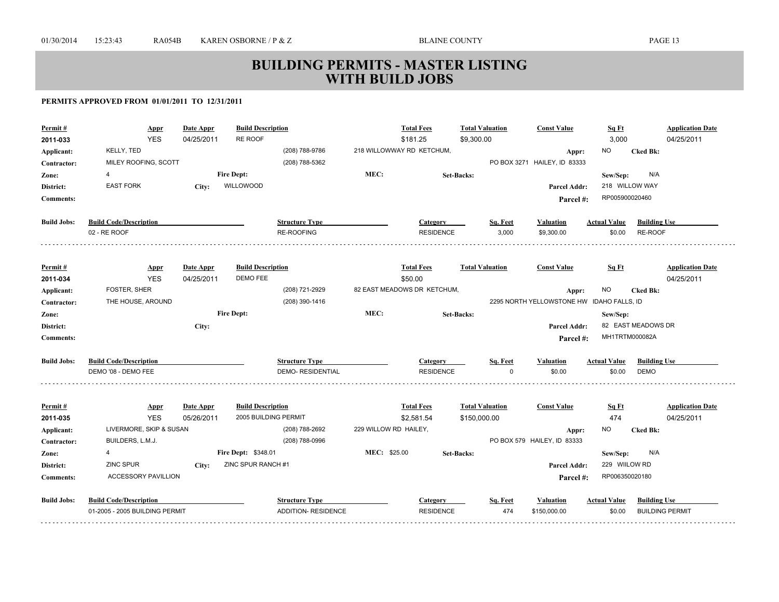| Permit #           | Appr                           | <b>Date Appr</b> | <b>Build Description</b><br>RE ROOF |                         |                       | <b>Total Fees</b>           | <b>Total Valuation</b> |          | <b>Const Value</b>                        | Sq Ft               |                        | <b>Application Date</b> |
|--------------------|--------------------------------|------------------|-------------------------------------|-------------------------|-----------------------|-----------------------------|------------------------|----------|-------------------------------------------|---------------------|------------------------|-------------------------|
| 2011-033           | <b>YES</b>                     | 04/25/2011       |                                     |                         |                       | \$181.25                    | \$9,300.00             |          |                                           | 3,000               |                        | 04/25/2011              |
| Applicant:         | KELLY, TED                     |                  |                                     | (208) 788-9786          |                       | 218 WILLOWWAY RD KETCHUM,   |                        |          | Appr:                                     | <b>NO</b>           | <b>Cked Bk:</b>        |                         |
| Contractor:        | MILEY ROOFING, SCOTT           |                  |                                     | (208) 788-5362          |                       |                             |                        |          | PO BOX 3271 HAILEY, ID 83333              |                     |                        |                         |
| Zone:              | 4                              |                  | <b>Fire Dept:</b>                   |                         | MEC:                  |                             | <b>Set-Backs:</b>      |          |                                           | Sew/Sep:            | N/A                    |                         |
| District:          | <b>EAST FORK</b>               | City:            | WILLOWOOD                           |                         |                       |                             |                        |          | Parcel Addr:                              | 218 WILLOW WAY      |                        |                         |
| <b>Comments:</b>   |                                |                  |                                     |                         |                       |                             |                        |          | Parcel#:                                  | RP005900020460      |                        |                         |
| <b>Build Jobs:</b> | <b>Build Code/Description</b>  |                  |                                     | <b>Structure Type</b>   |                       | Category                    |                        | Sq. Feet | <b>Valuation</b>                          | <b>Actual Value</b> | <b>Building Use</b>    |                         |
|                    | 02 - RE ROOF                   |                  |                                     | <b>RE-ROOFING</b>       |                       | <b>RESIDENCE</b>            |                        | 3,000    | \$9,300.00                                | \$0.00              | RE-ROOF                |                         |
|                    |                                |                  |                                     |                         |                       |                             |                        |          |                                           |                     |                        |                         |
| Permit#            | <b>Appr</b>                    | Date Appr        | <b>Build Description</b>            |                         |                       | <b>Total Fees</b>           | <b>Total Valuation</b> |          | <b>Const Value</b>                        | Sq Ft               |                        | <b>Application Date</b> |
| 2011-034           | <b>YES</b>                     | 04/25/2011       | DEMO FEE                            |                         |                       | \$50.00                     |                        |          |                                           |                     |                        | 04/25/2011              |
| Applicant:         | <b>FOSTER, SHER</b>            |                  |                                     | (208) 721-2929          |                       | 82 EAST MEADOWS DR KETCHUM, |                        |          | Appr:                                     | NO.                 | <b>Cked Bk:</b>        |                         |
| Contractor:        | THE HOUSE, AROUND              |                  |                                     | (208) 390-1416          |                       |                             |                        |          | 2295 NORTH YELLOWSTONE HW IDAHO FALLS, ID |                     |                        |                         |
| Zone:              |                                |                  | <b>Fire Dept:</b>                   |                         | MEC:                  |                             | <b>Set-Backs:</b>      |          |                                           | Sew/Sep:            |                        |                         |
| District:          |                                | City:            |                                     |                         |                       |                             |                        |          | <b>Parcel Addr:</b>                       |                     | 82 EAST MEADOWS DR     |                         |
| <b>Comments:</b>   |                                |                  |                                     |                         |                       |                             |                        |          | Parcel #:                                 | MH1TRTM000082A      |                        |                         |
| <b>Build Jobs:</b> | <b>Build Code/Description</b>  |                  |                                     | <b>Structure Type</b>   |                       | Category                    |                        | Sq. Feet | <b>Valuation</b>                          | <b>Actual Value</b> | <b>Building Use</b>    |                         |
|                    | DEMO '08 - DEMO FEE            |                  |                                     | <b>DEMO-RESIDENTIAL</b> |                       | <b>RESIDENCE</b>            |                        | $\Omega$ | \$0.00                                    | \$0.00              | <b>DEMO</b>            |                         |
|                    |                                |                  |                                     |                         |                       |                             |                        |          |                                           |                     |                        |                         |
| Permit#            | <b>Appr</b>                    | Date Appr        | <b>Build Description</b>            |                         |                       | <b>Total Fees</b>           | <b>Total Valuation</b> |          | <b>Const Value</b>                        | Sq Ft               |                        | <b>Application Date</b> |
| 2011-035           | <b>YES</b>                     | 05/26/2011       | 2005 BUILDING PERMIT                |                         |                       | \$2,581.54                  | \$150,000.00           |          |                                           | 474                 |                        | 04/25/2011              |
| Applicant:         | LIVERMORE, SKIP & SUSAN        |                  |                                     | (208) 788-2692          | 229 WILLOW RD HAILEY, |                             |                        |          | Appr:                                     | NO.                 | <b>Cked Bk:</b>        |                         |
| Contractor:        | BUILDERS, L.M.J.               |                  |                                     | (208) 788-0996          |                       |                             |                        |          | PO BOX 579 HAILEY, ID 83333               |                     |                        |                         |
| Zone:              | 4                              |                  | Fire Dept: \$348.01                 |                         | MEC: \$25.00          |                             | Set-Backs:             |          |                                           | Sew/Sep:            | N/A                    |                         |
| District:          | <b>ZINC SPUR</b>               | City:            | ZINC SPUR RANCH #1                  |                         |                       |                             |                        |          | <b>Parcel Addr:</b>                       | 229 WIILOW RD       |                        |                         |
| <b>Comments:</b>   | <b>ACCESSORY PAVILLION</b>     |                  |                                     |                         |                       |                             |                        |          | Parcel #:                                 | RP006350020180      |                        |                         |
| <b>Build Jobs:</b> | <b>Build Code/Description</b>  |                  |                                     | <b>Structure Type</b>   |                       | <b>Category</b>             |                        | Sq. Feet | Valuation                                 | <b>Actual Value</b> | <b>Building Use</b>    |                         |
|                    | 01-2005 - 2005 BUILDING PERMIT |                  |                                     | ADDITION- RESIDENCE     |                       | <b>RESIDENCE</b>            |                        | 474      | \$150,000.00                              | \$0.00              | <b>BUILDING PERMIT</b> |                         |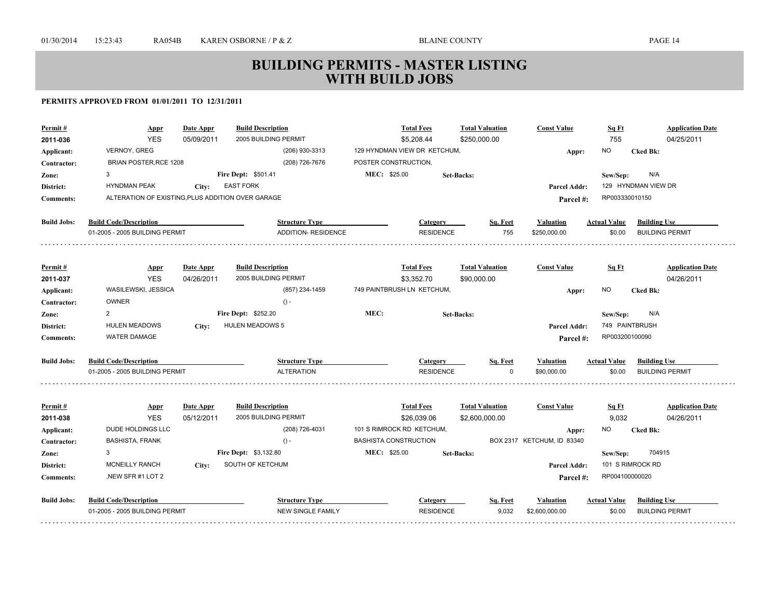| Permit#                   | <b>Appr</b>                                       | Date Appr  | <b>Build Description</b>                         |                              | <b>Total Fees</b>                        | <b>Total Valuation</b> |          | <b>Const Value</b>                  | Sq Ft               | <b>Application Date</b>               |
|---------------------------|---------------------------------------------------|------------|--------------------------------------------------|------------------------------|------------------------------------------|------------------------|----------|-------------------------------------|---------------------|---------------------------------------|
| 2011-036                  | <b>YES</b>                                        | 05/09/2011 | 2005 BUILDING PERMIT                             |                              | \$5,208.44                               | \$250,000.00           |          |                                     | 755                 | 04/25/2011                            |
| Applicant:                | <b>VERNOY, GREG</b>                               |            | (206) 930-3313                                   |                              | 129 HYNDMAN VIEW DR KETCHUM,             |                        |          | Appr:                               | <b>NO</b>           | <b>Cked Bk:</b>                       |
| Contractor:               | BRIAN POSTER, RCE 1208                            |            | (208) 726-7676                                   | POSTER CONSTRUCTION,         |                                          |                        |          |                                     |                     |                                       |
| Zone:                     | 3                                                 |            | <b>Fire Dept: \$501.41</b>                       | MEC: \$25.00                 |                                          | <b>Set-Backs:</b>      |          |                                     | Sew/Sep:            | N/A                                   |
| District:                 | <b>HYNDMAN PEAK</b>                               | City:      | <b>EAST FORK</b>                                 |                              |                                          |                        |          | Parcel Addr:                        |                     | 129 HYNDMAN VIEW DR                   |
| <b>Comments:</b>          | ALTERATION OF EXISTING, PLUS ADDITION OVER GARAGE |            |                                                  |                              |                                          |                        |          | Parcel#:                            | RP003330010150      |                                       |
| <b>Build Jobs:</b>        | <b>Build Code/Description</b>                     |            | <b>Structure Type</b>                            |                              | Category                                 |                        | Sq. Feet | Valuation                           | <b>Actual Value</b> | <b>Building Use</b>                   |
|                           | 01-2005 - 2005 BUILDING PERMIT                    |            | <b>ADDITION- RESIDENCE</b>                       |                              | <b>RESIDENCE</b>                         |                        | 755      | \$250,000.00                        | \$0.00              | <b>BUILDING PERMIT</b>                |
|                           |                                                   |            |                                                  |                              |                                          |                        |          |                                     |                     |                                       |
| Permit#                   | <b>Appr</b>                                       | Date Appr  | <b>Build Description</b>                         |                              | <b>Total Fees</b>                        | <b>Total Valuation</b> |          | <b>Const Value</b>                  | Sq Ft               | <b>Application Date</b>               |
| 2011-037                  | <b>YES</b>                                        | 04/26/2011 | 2005 BUILDING PERMIT                             |                              | \$3,352.70                               | \$90,000.00            |          |                                     |                     | 04/26/2011                            |
| Applicant:                | WASILEWSKI, JESSICA                               |            | (857) 234-1459                                   |                              | 749 PAINTBRUSH LN KETCHUM,               |                        |          | Appr:                               | <b>NO</b>           | <b>Cked Bk:</b>                       |
| Contractor:               | <b>OWNER</b>                                      |            | $() -$                                           |                              |                                          |                        |          |                                     |                     |                                       |
| Zone:                     | $\overline{2}$                                    |            | Fire Dept: \$252.20                              | MEC:                         |                                          | <b>Set-Backs:</b>      |          |                                     | Sew/Sep:            | N/A                                   |
| District:                 | <b>HULEN MEADOWS</b>                              | City:      | <b>HULEN MEADOWS 5</b>                           |                              |                                          |                        |          | <b>Parcel Addr:</b>                 | 749 PAINTBRUSH      |                                       |
| <b>Comments:</b>          | <b>WATER DAMAGE</b>                               |            |                                                  |                              |                                          |                        |          | Parcel#:                            | RP003200100090      |                                       |
| <b>Build Jobs:</b>        | <b>Build Code/Description</b>                     |            | <b>Structure Type</b>                            |                              | Category                                 |                        | Sq. Feet | Valuation                           | <b>Actual Value</b> | <b>Building Use</b>                   |
|                           | 01-2005 - 2005 BUILDING PERMIT                    |            | <b>ALTERATION</b>                                |                              | <b>RESIDENCE</b>                         |                        | $\Omega$ | \$90,000.00                         | \$0.00              | <b>BUILDING PERMIT</b>                |
|                           |                                                   |            |                                                  |                              |                                          |                        |          |                                     |                     |                                       |
| Permit#                   | <b>Appr</b><br><b>YES</b>                         | Date Appr  | <b>Build Description</b><br>2005 BUILDING PERMIT |                              | <b>Total Fees</b>                        | <b>Total Valuation</b> |          | <b>Const Value</b>                  | Sq Ft               | <b>Application Date</b><br>04/26/2011 |
| 2011-038                  | DUDE HOLDINGS LLC                                 | 05/12/2011 | (208) 726-4031                                   |                              | \$26,039.06<br>101 S RIMROCK RD KETCHUM, | \$2,600,000.00         |          |                                     | 9,032<br>NO.        | <b>Cked Bk:</b>                       |
| Applicant:<br>Contractor: | <b>BASHISTA, FRANK</b>                            |            | $() -$                                           | <b>BASHISTA CONSTRUCTION</b> |                                          |                        |          | Appr:<br>BOX 2317 KETCHUM, ID 83340 |                     |                                       |
| Zone:                     | 3                                                 |            | Fire Dept: \$3,132.80                            | MEC: \$25.00                 |                                          | <b>Set-Backs:</b>      |          |                                     | Sew/Sep:            | 704915                                |
| District:                 | <b>MCNEILLY RANCH</b>                             | City:      | SOUTH OF KETCHUM                                 |                              |                                          |                        |          | Parcel Addr:                        |                     | 101 S RIMROCK RD                      |
| <b>Comments:</b>          | NEW SFR #1 LOT 2                                  |            |                                                  |                              |                                          |                        |          | Parcel#:                            | RP004100000020      |                                       |
|                           |                                                   |            |                                                  |                              |                                          |                        |          |                                     |                     |                                       |
| <b>Build Jobs:</b>        | <b>Build Code/Description</b>                     |            | <b>Structure Type</b>                            |                              | <b>Category</b>                          |                        | Sq. Feet | Valuation                           | <b>Actual Value</b> | <b>Building Use</b>                   |
|                           | 01-2005 - 2005 BUILDING PERMIT                    |            | <b>NEW SINGLE FAMILY</b>                         |                              | <b>RESIDENCE</b>                         |                        | 9,032    | \$2,600,000.00                      | \$0.00              | <b>BUILDING PERMIT</b>                |
|                           |                                                   |            |                                                  |                              |                                          |                        |          |                                     |                     |                                       |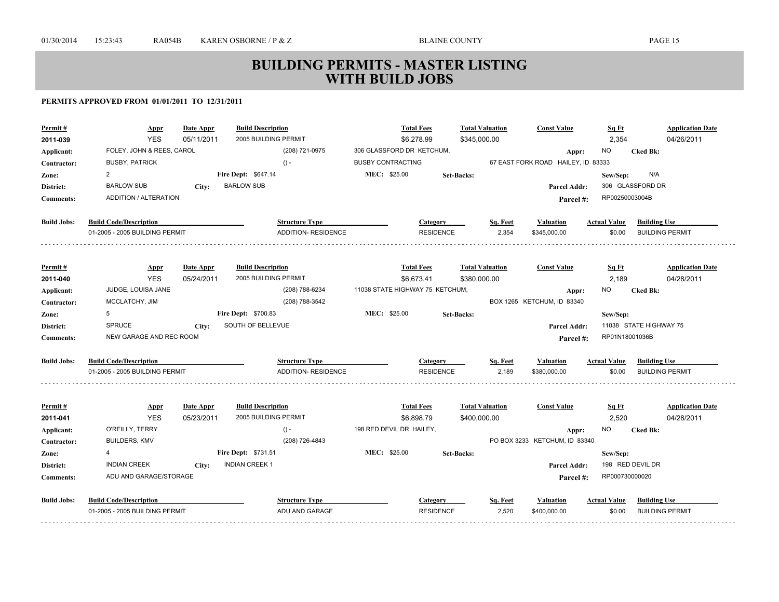| Permit#<br>2011-039 | <b>Appr</b><br><b>YES</b>      | Date Appr<br>05/11/2011 | <b>Build Description</b><br>2005 BUILDING PERMIT | <b>Total Fees</b><br>\$6,278.99 | <b>Total Valuation</b><br>\$345,000.00 |          | <b>Const Value</b>                          | Sq Ft<br>2,354      | <b>Application Date</b><br>04/26/2011 |
|---------------------|--------------------------------|-------------------------|--------------------------------------------------|---------------------------------|----------------------------------------|----------|---------------------------------------------|---------------------|---------------------------------------|
|                     | FOLEY, JOHN & REES, CAROL      |                         | (208) 721-0975                                   | 306 GLASSFORD DR KETCHUM,       |                                        |          |                                             | <b>NO</b>           | <b>Cked Bk:</b>                       |
| Applicant:          | <b>BUSBY, PATRICK</b>          |                         | $() -$                                           | <b>BUSBY CONTRACTING</b>        |                                        |          | Appr:<br>67 EAST FORK ROAD HAILEY, ID 83333 |                     |                                       |
| Contractor:         | $\overline{2}$                 |                         | <b>Fire Dept: \$647.14</b>                       | MEC: \$25.00                    | <b>Set-Backs:</b>                      |          |                                             | Sew/Sep:            | N/A                                   |
| Zone:<br>District:  | <b>BARLOW SUB</b>              | City:                   | <b>BARLOW SUB</b>                                |                                 |                                        |          | Parcel Addr:                                |                     | 306 GLASSFORD DR                      |
| <b>Comments:</b>    | ADDITION / ALTERATION          |                         |                                                  |                                 |                                        |          |                                             | RP00250003004B      |                                       |
|                     |                                |                         |                                                  |                                 |                                        |          | Parcel#:                                    |                     |                                       |
| <b>Build Jobs:</b>  | <b>Build Code/Description</b>  |                         | <b>Structure Type</b>                            | Category                        |                                        | Sq. Feet | <b>Valuation</b>                            | <b>Actual Value</b> | <b>Building Use</b>                   |
|                     | 01-2005 - 2005 BUILDING PERMIT |                         | ADDITION- RESIDENCE                              | <b>RESIDENCE</b>                |                                        | 2,354    | \$345,000.00                                | \$0.00              | <b>BUILDING PERMIT</b>                |
|                     |                                |                         |                                                  |                                 |                                        |          |                                             |                     |                                       |
| Permit#             | <u>Appr</u>                    | Date Appr               | <b>Build Description</b>                         | <b>Total Fees</b>               | <b>Total Valuation</b>                 |          | <b>Const Value</b>                          | Sq Ft               | <b>Application Date</b>               |
| 2011-040            | <b>YES</b>                     | 05/24/2011              | 2005 BUILDING PERMIT                             | \$6,673.41                      | \$380,000.00                           |          |                                             | 2,189               | 04/28/2011                            |
| Applicant:          | JUDGE, LOUISA JANE             |                         | (208) 788-6234                                   | 11038 STATE HIGHWAY 75 KETCHUM, |                                        |          | Appr:                                       | NO.                 | <b>Cked Bk:</b>                       |
| Contractor:         | MCCLATCHY, JIM                 |                         | (208) 788-3542                                   |                                 |                                        |          | BOX 1265 KETCHUM, ID 83340                  |                     |                                       |
| Zone:               | 5                              |                         | <b>Fire Dept: \$700.83</b>                       | MEC: \$25.00                    | <b>Set-Backs:</b>                      |          |                                             | Sew/Sep:            |                                       |
| <b>District:</b>    | SPRUCE                         | City:                   | SOUTH OF BELLEVUE                                |                                 |                                        |          | Parcel Addr:                                |                     | 11038 STATE HIGHWAY 75                |
| <b>Comments:</b>    | NEW GARAGE AND REC ROOM        |                         |                                                  |                                 |                                        |          | Parcel#:                                    | RP01N18001036B      |                                       |
| <b>Build Jobs:</b>  | <b>Build Code/Description</b>  |                         | <b>Structure Type</b>                            | <b>Category</b>                 |                                        | Sq. Feet | <b>Valuation</b>                            | <b>Actual Value</b> | <b>Building Use</b>                   |
|                     | 01-2005 - 2005 BUILDING PERMIT |                         | ADDITION- RESIDENCE                              | <b>RESIDENCE</b>                |                                        | 2,189    | \$380,000.00                                | \$0.00              | <b>BUILDING PERMIT</b>                |
|                     |                                |                         |                                                  |                                 |                                        |          |                                             |                     |                                       |
| Permit#             | <b>Appr</b>                    | Date Appr               | <b>Build Description</b>                         | <b>Total Fees</b>               | <b>Total Valuation</b>                 |          | <b>Const Value</b>                          | <u>Sq Ft</u>        | <b>Application Date</b>               |
| 2011-041            | <b>YES</b>                     | 05/23/2011              | 2005 BUILDING PERMIT                             | \$6,898.79                      | \$400,000.00                           |          |                                             | 2,520               | 04/28/2011                            |
| Applicant:          | O'REILLY, TERRY                |                         | $() -$                                           | 198 RED DEVIL DR HAILEY,        |                                        |          | Appr:                                       | NO.                 | <b>Cked Bk:</b>                       |
| Contractor:         | <b>BUILDERS, KMV</b>           |                         | (208) 726-4843                                   |                                 |                                        |          | PO BOX 3233 KETCHUM, ID 83340               |                     |                                       |
| Zone:               | 4                              |                         | Fire Dept: \$731.51                              | MEC: \$25.00                    | <b>Set-Backs:</b>                      |          |                                             | Sew/Sep:            |                                       |
| <b>District:</b>    | <b>INDIAN CREEK</b>            | City:                   | <b>INDIAN CREEK 1</b>                            |                                 |                                        |          | Parcel Addr:                                |                     | 198 RED DEVIL DR                      |
| <b>Comments:</b>    | ADU AND GARAGE/STORAGE         |                         |                                                  |                                 |                                        |          | Parcel #:                                   | RP000730000020      |                                       |
| <b>Build Jobs:</b>  | <b>Build Code/Description</b>  |                         | <b>Structure Type</b>                            | Category                        |                                        | Sq. Feet | <b>Valuation</b>                            | <b>Actual Value</b> | <b>Building Use</b>                   |
|                     | 01-2005 - 2005 BUILDING PERMIT |                         | ADU AND GARAGE                                   | <b>RESIDENCE</b>                |                                        | 2,520    | \$400,000.00                                | \$0.00              | <b>BUILDING PERMIT</b>                |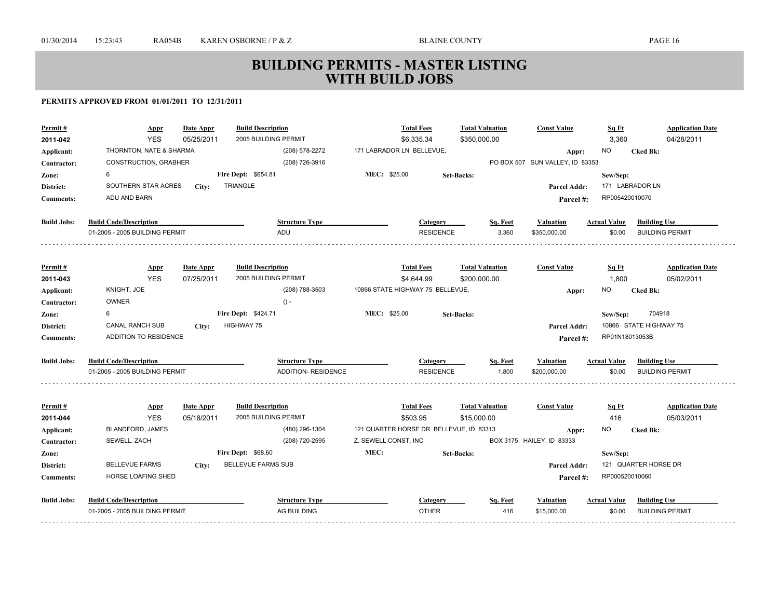| \$350,000.00<br>THORNTON, NATE & SHARMA<br>(208) 578-2272<br>171 LABRADOR LN BELLEVUE,<br><b>NO</b><br><b>Cked Bk:</b><br>Applicant:<br>Appr:<br>(208) 726-3916<br>PO BOX 507 SUN VALLEY, ID 83353<br>CONSTRUCTION, GRABHER<br>Contractor:<br>6<br>Fire Dept: \$654.81<br>MEC: \$25.00<br><b>Set-Backs:</b><br>Sew/Sep:<br>Zone:<br>TRIANGLE<br>171 LABRADOR LN<br>SOUTHERN STAR ACRES<br>District:<br>Parcel Addr:<br>City:<br>ADU AND BARN<br>RP005420010070<br><b>Comments:</b><br>Parcel#:<br><b>Build Jobs:</b><br><b>Build Code/Description</b><br><b>Structure Type</b><br><b>Building Use</b><br>Category<br>Sq. Feet<br><b>Valuation</b><br><b>Actual Value</b><br>3,360<br>01-2005 - 2005 BUILDING PERMIT<br>ADU<br><b>RESIDENCE</b><br>\$350,000.00<br>\$0.00<br><b>BUILDING PERMIT</b><br><b>Total Fees</b><br><b>Total Valuation</b><br>Permit#<br>Date Appr<br><b>Build Description</b><br><b>Const Value</b><br>Sq Ft<br><b>Application Date</b><br><b>Appr</b><br><b>YES</b><br>07/25/2011<br>2005 BUILDING PERMIT<br>\$4,644.99<br>\$200,000.00<br>1,800<br>05/02/2011<br>2011-043<br>KNIGHT, JOE<br>(208) 788-3503<br>10866 STATE HIGHWAY 75 BELLEVUE,<br>NO.<br>Applicant:<br><b>Cked Bk:</b><br>Appr:<br><b>OWNER</b><br>$() -$<br>Contractor:<br>MEC: \$25.00<br>6<br>Fire Dept: \$424.71<br>704918<br>Sew/Sep:<br>Zone:<br><b>Set-Backs:</b><br>CANAL RANCH SUB<br><b>HIGHWAY 75</b><br>10866 STATE HIGHWAY 75<br>District:<br>Parcel Addr:<br>City:<br>RP01N18013053B<br>ADDITION TO RESIDENCE<br><b>Comments:</b><br>Parcel#:<br><b>Build Jobs:</b><br><b>Build Code/Description</b><br><b>Structure Type</b><br>Sq. Feet<br><b>Actual Value</b><br><b>Building Use</b><br>Category<br><b>Valuation</b><br><b>RESIDENCE</b><br>1,800<br>01-2005 - 2005 BUILDING PERMIT<br><b>ADDITION- RESIDENCE</b><br>\$200,000.00<br>\$0.00<br><b>BUILDING PERMIT</b><br><b>Build Description</b><br><b>Total Fees</b><br><b>Total Valuation</b><br><b>Const Value</b><br>Permit#<br>Date Appr<br>Sq Ft<br><b>Application Date</b><br><b>Appr</b><br>2005 BUILDING PERMIT<br>\$503.95<br>416<br>05/03/2011<br>2011-044<br><b>YES</b><br>05/18/2011<br>\$15,000.00<br><b>BLANDFORD, JAMES</b><br>(480) 296-1304<br>121 QUARTER HORSE DR BELLEVUE, ID 83313<br><b>NO</b><br>Applicant:<br><b>Cked Bk:</b><br>Appr:<br>(208) 720-2595<br>Z. SEWELL CONST, INC<br>SEWELL, ZACH<br>BOX 3175 HAILEY, ID 83333<br>Contractor:<br>MEC:<br>Fire Dept: \$68.60<br><b>Set-Backs:</b><br>Sew/Sep:<br>Zone:<br><b>BELLEVUE FARMS SUB</b><br>121 QUARTER HORSE DR<br><b>BELLEVUE FARMS</b><br>District:<br>Parcel Addr:<br>City:<br>HORSE LOAFING SHED<br>RP000520010060<br><b>Comments:</b><br>Parcel#:<br><b>Build Jobs:</b><br><b>Build Code/Description</b><br><b>Structure Type</b><br><b>Building Use</b><br>Sq. Feet<br><b>Actual Value</b><br>Category<br>Valuation<br><b>OTHER</b> | Permit#<br>2011-042 | <b>Appr</b><br><b>YES</b>      | Date Appr<br>05/25/2011 | <b>Build Description</b><br>2005 BUILDING PERMIT | <b>Total Fees</b><br>\$6,335.34 | <b>Total Valuation</b> | <b>Const Value</b> | Sq Ft<br>3,360 | <b>Application Date</b><br>04/28/2011 |
|------------------------------------------------------------------------------------------------------------------------------------------------------------------------------------------------------------------------------------------------------------------------------------------------------------------------------------------------------------------------------------------------------------------------------------------------------------------------------------------------------------------------------------------------------------------------------------------------------------------------------------------------------------------------------------------------------------------------------------------------------------------------------------------------------------------------------------------------------------------------------------------------------------------------------------------------------------------------------------------------------------------------------------------------------------------------------------------------------------------------------------------------------------------------------------------------------------------------------------------------------------------------------------------------------------------------------------------------------------------------------------------------------------------------------------------------------------------------------------------------------------------------------------------------------------------------------------------------------------------------------------------------------------------------------------------------------------------------------------------------------------------------------------------------------------------------------------------------------------------------------------------------------------------------------------------------------------------------------------------------------------------------------------------------------------------------------------------------------------------------------------------------------------------------------------------------------------------------------------------------------------------------------------------------------------------------------------------------------------------------------------------------------------------------------------------------------------------------------------------------------------------------------------------------------------------------------------------------------------------------------------------------------------------------------------------------------------------------------------------------------------------------------------------------------------------------------------------------------------------------------------------|---------------------|--------------------------------|-------------------------|--------------------------------------------------|---------------------------------|------------------------|--------------------|----------------|---------------------------------------|
|                                                                                                                                                                                                                                                                                                                                                                                                                                                                                                                                                                                                                                                                                                                                                                                                                                                                                                                                                                                                                                                                                                                                                                                                                                                                                                                                                                                                                                                                                                                                                                                                                                                                                                                                                                                                                                                                                                                                                                                                                                                                                                                                                                                                                                                                                                                                                                                                                                                                                                                                                                                                                                                                                                                                                                                                                                                                                          |                     |                                |                         |                                                  |                                 |                        |                    |                |                                       |
|                                                                                                                                                                                                                                                                                                                                                                                                                                                                                                                                                                                                                                                                                                                                                                                                                                                                                                                                                                                                                                                                                                                                                                                                                                                                                                                                                                                                                                                                                                                                                                                                                                                                                                                                                                                                                                                                                                                                                                                                                                                                                                                                                                                                                                                                                                                                                                                                                                                                                                                                                                                                                                                                                                                                                                                                                                                                                          |                     |                                |                         |                                                  |                                 |                        |                    |                |                                       |
|                                                                                                                                                                                                                                                                                                                                                                                                                                                                                                                                                                                                                                                                                                                                                                                                                                                                                                                                                                                                                                                                                                                                                                                                                                                                                                                                                                                                                                                                                                                                                                                                                                                                                                                                                                                                                                                                                                                                                                                                                                                                                                                                                                                                                                                                                                                                                                                                                                                                                                                                                                                                                                                                                                                                                                                                                                                                                          |                     |                                |                         |                                                  |                                 |                        |                    |                |                                       |
|                                                                                                                                                                                                                                                                                                                                                                                                                                                                                                                                                                                                                                                                                                                                                                                                                                                                                                                                                                                                                                                                                                                                                                                                                                                                                                                                                                                                                                                                                                                                                                                                                                                                                                                                                                                                                                                                                                                                                                                                                                                                                                                                                                                                                                                                                                                                                                                                                                                                                                                                                                                                                                                                                                                                                                                                                                                                                          |                     |                                |                         |                                                  |                                 |                        |                    |                |                                       |
|                                                                                                                                                                                                                                                                                                                                                                                                                                                                                                                                                                                                                                                                                                                                                                                                                                                                                                                                                                                                                                                                                                                                                                                                                                                                                                                                                                                                                                                                                                                                                                                                                                                                                                                                                                                                                                                                                                                                                                                                                                                                                                                                                                                                                                                                                                                                                                                                                                                                                                                                                                                                                                                                                                                                                                                                                                                                                          |                     |                                |                         |                                                  |                                 |                        |                    |                |                                       |
|                                                                                                                                                                                                                                                                                                                                                                                                                                                                                                                                                                                                                                                                                                                                                                                                                                                                                                                                                                                                                                                                                                                                                                                                                                                                                                                                                                                                                                                                                                                                                                                                                                                                                                                                                                                                                                                                                                                                                                                                                                                                                                                                                                                                                                                                                                                                                                                                                                                                                                                                                                                                                                                                                                                                                                                                                                                                                          |                     |                                |                         |                                                  |                                 |                        |                    |                |                                       |
|                                                                                                                                                                                                                                                                                                                                                                                                                                                                                                                                                                                                                                                                                                                                                                                                                                                                                                                                                                                                                                                                                                                                                                                                                                                                                                                                                                                                                                                                                                                                                                                                                                                                                                                                                                                                                                                                                                                                                                                                                                                                                                                                                                                                                                                                                                                                                                                                                                                                                                                                                                                                                                                                                                                                                                                                                                                                                          |                     |                                |                         |                                                  |                                 |                        |                    |                |                                       |
|                                                                                                                                                                                                                                                                                                                                                                                                                                                                                                                                                                                                                                                                                                                                                                                                                                                                                                                                                                                                                                                                                                                                                                                                                                                                                                                                                                                                                                                                                                                                                                                                                                                                                                                                                                                                                                                                                                                                                                                                                                                                                                                                                                                                                                                                                                                                                                                                                                                                                                                                                                                                                                                                                                                                                                                                                                                                                          |                     |                                |                         |                                                  |                                 |                        |                    |                |                                       |
|                                                                                                                                                                                                                                                                                                                                                                                                                                                                                                                                                                                                                                                                                                                                                                                                                                                                                                                                                                                                                                                                                                                                                                                                                                                                                                                                                                                                                                                                                                                                                                                                                                                                                                                                                                                                                                                                                                                                                                                                                                                                                                                                                                                                                                                                                                                                                                                                                                                                                                                                                                                                                                                                                                                                                                                                                                                                                          |                     |                                |                         |                                                  |                                 |                        |                    |                |                                       |
|                                                                                                                                                                                                                                                                                                                                                                                                                                                                                                                                                                                                                                                                                                                                                                                                                                                                                                                                                                                                                                                                                                                                                                                                                                                                                                                                                                                                                                                                                                                                                                                                                                                                                                                                                                                                                                                                                                                                                                                                                                                                                                                                                                                                                                                                                                                                                                                                                                                                                                                                                                                                                                                                                                                                                                                                                                                                                          |                     |                                |                         |                                                  |                                 |                        |                    |                |                                       |
|                                                                                                                                                                                                                                                                                                                                                                                                                                                                                                                                                                                                                                                                                                                                                                                                                                                                                                                                                                                                                                                                                                                                                                                                                                                                                                                                                                                                                                                                                                                                                                                                                                                                                                                                                                                                                                                                                                                                                                                                                                                                                                                                                                                                                                                                                                                                                                                                                                                                                                                                                                                                                                                                                                                                                                                                                                                                                          |                     |                                |                         |                                                  |                                 |                        |                    |                |                                       |
|                                                                                                                                                                                                                                                                                                                                                                                                                                                                                                                                                                                                                                                                                                                                                                                                                                                                                                                                                                                                                                                                                                                                                                                                                                                                                                                                                                                                                                                                                                                                                                                                                                                                                                                                                                                                                                                                                                                                                                                                                                                                                                                                                                                                                                                                                                                                                                                                                                                                                                                                                                                                                                                                                                                                                                                                                                                                                          |                     |                                |                         |                                                  |                                 |                        |                    |                |                                       |
|                                                                                                                                                                                                                                                                                                                                                                                                                                                                                                                                                                                                                                                                                                                                                                                                                                                                                                                                                                                                                                                                                                                                                                                                                                                                                                                                                                                                                                                                                                                                                                                                                                                                                                                                                                                                                                                                                                                                                                                                                                                                                                                                                                                                                                                                                                                                                                                                                                                                                                                                                                                                                                                                                                                                                                                                                                                                                          |                     |                                |                         |                                                  |                                 |                        |                    |                |                                       |
|                                                                                                                                                                                                                                                                                                                                                                                                                                                                                                                                                                                                                                                                                                                                                                                                                                                                                                                                                                                                                                                                                                                                                                                                                                                                                                                                                                                                                                                                                                                                                                                                                                                                                                                                                                                                                                                                                                                                                                                                                                                                                                                                                                                                                                                                                                                                                                                                                                                                                                                                                                                                                                                                                                                                                                                                                                                                                          |                     |                                |                         |                                                  |                                 |                        |                    |                |                                       |
|                                                                                                                                                                                                                                                                                                                                                                                                                                                                                                                                                                                                                                                                                                                                                                                                                                                                                                                                                                                                                                                                                                                                                                                                                                                                                                                                                                                                                                                                                                                                                                                                                                                                                                                                                                                                                                                                                                                                                                                                                                                                                                                                                                                                                                                                                                                                                                                                                                                                                                                                                                                                                                                                                                                                                                                                                                                                                          |                     |                                |                         |                                                  |                                 |                        |                    |                |                                       |
|                                                                                                                                                                                                                                                                                                                                                                                                                                                                                                                                                                                                                                                                                                                                                                                                                                                                                                                                                                                                                                                                                                                                                                                                                                                                                                                                                                                                                                                                                                                                                                                                                                                                                                                                                                                                                                                                                                                                                                                                                                                                                                                                                                                                                                                                                                                                                                                                                                                                                                                                                                                                                                                                                                                                                                                                                                                                                          |                     |                                |                         |                                                  |                                 |                        |                    |                |                                       |
|                                                                                                                                                                                                                                                                                                                                                                                                                                                                                                                                                                                                                                                                                                                                                                                                                                                                                                                                                                                                                                                                                                                                                                                                                                                                                                                                                                                                                                                                                                                                                                                                                                                                                                                                                                                                                                                                                                                                                                                                                                                                                                                                                                                                                                                                                                                                                                                                                                                                                                                                                                                                                                                                                                                                                                                                                                                                                          |                     |                                |                         |                                                  |                                 |                        |                    |                |                                       |
|                                                                                                                                                                                                                                                                                                                                                                                                                                                                                                                                                                                                                                                                                                                                                                                                                                                                                                                                                                                                                                                                                                                                                                                                                                                                                                                                                                                                                                                                                                                                                                                                                                                                                                                                                                                                                                                                                                                                                                                                                                                                                                                                                                                                                                                                                                                                                                                                                                                                                                                                                                                                                                                                                                                                                                                                                                                                                          |                     |                                |                         |                                                  |                                 |                        |                    |                |                                       |
|                                                                                                                                                                                                                                                                                                                                                                                                                                                                                                                                                                                                                                                                                                                                                                                                                                                                                                                                                                                                                                                                                                                                                                                                                                                                                                                                                                                                                                                                                                                                                                                                                                                                                                                                                                                                                                                                                                                                                                                                                                                                                                                                                                                                                                                                                                                                                                                                                                                                                                                                                                                                                                                                                                                                                                                                                                                                                          |                     |                                |                         |                                                  |                                 |                        |                    |                |                                       |
|                                                                                                                                                                                                                                                                                                                                                                                                                                                                                                                                                                                                                                                                                                                                                                                                                                                                                                                                                                                                                                                                                                                                                                                                                                                                                                                                                                                                                                                                                                                                                                                                                                                                                                                                                                                                                                                                                                                                                                                                                                                                                                                                                                                                                                                                                                                                                                                                                                                                                                                                                                                                                                                                                                                                                                                                                                                                                          |                     |                                |                         |                                                  |                                 |                        |                    |                |                                       |
|                                                                                                                                                                                                                                                                                                                                                                                                                                                                                                                                                                                                                                                                                                                                                                                                                                                                                                                                                                                                                                                                                                                                                                                                                                                                                                                                                                                                                                                                                                                                                                                                                                                                                                                                                                                                                                                                                                                                                                                                                                                                                                                                                                                                                                                                                                                                                                                                                                                                                                                                                                                                                                                                                                                                                                                                                                                                                          |                     |                                |                         |                                                  |                                 |                        |                    |                |                                       |
|                                                                                                                                                                                                                                                                                                                                                                                                                                                                                                                                                                                                                                                                                                                                                                                                                                                                                                                                                                                                                                                                                                                                                                                                                                                                                                                                                                                                                                                                                                                                                                                                                                                                                                                                                                                                                                                                                                                                                                                                                                                                                                                                                                                                                                                                                                                                                                                                                                                                                                                                                                                                                                                                                                                                                                                                                                                                                          |                     |                                |                         |                                                  |                                 |                        |                    |                |                                       |
|                                                                                                                                                                                                                                                                                                                                                                                                                                                                                                                                                                                                                                                                                                                                                                                                                                                                                                                                                                                                                                                                                                                                                                                                                                                                                                                                                                                                                                                                                                                                                                                                                                                                                                                                                                                                                                                                                                                                                                                                                                                                                                                                                                                                                                                                                                                                                                                                                                                                                                                                                                                                                                                                                                                                                                                                                                                                                          |                     |                                |                         |                                                  |                                 |                        |                    |                |                                       |
|                                                                                                                                                                                                                                                                                                                                                                                                                                                                                                                                                                                                                                                                                                                                                                                                                                                                                                                                                                                                                                                                                                                                                                                                                                                                                                                                                                                                                                                                                                                                                                                                                                                                                                                                                                                                                                                                                                                                                                                                                                                                                                                                                                                                                                                                                                                                                                                                                                                                                                                                                                                                                                                                                                                                                                                                                                                                                          |                     |                                |                         |                                                  |                                 |                        |                    |                |                                       |
|                                                                                                                                                                                                                                                                                                                                                                                                                                                                                                                                                                                                                                                                                                                                                                                                                                                                                                                                                                                                                                                                                                                                                                                                                                                                                                                                                                                                                                                                                                                                                                                                                                                                                                                                                                                                                                                                                                                                                                                                                                                                                                                                                                                                                                                                                                                                                                                                                                                                                                                                                                                                                                                                                                                                                                                                                                                                                          |                     |                                |                         |                                                  |                                 |                        |                    |                |                                       |
|                                                                                                                                                                                                                                                                                                                                                                                                                                                                                                                                                                                                                                                                                                                                                                                                                                                                                                                                                                                                                                                                                                                                                                                                                                                                                                                                                                                                                                                                                                                                                                                                                                                                                                                                                                                                                                                                                                                                                                                                                                                                                                                                                                                                                                                                                                                                                                                                                                                                                                                                                                                                                                                                                                                                                                                                                                                                                          |                     |                                |                         |                                                  |                                 |                        |                    |                |                                       |
|                                                                                                                                                                                                                                                                                                                                                                                                                                                                                                                                                                                                                                                                                                                                                                                                                                                                                                                                                                                                                                                                                                                                                                                                                                                                                                                                                                                                                                                                                                                                                                                                                                                                                                                                                                                                                                                                                                                                                                                                                                                                                                                                                                                                                                                                                                                                                                                                                                                                                                                                                                                                                                                                                                                                                                                                                                                                                          |                     |                                |                         |                                                  |                                 |                        |                    |                |                                       |
|                                                                                                                                                                                                                                                                                                                                                                                                                                                                                                                                                                                                                                                                                                                                                                                                                                                                                                                                                                                                                                                                                                                                                                                                                                                                                                                                                                                                                                                                                                                                                                                                                                                                                                                                                                                                                                                                                                                                                                                                                                                                                                                                                                                                                                                                                                                                                                                                                                                                                                                                                                                                                                                                                                                                                                                                                                                                                          |                     | 01-2005 - 2005 BUILDING PERMIT |                         | AG BUILDING                                      |                                 | 416                    | \$15,000.00        | \$0.00         | <b>BUILDING PERMIT</b>                |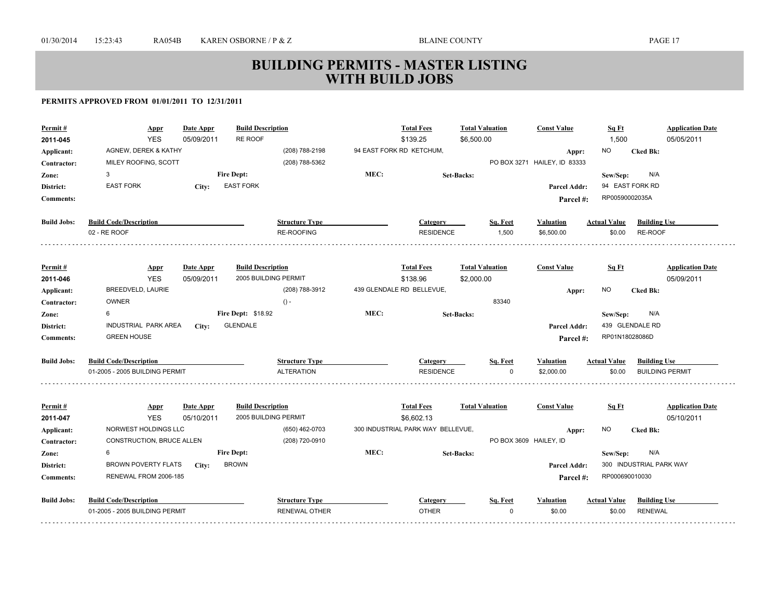| Permit#             | Appr                           | <b>Date Appr</b>        | <b>Build Description</b>                         |                       |      | <b>Total Fees</b>                 | <b>Total Valuation</b> | <b>Const Value</b>           | Sq Ft               | <b>Application Date</b> |
|---------------------|--------------------------------|-------------------------|--------------------------------------------------|-----------------------|------|-----------------------------------|------------------------|------------------------------|---------------------|-------------------------|
| 2011-045            | <b>YES</b>                     | 05/09/2011              | RE ROOF                                          |                       |      | \$139.25                          | \$6,500.00             |                              | 1,500               | 05/05/2011              |
| Applicant:          | AGNEW, DEREK & KATHY           |                         |                                                  | (208) 788-2198        |      | 94 EAST FORK RD KETCHUM,          |                        | Appr:                        | <b>NO</b>           | <b>Cked Bk:</b>         |
| Contractor:         | MILEY ROOFING, SCOTT           |                         |                                                  | (208) 788-5362        |      |                                   |                        | PO BOX 3271 HAILEY, ID 83333 |                     |                         |
| Zone:               | 3                              |                         | <b>Fire Dept:</b>                                |                       | MEC: |                                   | <b>Set-Backs:</b>      |                              | Sew/Sep:            | N/A                     |
| District:           | <b>EAST FORK</b>               | City:                   | <b>EAST FORK</b>                                 |                       |      |                                   |                        | <b>Parcel Addr:</b>          |                     | 94 EAST FORK RD         |
| <b>Comments:</b>    |                                |                         |                                                  |                       |      |                                   |                        | Parcel#:                     | RP00590002035A      |                         |
| <b>Build Jobs:</b>  | <b>Build Code/Description</b>  |                         |                                                  | <b>Structure Type</b> |      | Category                          | Sq. Feet               | <b>Valuation</b>             | <b>Actual Value</b> | <b>Building Use</b>     |
|                     | 02 - RE ROOF                   |                         |                                                  | <b>RE-ROOFING</b>     |      | <b>RESIDENCE</b>                  | 1,500                  | \$6,500.00                   | \$0.00              | RE-ROOF                 |
|                     |                                |                         | <b>Build Description</b>                         |                       |      | <b>Total Fees</b>                 | <b>Total Valuation</b> | <b>Const Value</b>           | Sq Ft               | <b>Application Date</b> |
| Permit#<br>2011-046 | <b>Appr</b><br><b>YES</b>      | Date Appr<br>05/09/2011 | 2005 BUILDING PERMIT                             |                       |      | \$138.96                          | \$2,000.00             |                              |                     | 05/09/2011              |
| Applicant:          | <b>BREEDVELD, LAURIE</b>       |                         |                                                  | (208) 788-3912        |      | 439 GLENDALE RD BELLEVUE,         |                        |                              | <b>NO</b>           | <b>Cked Bk:</b>         |
| Contractor:         | <b>OWNER</b>                   |                         |                                                  | $() -$                |      |                                   | 83340                  | Appr:                        |                     |                         |
| Zone:               | 6                              |                         | <b>Fire Dept: \$18.92</b>                        |                       | MEC: |                                   | <b>Set-Backs:</b>      |                              | Sew/Sep:            | N/A                     |
| District:           | INDUSTRIAL PARK AREA           | City:                   | <b>GLENDALE</b>                                  |                       |      |                                   |                        | <b>Parcel Addr:</b>          |                     | 439 GLENDALE RD         |
| <b>Comments:</b>    | <b>GREEN HOUSE</b>             |                         |                                                  |                       |      |                                   |                        | Parcel#:                     | RP01N18028086D      |                         |
|                     |                                |                         |                                                  |                       |      |                                   |                        |                              |                     |                         |
| <b>Build Jobs:</b>  | <b>Build Code/Description</b>  |                         |                                                  | <b>Structure Type</b> |      | Category                          | Sq. Feet               | <b>Valuation</b>             | <b>Actual Value</b> | <b>Building Use</b>     |
|                     | 01-2005 - 2005 BUILDING PERMIT |                         |                                                  | <b>ALTERATION</b>     |      | <b>RESIDENCE</b>                  | $\Omega$               | \$2,000.00                   | \$0.00              | <b>BUILDING PERMIT</b>  |
|                     |                                |                         |                                                  |                       |      | <b>Total Fees</b>                 |                        |                              |                     | <b>Application Date</b> |
| Permit#<br>2011-047 | <b>Appr</b><br><b>YES</b>      | Date Appr<br>05/10/2011 | <b>Build Description</b><br>2005 BUILDING PERMIT |                       |      | \$6,602.13                        | <b>Total Valuation</b> | <b>Const Value</b>           | Sq Ft               | 05/10/2011              |
| Applicant:          | NORWEST HOLDINGS LLC           |                         |                                                  | (650) 462-0703        |      | 300 INDUSTRIAL PARK WAY BELLEVUE, |                        | Appr:                        | NO.                 | <b>Cked Bk:</b>         |
| Contractor:         | CONSTRUCTION, BRUCE ALLEN      |                         |                                                  | (208) 720-0910        |      |                                   |                        | PO BOX 3609 HAILEY, ID       |                     |                         |
| Zone:               | 6                              |                         | <b>Fire Dept:</b>                                |                       | MEC: |                                   | <b>Set-Backs:</b>      |                              | Sew/Sep:            | N/A                     |
| District:           | <b>BROWN POVERTY FLATS</b>     | City:                   | <b>BROWN</b>                                     |                       |      |                                   |                        | Parcel Addr:                 |                     | 300 INDUSTRIAL PARK WAY |
| <b>Comments:</b>    | RENEWAL FROM 2006-185          |                         |                                                  |                       |      |                                   |                        | Parcel #:                    | RP000690010030      |                         |
| <b>Build Jobs:</b>  | <b>Build Code/Description</b>  |                         |                                                  | <b>Structure Type</b> |      | Category                          | Sq. Feet               | <b>Valuation</b>             | <b>Actual Value</b> | <b>Building Use</b>     |
|                     | 01-2005 - 2005 BUILDING PERMIT |                         |                                                  | <b>RENEWAL OTHER</b>  |      | <b>OTHER</b>                      | $\Omega$               | \$0.00                       | \$0.00              | <b>RENEWAL</b>          |
|                     |                                |                         |                                                  |                       |      |                                   |                        |                              |                     |                         |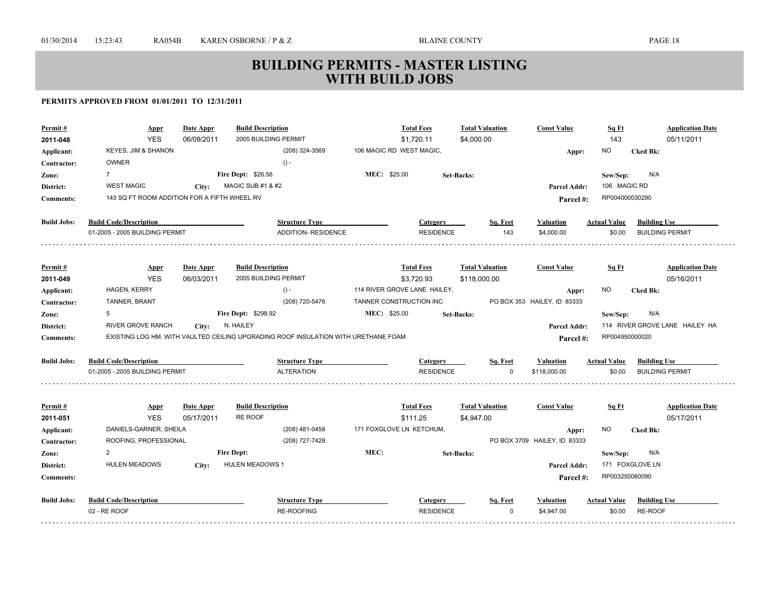| Permit #<br>2011-048 | Appr<br><b>YES</b>                           | <b>Date Appr</b><br>06/09/2011 | <b>Build Description</b><br>2005 BUILDING PERMIT                                   | <b>Total Fees</b><br>\$1,720.11      |                   | <b>Total Valuation</b><br>\$4,000.00 | <b>Const Value</b>                    | Sq Ft<br>143        | <b>Application Date</b><br>05/11/2011 |
|----------------------|----------------------------------------------|--------------------------------|------------------------------------------------------------------------------------|--------------------------------------|-------------------|--------------------------------------|---------------------------------------|---------------------|---------------------------------------|
| Applicant:           | KEYES, JIM & SHANON                          |                                | (208) 324-3569                                                                     | 106 MAGIC RD WEST MAGIC,             |                   |                                      |                                       | <b>NO</b>           | <b>Cked Bk:</b>                       |
| Contractor:          | <b>OWNER</b>                                 |                                | $() -$                                                                             |                                      |                   |                                      | Appr:                                 |                     |                                       |
| Zone:                | $\overline{7}$                               |                                | Fire Dept: \$26.56                                                                 | MEC: \$25.00                         | <b>Set-Backs:</b> |                                      |                                       | Sew/Sep:            | N/A                                   |
| District:            | <b>WEST MAGIC</b>                            | City:                          | MAGIC SUB #1 & #2                                                                  |                                      |                   |                                      | Parcel Addr:                          | 106 MAGIC RD        |                                       |
| <b>Comments:</b>     | 143 SQ FT ROOM ADDITION FOR A FIFTH WHEEL RV |                                |                                                                                    |                                      |                   |                                      | Parcel #:                             | RP004000030290      |                                       |
|                      |                                              |                                |                                                                                    |                                      |                   |                                      |                                       |                     |                                       |
| <b>Build Jobs:</b>   | <b>Build Code/Description</b>                |                                | <b>Structure Type</b>                                                              |                                      | Category          | Sq. Feet                             | Valuation                             | <b>Actual Value</b> | <b>Building Use</b>                   |
|                      | 01-2005 - 2005 BUILDING PERMIT               |                                | ADDITION- RESIDENCE                                                                |                                      | <b>RESIDENCE</b>  | 143                                  | \$4,000.00                            | \$0.00              | <b>BUILDING PERMIT</b>                |
|                      |                                              |                                |                                                                                    |                                      |                   |                                      |                                       |                     |                                       |
| Permit#              | <b>Appr</b>                                  | Date Appr                      | <b>Build Description</b>                                                           | <b>Total Fees</b>                    |                   | <b>Total Valuation</b>               | <b>Const Value</b>                    | Sq Ft               | <b>Application Date</b>               |
| 2011-049             | <b>YES</b>                                   | 06/03/2011                     | 2005 BUILDING PERMIT                                                               | \$3,720.93                           |                   | \$118,000.00                         |                                       |                     | 05/16/2011                            |
| Applicant:           | HAGEN, KERRY                                 |                                | $() -$                                                                             | 114 RIVER GROVE LANE HAILEY,         |                   |                                      | Appr:                                 | NO.                 | <b>Cked Bk:</b>                       |
| Contractor:          | TANNER, BRANT                                |                                | (208) 720-5476                                                                     | TANNER CONSTRUCTION INC              |                   |                                      | PO BOX 353 HAILEY, ID 83333           |                     |                                       |
| Zone:                | 5                                            |                                | Fire Dept: \$298.92                                                                | MEC: \$25.00                         | <b>Set-Backs:</b> |                                      |                                       | Sew/Sep:            | N/A                                   |
| District:            | RIVER GROVE RANCH                            | City:                          | N. HAILEY                                                                          |                                      |                   |                                      | Parcel Addr:                          |                     | 114 RIVER GROVE LANE HAILEY HA        |
| <b>Comments:</b>     |                                              |                                | EXISTING LOG HM. WITH VAULTED CEILING UPGRADING ROOF INSULATION WITH URETHANE FOAM |                                      |                   |                                      | Parcel#:                              | RP004950000020      |                                       |
| <b>Build Jobs:</b>   | <b>Build Code/Description</b>                |                                | <b>Structure Type</b>                                                              |                                      | Category          | Sq. Feet                             | Valuation                             | <b>Actual Value</b> | <b>Building Use</b>                   |
|                      | 01-2005 - 2005 BUILDING PERMIT               |                                | <b>ALTERATION</b>                                                                  |                                      | <b>RESIDENCE</b>  |                                      | \$118,000.00                          | \$0.00              | <b>BUILDING PERMIT</b>                |
|                      |                                              |                                |                                                                                    |                                      |                   |                                      |                                       |                     |                                       |
| Permit#              | <b>Appr</b>                                  | Date Appr                      | <b>Build Description</b><br>RE ROOF                                                | <b>Total Fees</b>                    |                   | <b>Total Valuation</b>               | <b>Const Value</b>                    | Sq Ft               | <b>Application Date</b>               |
| 2011-051             | <b>YES</b><br>DANIELS-GARNER, SHEILA         | 05/17/2011                     | (208) 481-0458                                                                     | \$111.25<br>171 FOXGLOVE LN KETCHUM, |                   | \$4,947.00                           |                                       | <b>NO</b>           | 05/17/2011                            |
| Applicant:           | ROOFING, PROFESSIONAL                        |                                | (208) 727-7428                                                                     |                                      |                   |                                      | Appr:<br>PO BOX 3709 HAILEY, ID 83333 |                     | <b>Cked Bk:</b>                       |
| Contractor:          | 2                                            |                                | <b>Fire Dept:</b>                                                                  | MEC:                                 | <b>Set-Backs:</b> |                                      |                                       | Sew/Sep:            | N/A                                   |
| Zone:<br>District:   | <b>HULEN MEADOWS</b>                         | City:                          | <b>HULEN MEADOWS 1</b>                                                             |                                      |                   |                                      | Parcel Addr:                          |                     | 171 FOXGLOVE LN                       |
|                      |                                              |                                |                                                                                    |                                      |                   |                                      | Parcel #:                             | RP003250060090      |                                       |
|                      |                                              |                                |                                                                                    |                                      |                   |                                      |                                       |                     |                                       |
| <b>Comments:</b>     |                                              |                                |                                                                                    |                                      |                   |                                      |                                       |                     |                                       |
| <b>Build Jobs:</b>   | <b>Build Code/Description</b>                |                                | <b>Structure Type</b>                                                              |                                      | Category          | Sq. Feet                             | Valuation                             | <b>Actual Value</b> | <b>Building Use</b>                   |
|                      | 02 - RE ROOF                                 |                                | <b>RE-ROOFING</b>                                                                  |                                      | <b>RESIDENCE</b>  | $\Omega$                             | \$4,947.00                            | \$0.00              | RE-ROOF                               |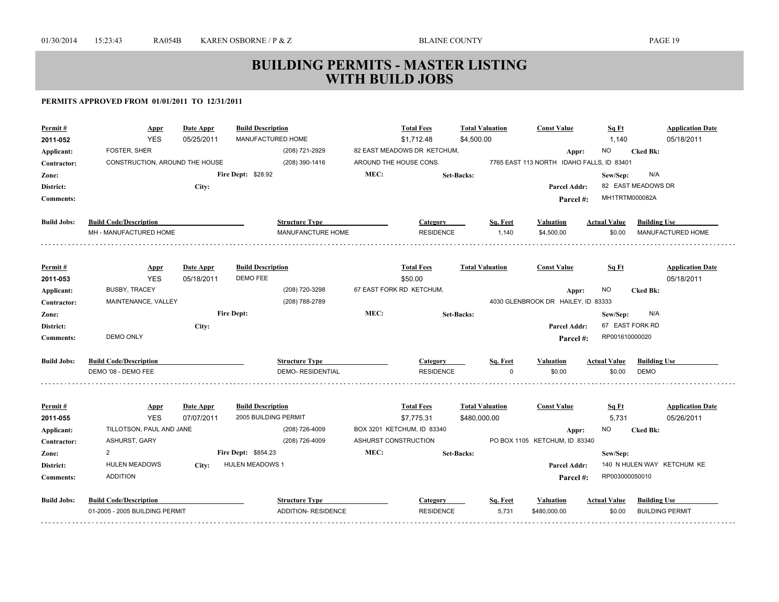| Permit#                   | <b>Appr</b>                            | <b>Date Appr</b> | <b>Build Description</b><br>MANUFACTURED HOME    |                            |                        | <b>Total Fees</b>                         | <b>Total Valuation</b> |          | <b>Const Value</b>                                 | Sq Ft               |                        | <b>Application Date</b>               |
|---------------------------|----------------------------------------|------------------|--------------------------------------------------|----------------------------|------------------------|-------------------------------------------|------------------------|----------|----------------------------------------------------|---------------------|------------------------|---------------------------------------|
| 2011-052                  | <b>YES</b><br>FOSTER, SHER             | 05/25/2011       |                                                  | (208) 721-2929             |                        | \$1,712.48<br>82 EAST MEADOWS DR KETCHUM, | \$4,500.00             |          |                                                    | 1,140               |                        | 05/18/2011                            |
| Applicant:                | CONSTRUCTION, AROUND THE HOUSE         |                  |                                                  | (208) 390-1416             | AROUND THE HOUSE CONS. |                                           |                        |          | Appr:<br>7765 EAST 113 NORTH IDAHO FALLS, ID 83401 | NO                  | <b>Cked Bk:</b>        |                                       |
| Contractor:               |                                        |                  | <b>Fire Dept: \$28.92</b>                        |                            | MEC:                   |                                           |                        |          |                                                    |                     | N/A                    |                                       |
| Zone:                     |                                        |                  |                                                  |                            |                        |                                           | <b>Set-Backs:</b>      |          |                                                    | Sew/Sep:            | 82 EAST MEADOWS DR     |                                       |
| District:                 |                                        | City:            |                                                  |                            |                        |                                           |                        |          | <b>Parcel Addr:</b>                                | MH1TRTM000082A      |                        |                                       |
| <b>Comments:</b>          |                                        |                  |                                                  |                            |                        |                                           |                        |          | Parcel #:                                          |                     |                        |                                       |
| <b>Build Jobs:</b>        | <b>Build Code/Description</b>          |                  |                                                  | <b>Structure Type</b>      |                        | Category                                  |                        | Sq. Feet | <b>Valuation</b>                                   | <b>Actual Value</b> | <b>Building Use</b>    |                                       |
|                           | MH - MANUFACTURED HOME                 |                  |                                                  | MANUFANCTURE HOME          |                        | <b>RESIDENCE</b>                          |                        | 1.140    | \$4,500.00                                         | \$0.00              |                        | <b>MANUFACTURED HOME</b>              |
|                           |                                        |                  |                                                  |                            |                        |                                           |                        |          |                                                    |                     |                        |                                       |
| Permit#                   | <b>Appr</b><br><b>YES</b>              | Date Appr        | <b>Build Description</b><br><b>DEMO FEE</b>      |                            |                        | <b>Total Fees</b><br>\$50.00              | <b>Total Valuation</b> |          | <b>Const Value</b>                                 | Sq Ft               |                        | <b>Application Date</b><br>05/18/2011 |
| 2011-053                  | <b>BUSBY, TRACEY</b>                   | 05/18/2011       |                                                  | (208) 720-3298             |                        | 67 EAST FORK RD KETCHUM,                  |                        |          |                                                    | NO.                 | <b>Cked Bk:</b>        |                                       |
| Applicant:<br>Contractor: | MAINTENANCE, VALLEY                    |                  |                                                  | (208) 788-2789             |                        |                                           |                        |          | Appr:<br>4030 GLENBROOK DR HAILEY, ID 83333        |                     |                        |                                       |
| Zone:                     |                                        |                  | <b>Fire Dept:</b>                                |                            | MEC:                   |                                           | <b>Set-Backs:</b>      |          |                                                    | Sew/Sep:            | N/A                    |                                       |
| District:                 |                                        |                  |                                                  |                            |                        |                                           |                        |          | <b>Parcel Addr:</b>                                |                     | 67 EAST FORK RD        |                                       |
| <b>Comments:</b>          | <b>DEMO ONLY</b>                       | City:            |                                                  |                            |                        |                                           |                        |          |                                                    | RP001610000020      |                        |                                       |
|                           |                                        |                  |                                                  |                            |                        |                                           |                        |          | Parcel #:                                          |                     |                        |                                       |
| <b>Build Jobs:</b>        | <b>Build Code/Description</b>          |                  |                                                  | <b>Structure Type</b>      |                        | Category                                  |                        | Sq. Feet | <b>Valuation</b>                                   | <b>Actual Value</b> | <b>Building Use</b>    |                                       |
|                           | DEMO '08 - DEMO FEE                    |                  |                                                  | <b>DEMO- RESIDENTIAL</b>   |                        | <b>RESIDENCE</b>                          |                        | n        | \$0.00                                             | \$0.00              | <b>DEMO</b>            |                                       |
|                           |                                        |                  |                                                  |                            |                        |                                           |                        |          |                                                    |                     |                        |                                       |
| Permit#                   | <b>Appr</b>                            | Date Appr        | <b>Build Description</b><br>2005 BUILDING PERMIT |                            |                        | <b>Total Fees</b>                         | <b>Total Valuation</b> |          | <b>Const Value</b>                                 | Sq Ft               |                        | <b>Application Date</b>               |
| 2011-055                  | <b>YES</b><br>TILLOTSON, PAUL AND JANE | 07/07/2011       |                                                  | (208) 726-4009             |                        | \$7,775.31<br>BOX 3201 KETCHUM, ID 83340  | \$480,000.00           |          |                                                    | 5,731<br>NO.        |                        | 05/26/2011                            |
| Applicant:<br>Contractor: | ASHURST, GARY                          |                  |                                                  | (208) 726-4009             | ASHURST CONSTRUCTION   |                                           |                        |          | Appr:<br>PO BOX 1105 KETCHUM, ID 83340             |                     | <b>Cked Bk:</b>        |                                       |
| Zone:                     | $\overline{2}$                         |                  | Fire Dept: \$854.23                              |                            | MEC:                   |                                           | <b>Set-Backs:</b>      |          |                                                    | Sew/Sep:            |                        |                                       |
| District:                 | <b>HULEN MEADOWS</b>                   | City:            | <b>HULEN MEADOWS 1</b>                           |                            |                        |                                           |                        |          | Parcel Addr:                                       |                     |                        | 140 N HULEN WAY KETCHUM KE            |
| <b>Comments:</b>          | <b>ADDITION</b>                        |                  |                                                  |                            |                        |                                           |                        |          |                                                    | RP003000050010      |                        |                                       |
|                           |                                        |                  |                                                  |                            |                        |                                           |                        |          | Parcel #:                                          |                     |                        |                                       |
| <b>Build Jobs:</b>        | <b>Build Code/Description</b>          |                  |                                                  | <b>Structure Type</b>      |                        | Category                                  |                        | Sq. Feet | <b>Valuation</b>                                   | <b>Actual Value</b> | <b>Building Use</b>    |                                       |
|                           | 01-2005 - 2005 BUILDING PERMIT         |                  |                                                  | <b>ADDITION- RESIDENCE</b> |                        | <b>RESIDENCE</b>                          |                        | 5,731    | \$480,000.00                                       | \$0.00              | <b>BUILDING PERMIT</b> |                                       |
|                           |                                        |                  |                                                  |                            |                        |                                           |                        |          |                                                    |                     |                        |                                       |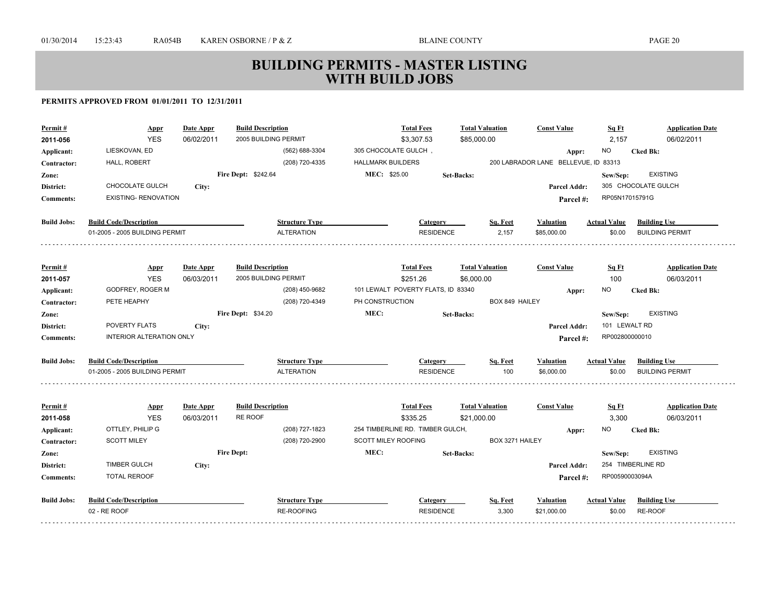| Permit#            | <b>Appr</b>                     | <b>Date Appr</b> | <b>Build Description</b>  | <b>Total Fees</b>                  | <b>Total Valuation</b> | <b>Const Value</b>                   | Sq Ft               | <b>Application Date</b> |
|--------------------|---------------------------------|------------------|---------------------------|------------------------------------|------------------------|--------------------------------------|---------------------|-------------------------|
| 2011-056           | <b>YES</b>                      | 06/02/2011       | 2005 BUILDING PERMIT      | \$3,307.53                         | \$85,000.00            |                                      | 2,157               | 06/02/2011              |
| Applicant:         | LIESKOVAN, ED                   |                  | (562) 688-3304            | 305 CHOCOLATE GULCH,               |                        | Appr:                                | <b>NO</b>           | <b>Cked Bk:</b>         |
| Contractor:        | HALL, ROBERT                    |                  | (208) 720-4335            | <b>HALLMARK BUILDERS</b>           |                        | 200 LABRADOR LANE BELLEVUE, ID 83313 |                     |                         |
| Zone:              |                                 |                  | Fire Dept: \$242.64       | MEC: \$25.00                       | <b>Set-Backs:</b>      |                                      | Sew/Sep:            | <b>EXISTING</b>         |
| District:          | CHOCOLATE GULCH                 | City:            |                           |                                    |                        | Parcel Addr:                         |                     | 305 CHOCOLATE GULCH     |
| <b>Comments:</b>   | <b>EXISTING- RENOVATION</b>     |                  |                           |                                    |                        | Parcel #:                            | RP05N17015791G      |                         |
| <b>Build Jobs:</b> | <b>Build Code/Description</b>   |                  | <b>Structure Type</b>     | Category                           | Sq. Feet               | Valuation                            | <b>Actual Value</b> | <b>Building Use</b>     |
|                    | 01-2005 - 2005 BUILDING PERMIT  |                  | <b>ALTERATION</b>         |                                    | <b>RESIDENCE</b>       | 2,157<br>\$85,000.00                 | \$0.00              | <b>BUILDING PERMIT</b>  |
|                    |                                 |                  |                           |                                    |                        |                                      |                     |                         |
| Permit#            | <b>Appr</b>                     | Date Appr        | <b>Build Description</b>  | <b>Total Fees</b>                  | <b>Total Valuation</b> | <b>Const Value</b>                   | Sq Ft               | <b>Application Date</b> |
| 2011-057           | <b>YES</b>                      | 06/03/2011       | 2005 BUILDING PERMIT      | \$251.26                           | \$6,000.00             |                                      | 100                 | 06/03/2011              |
| Applicant:         | GODFREY, ROGER M                |                  | (208) 450-9682            | 101 LEWALT POVERTY FLATS, ID 83340 |                        | Appr:                                | <b>NO</b>           | <b>Cked Bk:</b>         |
| Contractor:        | PETE HEAPHY                     |                  | (208) 720-4349            | PH CONSTRUCTION                    |                        | BOX 849 HAILEY                       |                     |                         |
| Zone:              |                                 |                  | <b>Fire Dept: \$34.20</b> | MEC:                               | <b>Set-Backs:</b>      |                                      | Sew/Sep:            | <b>EXISTING</b>         |
| District:          | <b>POVERTY FLATS</b>            | City:            |                           |                                    |                        | <b>Parcel Addr:</b>                  | 101 LEWALT RD       |                         |
| <b>Comments:</b>   | <b>INTERIOR ALTERATION ONLY</b> |                  |                           |                                    |                        | Parcel #:                            | RP002800000010      |                         |
| <b>Build Jobs:</b> | <b>Build Code/Description</b>   |                  | <b>Structure Type</b>     | Category                           | Sq. Feet               | Valuation                            | <b>Actual Value</b> | <b>Building Use</b>     |
|                    | 01-2005 - 2005 BUILDING PERMIT  |                  | <b>ALTERATION</b>         |                                    | <b>RESIDENCE</b>       | 100<br>\$6,000.00                    | \$0.00              | <b>BUILDING PERMIT</b>  |
| Permit#            | Appr                            | Date Appr        | <b>Build Description</b>  | <b>Total Fees</b>                  | <b>Total Valuation</b> | <b>Const Value</b>                   | Sq Ft               | <b>Application Date</b> |
| 2011-058           | <b>YES</b>                      | 06/03/2011       | RE ROOF                   | \$335.25                           | \$21,000.00            |                                      | 3,300               | 06/03/2011              |
| Applicant:         | OTTLEY, PHILIP G                |                  | (208) 727-1823            | 254 TIMBERLINE RD. TIMBER GULCH,   |                        | Appr:                                | <b>NO</b>           | <b>Cked Bk:</b>         |
| Contractor:        | <b>SCOTT MILEY</b>              |                  | (208) 720-2900            | <b>SCOTT MILEY ROOFING</b>         |                        | BOX 3271 HAILEY                      |                     |                         |
| Zone:              |                                 |                  | <b>Fire Dept:</b>         | MEC:                               | <b>Set-Backs:</b>      |                                      | Sew/Sep:            | <b>EXISTING</b>         |
| District:          | <b>TIMBER GULCH</b>             | City:            |                           |                                    |                        | Parcel Addr:                         |                     | 254 TIMBERLINE RD       |
| <b>Comments:</b>   | <b>TOTAL REROOF</b>             |                  |                           |                                    |                        | Parcel #:                            | RP00590003094A      |                         |
| <b>Build Jobs:</b> | <b>Build Code/Description</b>   |                  | <b>Structure Type</b>     | Category                           | Sq. Feet               | <b>Valuation</b>                     | <b>Actual Value</b> | <b>Building Use</b>     |
|                    | 02 - RE ROOF                    |                  | RE-ROOFING                |                                    | <b>RESIDENCE</b>       | 3,300<br>\$21,000.00                 | \$0.00              | RE-ROOF                 |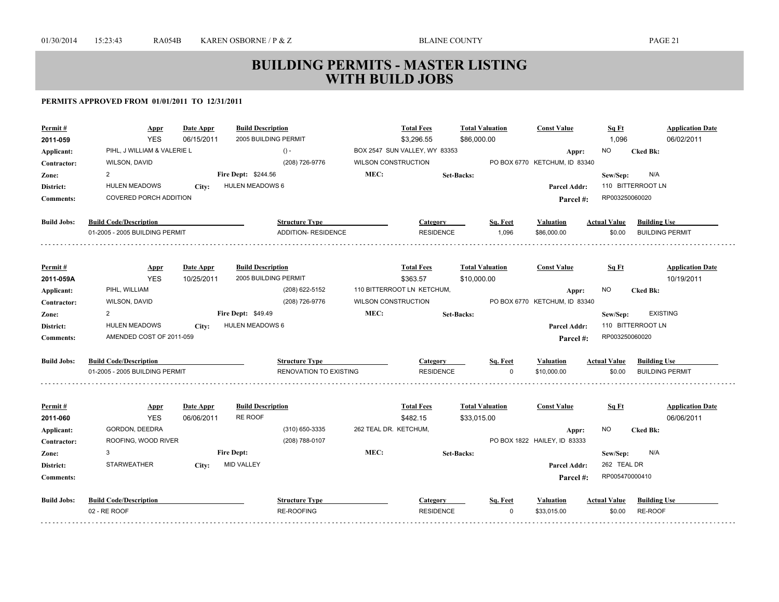| Permit#            | <u>Appr</u><br><b>YES</b>      | Date Appr  | <b>Build Description</b><br>2005 BUILDING PERMIT |                               |                            | <b>Total Fees</b><br>\$3,296.55 | <b>Total Valuation</b><br>\$86,000.00 |          | <b>Const Value</b>            | Sq Ft<br>1,096      | <b>Application Date</b><br>06/02/2011 |
|--------------------|--------------------------------|------------|--------------------------------------------------|-------------------------------|----------------------------|---------------------------------|---------------------------------------|----------|-------------------------------|---------------------|---------------------------------------|
| 2011-059           |                                | 06/15/2011 |                                                  |                               |                            |                                 |                                       |          |                               |                     |                                       |
| Applicant:         | PIHL, J WILLIAM & VALERIE L    |            |                                                  | $() -$                        |                            | BOX 2547 SUN VALLEY, WY 83353   |                                       |          | Appr:                         | NO.                 | <b>Cked Bk:</b>                       |
| Contractor:        | WILSON, DAVID                  |            |                                                  | (208) 726-9776                | WILSON CONSTRUCTION        |                                 |                                       |          | PO BOX 6770 KETCHUM, ID 83340 |                     |                                       |
| Zone:              | $\overline{2}$                 |            | Fire Dept: \$244.56                              |                               | MEC:                       |                                 | <b>Set-Backs:</b>                     |          |                               | Sew/Sep:            | N/A                                   |
| District:          | <b>HULEN MEADOWS</b>           | City:      | HULEN MEADOWS 6                                  |                               |                            |                                 |                                       |          | <b>Parcel Addr:</b>           |                     | 110 BITTERROOT LN                     |
| <b>Comments:</b>   | <b>COVERED PORCH ADDITION</b>  |            |                                                  |                               |                            |                                 |                                       |          | Parcel #:                     | RP003250060020      |                                       |
| <b>Build Jobs:</b> | <b>Build Code/Description</b>  |            |                                                  | <b>Structure Type</b>         |                            | <b>Category</b>                 |                                       | Sq. Feet | Valuation                     | <b>Actual Value</b> | <b>Building Use</b>                   |
|                    | 01-2005 - 2005 BUILDING PERMIT |            |                                                  | <b>ADDITION- RESIDENCE</b>    |                            | <b>RESIDENCE</b>                |                                       | 1.096    | \$86,000.00                   | \$0.00              | <b>BUILDING PERMIT</b>                |
|                    |                                |            |                                                  |                               |                            |                                 |                                       |          |                               |                     |                                       |
| Permit#            | <b>Appr</b>                    | Date Appr  | <b>Build Description</b>                         |                               |                            | <b>Total Fees</b>               | <b>Total Valuation</b>                |          | <b>Const Value</b>            | Sq Ft               | <b>Application Date</b>               |
| 2011-059A          | <b>YES</b>                     | 10/25/2011 | 2005 BUILDING PERMIT                             |                               |                            | \$363.57                        | \$10,000.00                           |          |                               |                     | 10/19/2011                            |
| Applicant:         | PIHL, WILLIAM                  |            |                                                  | (208) 622-5152                |                            | 110 BITTERROOT LN KETCHUM,      |                                       |          | Appr:                         | <b>NO</b>           | <b>Cked Bk:</b>                       |
| Contractor:        | WILSON, DAVID                  |            |                                                  | (208) 726-9776                | <b>WILSON CONSTRUCTION</b> |                                 |                                       |          | PO BOX 6770 KETCHUM, ID 83340 |                     |                                       |
| Zone:              | $\overline{2}$                 |            | <b>Fire Dept: \$49.49</b>                        |                               | MEC:                       |                                 | <b>Set-Backs:</b>                     |          |                               | Sew/Sep:            | <b>EXISTING</b>                       |
| District:          | <b>HULEN MEADOWS</b>           | City:      | HULEN MEADOWS 6                                  |                               |                            |                                 |                                       |          | Parcel Addr:                  |                     | 110 BITTERROOT LN                     |
| <b>Comments:</b>   | AMENDED COST OF 2011-059       |            |                                                  |                               |                            |                                 |                                       |          | Parcel#:                      | RP003250060020      |                                       |
| <b>Build Jobs:</b> | <b>Build Code/Description</b>  |            |                                                  | <b>Structure Type</b>         |                            | Category                        |                                       | Sq. Feet | Valuation                     | <b>Actual Value</b> | <b>Building Use</b>                   |
|                    | 01-2005 - 2005 BUILDING PERMIT |            |                                                  | <b>RENOVATION TO EXISTING</b> |                            | <b>RESIDENCE</b>                |                                       | $\Omega$ | \$10,000.00                   | \$0.00              | <b>BUILDING PERMIT</b>                |
|                    |                                |            |                                                  |                               |                            |                                 |                                       |          |                               |                     |                                       |
| Permit#            | <b>Appr</b>                    | Date Appr  | <b>Build Description</b>                         |                               |                            | <b>Total Fees</b>               | <b>Total Valuation</b>                |          | <b>Const Value</b>            | Sq Ft               | <b>Application Date</b>               |
| 2011-060           | <b>YES</b>                     | 06/06/2011 | RE ROOF                                          |                               |                            | \$482.15                        | \$33,015.00                           |          |                               |                     | 06/06/2011                            |
| Applicant:         | GORDON, DEEDRA                 |            |                                                  | (310) 650-3335                | 262 TEAL DR. KETCHUM,      |                                 |                                       |          | Appr:                         | NO.                 | <b>Cked Bk:</b>                       |
| Contractor:        | ROOFING, WOOD RIVER            |            |                                                  | (208) 788-0107                |                            |                                 |                                       |          | PO BOX 1822 HAILEY, ID 83333  |                     |                                       |
| Zone:              | 3                              |            | <b>Fire Dept:</b>                                |                               | MEC:                       |                                 | <b>Set-Backs:</b>                     |          |                               | Sew/Sep:            | N/A                                   |
| District:          | <b>STARWEATHER</b>             | City:      | <b>MID VALLEY</b>                                |                               |                            |                                 |                                       |          | Parcel Addr:                  | 262 TEAL DR         |                                       |
| <b>Comments:</b>   |                                |            |                                                  |                               |                            |                                 |                                       |          | Parcel #:                     | RP005470000410      |                                       |
| <b>Build Jobs:</b> | <b>Build Code/Description</b>  |            |                                                  | <b>Structure Type</b>         |                            | Category                        |                                       | Sq. Feet | <b>Valuation</b>              | <b>Actual Value</b> | <b>Building Use</b>                   |
| .                  | 02 - RE ROOF                   |            |                                                  | <b>RE-ROOFING</b>             |                            | <b>RESIDENCE</b>                |                                       | $\Omega$ | \$33,015.00                   | \$0.00              | RE-ROOF                               |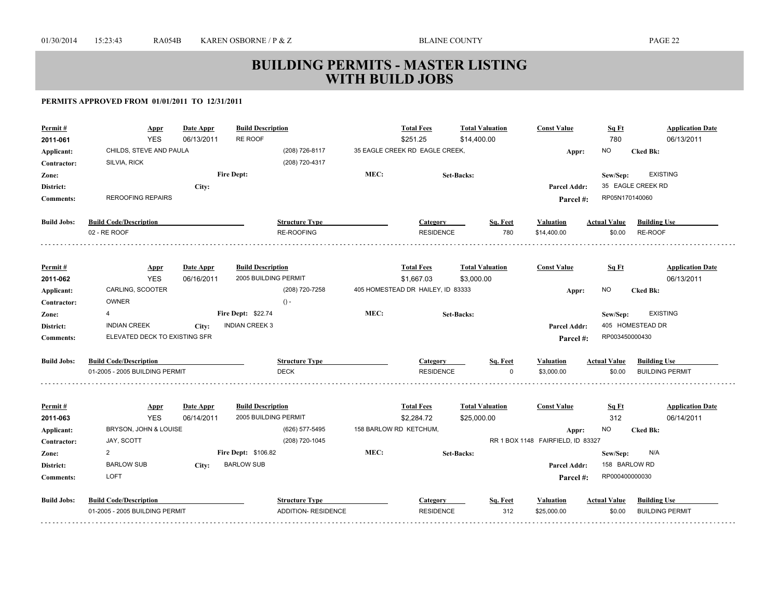| <b>RE ROOF</b><br><b>YES</b><br>\$251.25<br>\$14,400.00<br>780<br>06/13/2011<br>2011-061<br>06/13/2011<br>CHILDS, STEVE AND PAULA<br>(208) 726-8117<br>35 EAGLE CREEK RD EAGLE CREEK,<br><b>NO</b><br><b>Cked Bk:</b><br>Applicant:<br>Appr:<br>(208) 720-4317<br>SILVIA, RICK<br>Contractor:<br>MEC:<br><b>Fire Dept:</b><br><b>EXISTING</b><br><b>Set-Backs:</b><br>Sew/Sep:<br>Zone:<br>35 EAGLE CREEK RD<br>District:<br>City:<br>Parcel Addr:<br><b>REROOFING REPAIRS</b><br>RP05N170140060<br><b>Comments:</b><br>Parcel #:<br><b>Build Jobs:</b><br><b>Build Code/Description</b><br><b>Structure Type</b><br><b>Building Use</b><br>Category<br>Sq. Feet<br><b>Valuation</b><br>Actual Value<br>RE-ROOFING<br>780<br>RE-ROOF<br>02 - RE ROOF<br><b>RESIDENCE</b><br>\$14,400.00<br>\$0.00<br><b>Build Description</b><br><b>Total Fees</b><br><b>Total Valuation</b><br><b>Const Value</b><br>Sq Ft<br><b>Application Date</b><br>Permit#<br>Date Appr<br><b>Appr</b><br><b>YES</b><br>06/13/2011<br>06/16/2011<br>2005 BUILDING PERMIT<br>\$1,667.03<br>\$3,000.00<br>2011-062<br>405 HOMESTEAD DR HAILEY, ID 83333<br>CARLING, SCOOTER<br>(208) 720-7258<br><b>NO</b><br>Applicant:<br><b>Cked Bk:</b><br>Appr:<br><b>OWNER</b><br>$() -$<br>Contractor:<br>MEC:<br>Fire Dept: \$22.74<br><b>EXISTING</b><br>$\overline{4}$<br>Zone:<br><b>Set-Backs:</b><br>Sew/Sep:<br><b>INDIAN CREEK 3</b><br>405 HOMESTEAD DR<br><b>INDIAN CREEK</b><br>District:<br>Parcel Addr:<br>City:<br>ELEVATED DECK TO EXISTING SFR<br>RP003450000430<br><b>Comments:</b><br>Parcel #:<br><b>Build Jobs:</b><br><b>Build Code/Description</b><br><b>Structure Type</b><br>Sq. Feet<br><b>Actual Value</b><br><b>Building Use</b><br>Category<br><b>Valuation</b><br><b>DECK</b><br>01-2005 - 2005 BUILDING PERMIT<br><b>RESIDENCE</b><br>\$3,000.00<br>\$0.00<br><b>BUILDING PERMIT</b><br>$\Omega$<br>Date Appr<br><b>Build Description</b><br><b>Total Fees</b><br><b>Total Valuation</b><br><b>Const Value</b><br><b>Application Date</b><br>Permit#<br>Sq Ft<br><b>Appr</b><br><b>YES</b><br>2005 BUILDING PERMIT<br>312<br>06/14/2011<br>\$2,284.72<br>\$25,000.00<br>06/14/2011<br>2011-063<br>BRYSON, JOHN & LOUISE<br>(626) 577-5495<br>158 BARLOW RD KETCHUM,<br><b>NO</b><br><b>Cked Bk:</b><br>Applicant:<br>Appr:<br>(208) 720-1045<br>RR 1 BOX 1148 FAIRFIELD, ID 83327<br>JAY, SCOTT<br>Contractor:<br>MEC:<br>$\overline{2}$<br>Fire Dept: \$106.82<br>N/A<br><b>Set-Backs:</b><br>Zone:<br>Sew/Sep:<br><b>BARLOW SUB</b><br>158 BARLOW RD<br><b>BARLOW SUB</b><br>District:<br>Parcel Addr:<br>City:<br><b>LOFT</b><br>RP000400000030<br><b>Comments:</b><br>Parcel #:<br><b>Build Jobs:</b><br><b>Build Code/Description</b><br><b>Structure Type</b><br><b>Actual Value</b><br><b>Building Use</b><br>Category<br>Sq. Feet<br><b>Valuation</b><br>312 | Permit# | <b>Appr</b>                    | <b>Date Appr</b> | <b>Build Description</b>   | <b>Total Fees</b> | <b>Total Valuation</b> | <b>Const Value</b> | Sq Ft  | <b>Application Date</b> |
|----------------------------------------------------------------------------------------------------------------------------------------------------------------------------------------------------------------------------------------------------------------------------------------------------------------------------------------------------------------------------------------------------------------------------------------------------------------------------------------------------------------------------------------------------------------------------------------------------------------------------------------------------------------------------------------------------------------------------------------------------------------------------------------------------------------------------------------------------------------------------------------------------------------------------------------------------------------------------------------------------------------------------------------------------------------------------------------------------------------------------------------------------------------------------------------------------------------------------------------------------------------------------------------------------------------------------------------------------------------------------------------------------------------------------------------------------------------------------------------------------------------------------------------------------------------------------------------------------------------------------------------------------------------------------------------------------------------------------------------------------------------------------------------------------------------------------------------------------------------------------------------------------------------------------------------------------------------------------------------------------------------------------------------------------------------------------------------------------------------------------------------------------------------------------------------------------------------------------------------------------------------------------------------------------------------------------------------------------------------------------------------------------------------------------------------------------------------------------------------------------------------------------------------------------------------------------------------------------------------------------------------------------------------------------------------------------------------------------------------------------------------------------------------------------------------------------------------------------------------|---------|--------------------------------|------------------|----------------------------|-------------------|------------------------|--------------------|--------|-------------------------|
|                                                                                                                                                                                                                                                                                                                                                                                                                                                                                                                                                                                                                                                                                                                                                                                                                                                                                                                                                                                                                                                                                                                                                                                                                                                                                                                                                                                                                                                                                                                                                                                                                                                                                                                                                                                                                                                                                                                                                                                                                                                                                                                                                                                                                                                                                                                                                                                                                                                                                                                                                                                                                                                                                                                                                                                                                                                                |         |                                |                  |                            |                   |                        |                    |        |                         |
|                                                                                                                                                                                                                                                                                                                                                                                                                                                                                                                                                                                                                                                                                                                                                                                                                                                                                                                                                                                                                                                                                                                                                                                                                                                                                                                                                                                                                                                                                                                                                                                                                                                                                                                                                                                                                                                                                                                                                                                                                                                                                                                                                                                                                                                                                                                                                                                                                                                                                                                                                                                                                                                                                                                                                                                                                                                                |         |                                |                  |                            |                   |                        |                    |        |                         |
|                                                                                                                                                                                                                                                                                                                                                                                                                                                                                                                                                                                                                                                                                                                                                                                                                                                                                                                                                                                                                                                                                                                                                                                                                                                                                                                                                                                                                                                                                                                                                                                                                                                                                                                                                                                                                                                                                                                                                                                                                                                                                                                                                                                                                                                                                                                                                                                                                                                                                                                                                                                                                                                                                                                                                                                                                                                                |         |                                |                  |                            |                   |                        |                    |        |                         |
|                                                                                                                                                                                                                                                                                                                                                                                                                                                                                                                                                                                                                                                                                                                                                                                                                                                                                                                                                                                                                                                                                                                                                                                                                                                                                                                                                                                                                                                                                                                                                                                                                                                                                                                                                                                                                                                                                                                                                                                                                                                                                                                                                                                                                                                                                                                                                                                                                                                                                                                                                                                                                                                                                                                                                                                                                                                                |         |                                |                  |                            |                   |                        |                    |        |                         |
|                                                                                                                                                                                                                                                                                                                                                                                                                                                                                                                                                                                                                                                                                                                                                                                                                                                                                                                                                                                                                                                                                                                                                                                                                                                                                                                                                                                                                                                                                                                                                                                                                                                                                                                                                                                                                                                                                                                                                                                                                                                                                                                                                                                                                                                                                                                                                                                                                                                                                                                                                                                                                                                                                                                                                                                                                                                                |         |                                |                  |                            |                   |                        |                    |        |                         |
|                                                                                                                                                                                                                                                                                                                                                                                                                                                                                                                                                                                                                                                                                                                                                                                                                                                                                                                                                                                                                                                                                                                                                                                                                                                                                                                                                                                                                                                                                                                                                                                                                                                                                                                                                                                                                                                                                                                                                                                                                                                                                                                                                                                                                                                                                                                                                                                                                                                                                                                                                                                                                                                                                                                                                                                                                                                                |         |                                |                  |                            |                   |                        |                    |        |                         |
|                                                                                                                                                                                                                                                                                                                                                                                                                                                                                                                                                                                                                                                                                                                                                                                                                                                                                                                                                                                                                                                                                                                                                                                                                                                                                                                                                                                                                                                                                                                                                                                                                                                                                                                                                                                                                                                                                                                                                                                                                                                                                                                                                                                                                                                                                                                                                                                                                                                                                                                                                                                                                                                                                                                                                                                                                                                                |         |                                |                  |                            |                   |                        |                    |        |                         |
|                                                                                                                                                                                                                                                                                                                                                                                                                                                                                                                                                                                                                                                                                                                                                                                                                                                                                                                                                                                                                                                                                                                                                                                                                                                                                                                                                                                                                                                                                                                                                                                                                                                                                                                                                                                                                                                                                                                                                                                                                                                                                                                                                                                                                                                                                                                                                                                                                                                                                                                                                                                                                                                                                                                                                                                                                                                                |         |                                |                  |                            |                   |                        |                    |        |                         |
|                                                                                                                                                                                                                                                                                                                                                                                                                                                                                                                                                                                                                                                                                                                                                                                                                                                                                                                                                                                                                                                                                                                                                                                                                                                                                                                                                                                                                                                                                                                                                                                                                                                                                                                                                                                                                                                                                                                                                                                                                                                                                                                                                                                                                                                                                                                                                                                                                                                                                                                                                                                                                                                                                                                                                                                                                                                                |         |                                |                  |                            |                   |                        |                    |        |                         |
|                                                                                                                                                                                                                                                                                                                                                                                                                                                                                                                                                                                                                                                                                                                                                                                                                                                                                                                                                                                                                                                                                                                                                                                                                                                                                                                                                                                                                                                                                                                                                                                                                                                                                                                                                                                                                                                                                                                                                                                                                                                                                                                                                                                                                                                                                                                                                                                                                                                                                                                                                                                                                                                                                                                                                                                                                                                                |         |                                |                  |                            |                   |                        |                    |        |                         |
|                                                                                                                                                                                                                                                                                                                                                                                                                                                                                                                                                                                                                                                                                                                                                                                                                                                                                                                                                                                                                                                                                                                                                                                                                                                                                                                                                                                                                                                                                                                                                                                                                                                                                                                                                                                                                                                                                                                                                                                                                                                                                                                                                                                                                                                                                                                                                                                                                                                                                                                                                                                                                                                                                                                                                                                                                                                                |         |                                |                  |                            |                   |                        |                    |        |                         |
|                                                                                                                                                                                                                                                                                                                                                                                                                                                                                                                                                                                                                                                                                                                                                                                                                                                                                                                                                                                                                                                                                                                                                                                                                                                                                                                                                                                                                                                                                                                                                                                                                                                                                                                                                                                                                                                                                                                                                                                                                                                                                                                                                                                                                                                                                                                                                                                                                                                                                                                                                                                                                                                                                                                                                                                                                                                                |         |                                |                  |                            |                   |                        |                    |        |                         |
|                                                                                                                                                                                                                                                                                                                                                                                                                                                                                                                                                                                                                                                                                                                                                                                                                                                                                                                                                                                                                                                                                                                                                                                                                                                                                                                                                                                                                                                                                                                                                                                                                                                                                                                                                                                                                                                                                                                                                                                                                                                                                                                                                                                                                                                                                                                                                                                                                                                                                                                                                                                                                                                                                                                                                                                                                                                                |         |                                |                  |                            |                   |                        |                    |        |                         |
|                                                                                                                                                                                                                                                                                                                                                                                                                                                                                                                                                                                                                                                                                                                                                                                                                                                                                                                                                                                                                                                                                                                                                                                                                                                                                                                                                                                                                                                                                                                                                                                                                                                                                                                                                                                                                                                                                                                                                                                                                                                                                                                                                                                                                                                                                                                                                                                                                                                                                                                                                                                                                                                                                                                                                                                                                                                                |         |                                |                  |                            |                   |                        |                    |        |                         |
|                                                                                                                                                                                                                                                                                                                                                                                                                                                                                                                                                                                                                                                                                                                                                                                                                                                                                                                                                                                                                                                                                                                                                                                                                                                                                                                                                                                                                                                                                                                                                                                                                                                                                                                                                                                                                                                                                                                                                                                                                                                                                                                                                                                                                                                                                                                                                                                                                                                                                                                                                                                                                                                                                                                                                                                                                                                                |         |                                |                  |                            |                   |                        |                    |        |                         |
|                                                                                                                                                                                                                                                                                                                                                                                                                                                                                                                                                                                                                                                                                                                                                                                                                                                                                                                                                                                                                                                                                                                                                                                                                                                                                                                                                                                                                                                                                                                                                                                                                                                                                                                                                                                                                                                                                                                                                                                                                                                                                                                                                                                                                                                                                                                                                                                                                                                                                                                                                                                                                                                                                                                                                                                                                                                                |         |                                |                  |                            |                   |                        |                    |        |                         |
|                                                                                                                                                                                                                                                                                                                                                                                                                                                                                                                                                                                                                                                                                                                                                                                                                                                                                                                                                                                                                                                                                                                                                                                                                                                                                                                                                                                                                                                                                                                                                                                                                                                                                                                                                                                                                                                                                                                                                                                                                                                                                                                                                                                                                                                                                                                                                                                                                                                                                                                                                                                                                                                                                                                                                                                                                                                                |         |                                |                  |                            |                   |                        |                    |        |                         |
|                                                                                                                                                                                                                                                                                                                                                                                                                                                                                                                                                                                                                                                                                                                                                                                                                                                                                                                                                                                                                                                                                                                                                                                                                                                                                                                                                                                                                                                                                                                                                                                                                                                                                                                                                                                                                                                                                                                                                                                                                                                                                                                                                                                                                                                                                                                                                                                                                                                                                                                                                                                                                                                                                                                                                                                                                                                                |         |                                |                  |                            |                   |                        |                    |        |                         |
|                                                                                                                                                                                                                                                                                                                                                                                                                                                                                                                                                                                                                                                                                                                                                                                                                                                                                                                                                                                                                                                                                                                                                                                                                                                                                                                                                                                                                                                                                                                                                                                                                                                                                                                                                                                                                                                                                                                                                                                                                                                                                                                                                                                                                                                                                                                                                                                                                                                                                                                                                                                                                                                                                                                                                                                                                                                                |         |                                |                  |                            |                   |                        |                    |        |                         |
|                                                                                                                                                                                                                                                                                                                                                                                                                                                                                                                                                                                                                                                                                                                                                                                                                                                                                                                                                                                                                                                                                                                                                                                                                                                                                                                                                                                                                                                                                                                                                                                                                                                                                                                                                                                                                                                                                                                                                                                                                                                                                                                                                                                                                                                                                                                                                                                                                                                                                                                                                                                                                                                                                                                                                                                                                                                                |         |                                |                  |                            |                   |                        |                    |        |                         |
|                                                                                                                                                                                                                                                                                                                                                                                                                                                                                                                                                                                                                                                                                                                                                                                                                                                                                                                                                                                                                                                                                                                                                                                                                                                                                                                                                                                                                                                                                                                                                                                                                                                                                                                                                                                                                                                                                                                                                                                                                                                                                                                                                                                                                                                                                                                                                                                                                                                                                                                                                                                                                                                                                                                                                                                                                                                                |         |                                |                  |                            |                   |                        |                    |        |                         |
|                                                                                                                                                                                                                                                                                                                                                                                                                                                                                                                                                                                                                                                                                                                                                                                                                                                                                                                                                                                                                                                                                                                                                                                                                                                                                                                                                                                                                                                                                                                                                                                                                                                                                                                                                                                                                                                                                                                                                                                                                                                                                                                                                                                                                                                                                                                                                                                                                                                                                                                                                                                                                                                                                                                                                                                                                                                                |         |                                |                  |                            |                   |                        |                    |        |                         |
|                                                                                                                                                                                                                                                                                                                                                                                                                                                                                                                                                                                                                                                                                                                                                                                                                                                                                                                                                                                                                                                                                                                                                                                                                                                                                                                                                                                                                                                                                                                                                                                                                                                                                                                                                                                                                                                                                                                                                                                                                                                                                                                                                                                                                                                                                                                                                                                                                                                                                                                                                                                                                                                                                                                                                                                                                                                                |         |                                |                  |                            |                   |                        |                    |        |                         |
|                                                                                                                                                                                                                                                                                                                                                                                                                                                                                                                                                                                                                                                                                                                                                                                                                                                                                                                                                                                                                                                                                                                                                                                                                                                                                                                                                                                                                                                                                                                                                                                                                                                                                                                                                                                                                                                                                                                                                                                                                                                                                                                                                                                                                                                                                                                                                                                                                                                                                                                                                                                                                                                                                                                                                                                                                                                                |         |                                |                  |                            |                   |                        |                    |        |                         |
|                                                                                                                                                                                                                                                                                                                                                                                                                                                                                                                                                                                                                                                                                                                                                                                                                                                                                                                                                                                                                                                                                                                                                                                                                                                                                                                                                                                                                                                                                                                                                                                                                                                                                                                                                                                                                                                                                                                                                                                                                                                                                                                                                                                                                                                                                                                                                                                                                                                                                                                                                                                                                                                                                                                                                                                                                                                                |         |                                |                  |                            |                   |                        |                    |        |                         |
|                                                                                                                                                                                                                                                                                                                                                                                                                                                                                                                                                                                                                                                                                                                                                                                                                                                                                                                                                                                                                                                                                                                                                                                                                                                                                                                                                                                                                                                                                                                                                                                                                                                                                                                                                                                                                                                                                                                                                                                                                                                                                                                                                                                                                                                                                                                                                                                                                                                                                                                                                                                                                                                                                                                                                                                                                                                                |         | 01-2005 - 2005 BUILDING PERMIT |                  | <b>ADDITION- RESIDENCE</b> | <b>RESIDENCE</b>  |                        | \$25,000.00        | \$0.00 | <b>BUILDING PERMIT</b>  |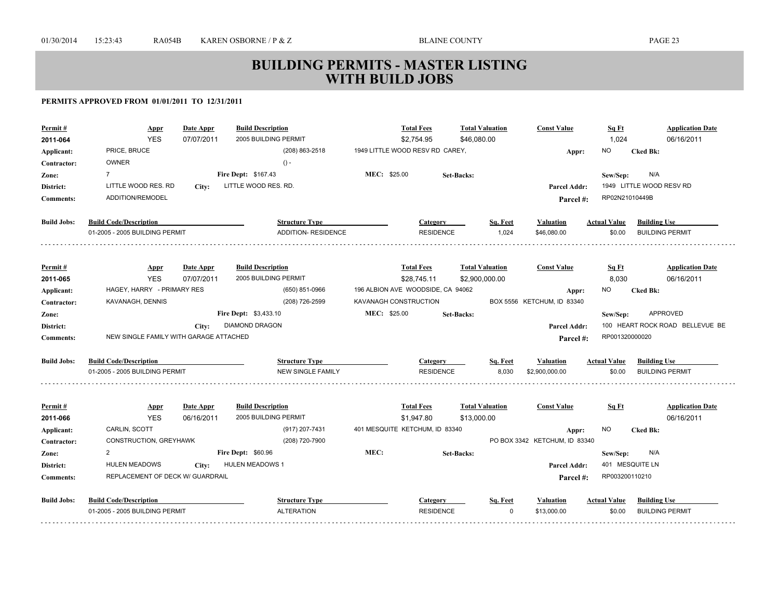| Permit#            | Appr                                   | <b>Date Appr</b> | <b>Build Description</b>     | <b>Total Fees</b>                 |                   | <b>Total Valuation</b> | <b>Const Value</b>            | Sq Ft               | <b>Application Date</b>         |
|--------------------|----------------------------------------|------------------|------------------------------|-----------------------------------|-------------------|------------------------|-------------------------------|---------------------|---------------------------------|
| 2011-064           | <b>YES</b>                             | 07/07/2011       | 2005 BUILDING PERMIT         | \$2,754.95                        |                   | \$46.080.00            |                               | 1,024               | 06/16/2011                      |
| Applicant:         | PRICE, BRUCE                           |                  | (208) 863-2518               | 1949 LITTLE WOOD RESV RD CAREY,   |                   |                        | Appr:                         | ΝO                  | <b>Cked Bk:</b>                 |
| Contractor:        | <b>OWNER</b>                           |                  | $() -$                       |                                   |                   |                        |                               |                     |                                 |
| Zone:              | $\overline{7}$                         |                  | Fire Dept: \$167.43          | MEC: \$25.00                      | <b>Set-Backs:</b> |                        |                               | Sew/Sep:            | N/A                             |
| District:          | LITTLE WOOD RES. RD                    | City:            | LITTLE WOOD RES. RD.         |                                   |                   |                        | Parcel Addr:                  |                     | 1949 LITTLE WOOD RESV RD        |
| <b>Comments:</b>   | ADDITION/REMODEL                       |                  |                              |                                   |                   |                        | Parcel#:                      | RP02N21010449B      |                                 |
| <b>Build Jobs:</b> | <b>Build Code/Description</b>          |                  | <b>Structure Type</b>        |                                   | Category          | Sq. Feet               | <b>Valuation</b>              | <b>Actual Value</b> | <b>Building Use</b>             |
|                    | 01-2005 - 2005 BUILDING PERMIT         |                  | ADDITION- RESIDENCE          |                                   | <b>RESIDENCE</b>  | 1,024                  | \$46,080.00                   | \$0.00              | <b>BUILDING PERMIT</b>          |
|                    |                                        |                  |                              |                                   |                   |                        |                               |                     |                                 |
| Permit#            | <b>Appr</b>                            | Date Appr        | <b>Build Description</b>     | <b>Total Fees</b>                 |                   | <b>Total Valuation</b> | <b>Const Value</b>            | Sq Ft               | <b>Application Date</b>         |
| 2011-065           | <b>YES</b>                             | 07/07/2011       | 2005 BUILDING PERMIT         | \$28,745.11                       |                   | \$2,900,000.00         |                               | 8,030               | 06/16/2011                      |
| Applicant:         | HAGEY, HARRY - PRIMARY RES             |                  | (650) 851-0966               | 196 ALBION AVE WOODSIDE, CA 94062 |                   |                        | Appr:                         | ΝO                  | <b>Cked Bk:</b>                 |
| Contractor:        | KAVANAGH, DENNIS                       |                  | (208) 726-2599               | KAVANAGH CONSTRUCTION             |                   |                        | BOX 5556 KETCHUM, ID 83340    |                     |                                 |
| Zone:              |                                        |                  | <b>Fire Dept: \$3,433.10</b> | <b>MEC: \$25.00</b>               | <b>Set-Backs:</b> |                        |                               | Sew/Sep:            | <b>APPROVED</b>                 |
| District:          |                                        | City:            | <b>DIAMOND DRAGON</b>        |                                   |                   |                        | <b>Parcel Addr:</b>           |                     | 100 HEART ROCK ROAD BELLEVUE BE |
| <b>Comments:</b>   | NEW SINGLE FAMILY WITH GARAGE ATTACHED |                  |                              |                                   |                   |                        | Parcel #:                     | RP001320000020      |                                 |
| <b>Build Jobs:</b> | <b>Build Code/Description</b>          |                  | <b>Structure Type</b>        |                                   | Category          | Sq. Feet               | <b>Valuation</b>              | <b>Actual Value</b> | <b>Building Use</b>             |
|                    | 01-2005 - 2005 BUILDING PERMIT         |                  | <b>NEW SINGLE FAMILY</b>     |                                   | <b>RESIDENCE</b>  | 8.030                  | \$2,900,000.00                | \$0.00              | <b>BUILDING PERMIT</b>          |
|                    |                                        |                  |                              |                                   |                   |                        |                               |                     |                                 |
| Permit#            | <b>Appr</b>                            | Date Appr        | <b>Build Description</b>     | <b>Total Fees</b>                 |                   | <b>Total Valuation</b> | <b>Const Value</b>            | Sq Ft               | <b>Application Date</b>         |
| 2011-066           | <b>YES</b>                             | 06/16/2011       | 2005 BUILDING PERMIT         | \$1,947.80                        |                   | \$13,000.00            |                               |                     | 06/16/2011                      |
| Applicant:         | CARLIN, SCOTT                          |                  | (917) 207-7431               | 401 MESQUITE KETCHUM, ID 83340    |                   |                        | Appr:                         | NO.                 | <b>Cked Bk:</b>                 |
| Contractor:        | CONSTRUCTION, GREYHAWK                 |                  | (208) 720-7900               |                                   |                   |                        | PO BOX 3342 KETCHUM, ID 83340 |                     |                                 |
| Zone:              | 2                                      |                  | <b>Fire Dept: \$60.96</b>    | MEC:                              | <b>Set-Backs:</b> |                        |                               | Sew/Sep:            | N/A                             |
| District:          | <b>HULEN MEADOWS</b>                   | City:            | <b>HULEN MEADOWS 1</b>       |                                   |                   |                        | Parcel Addr:                  |                     | 401 MESQUITE LN                 |
| <b>Comments:</b>   | REPLACEMENT OF DECK W/ GUARDRAIL       |                  |                              |                                   |                   |                        | Parcel #:                     | RP003200110210      |                                 |
| <b>Build Jobs:</b> | <b>Build Code/Description</b>          |                  | <b>Structure Type</b>        |                                   | Category          | Sq. Feet               | Valuation                     | <b>Actual Value</b> | <b>Building Use</b>             |
|                    | 01-2005 - 2005 BUILDING PERMIT         |                  | <b>ALTERATION</b>            |                                   | <b>RESIDENCE</b>  | $\Omega$               | \$13,000.00                   | \$0.00              | <b>BUILDING PERMIT</b>          |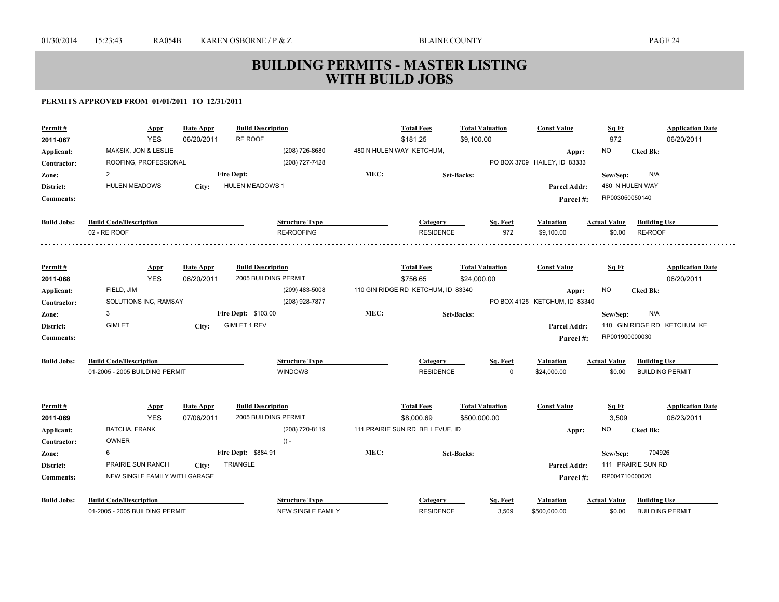| Permit#<br>2011-067 | <b>Appr</b><br><b>YES</b>      | Date Appr<br>06/20/2011        | <b>Build Description</b><br>RE ROOF              |      | <b>Total Fees</b><br>\$181.25      | <b>Total Valuation</b><br>\$9,100.00  |          | <b>Const Value</b>                     | Sq Ft<br>972        | <b>Application Date</b><br>06/20/2011 |
|---------------------|--------------------------------|--------------------------------|--------------------------------------------------|------|------------------------------------|---------------------------------------|----------|----------------------------------------|---------------------|---------------------------------------|
| Applicant:          | MAKSIK, JON & LESLIE           |                                | (208) 726-8680                                   |      | 480 N HULEN WAY KETCHUM,           |                                       |          | Appr:                                  | <b>NO</b>           | <b>Cked Bk:</b>                       |
| Contractor:         | ROOFING, PROFESSIONAL          |                                | (208) 727-7428                                   |      |                                    |                                       |          | PO BOX 3709 HAILEY, ID 83333           |                     |                                       |
| Zone:               | 2                              |                                | <b>Fire Dept:</b>                                | MEC: |                                    | <b>Set-Backs:</b>                     |          |                                        | Sew/Sep:            | N/A                                   |
| District:           | <b>HULEN MEADOWS</b>           | City:                          | <b>HULEN MEADOWS 1</b>                           |      |                                    |                                       |          | Parcel Addr:                           | 480 N HULEN WAY     |                                       |
| <b>Comments:</b>    |                                |                                |                                                  |      |                                    |                                       |          | Parcel #:                              | RP003050050140      |                                       |
|                     |                                |                                |                                                  |      |                                    |                                       |          |                                        |                     |                                       |
| <b>Build Jobs:</b>  | <b>Build Code/Description</b>  |                                | <b>Structure Type</b>                            |      | Category                           |                                       | Sq. Feet | Valuation                              | <b>Actual Value</b> | <b>Building Use</b>                   |
|                     | 02 - RE ROOF                   |                                | <b>RE-ROOFING</b>                                |      | <b>RESIDENCE</b>                   |                                       | 972      | \$9,100.00                             | \$0.00              | RE-ROOF                               |
|                     |                                |                                |                                                  |      |                                    |                                       |          |                                        |                     |                                       |
| Permit#<br>2011-068 | <b>Appr</b><br><b>YES</b>      | <b>Date Appr</b><br>06/20/2011 | <b>Build Description</b><br>2005 BUILDING PERMIT |      | <b>Total Fees</b><br>\$756.65      | <b>Total Valuation</b><br>\$24,000.00 |          | <b>Const Value</b>                     | Sq Ft               | <b>Application Date</b><br>06/20/2011 |
| Applicant:          | FIELD, JIM                     |                                | (209) 483-5008                                   |      | 110 GIN RIDGE RD KETCHUM, ID 83340 |                                       |          |                                        | <b>NO</b>           | <b>Cked Bk:</b>                       |
| Contractor:         | SOLUTIONS INC, RAMSAY          |                                | (208) 928-7877                                   |      |                                    |                                       |          | Appr:<br>PO BOX 4125 KETCHUM, ID 83340 |                     |                                       |
| Zone:               | 3                              |                                | <b>Fire Dept: \$103.00</b>                       | MEC: |                                    | <b>Set-Backs:</b>                     |          |                                        | Sew/Sep:            | N/A                                   |
| District:           | <b>GIMLET</b>                  | City:                          | <b>GIMLET 1 REV</b>                              |      |                                    |                                       |          | <b>Parcel Addr:</b>                    |                     | 110 GIN RIDGE RD KETCHUM KE           |
| <b>Comments:</b>    |                                |                                |                                                  |      |                                    |                                       |          | Parcel #:                              | RP001900000030      |                                       |
|                     |                                |                                |                                                  |      |                                    |                                       |          |                                        |                     |                                       |
| <b>Build Jobs:</b>  | <b>Build Code/Description</b>  |                                | <b>Structure Type</b>                            |      | Category                           |                                       | Sq. Feet | <b>Valuation</b>                       | <b>Actual Value</b> | <b>Building Use</b>                   |
|                     | 01-2005 - 2005 BUILDING PERMIT |                                | <b>WINDOWS</b>                                   |      | <b>RESIDENCE</b>                   |                                       | O        | \$24,000.00                            | \$0.00              | <b>BUILDING PERMIT</b>                |
|                     |                                |                                |                                                  |      |                                    |                                       |          |                                        |                     |                                       |
| Permit#             | <b>Appr</b>                    | Date Appr                      | <b>Build Description</b>                         |      | <b>Total Fees</b>                  | <b>Total Valuation</b>                |          | <b>Const Value</b>                     | Sq Ft               | <b>Application Date</b>               |
| 2011-069            | <b>YES</b>                     | 07/06/2011                     | 2005 BUILDING PERMIT                             |      | \$8,000.69                         | \$500,000.00                          |          |                                        | 3,509               | 06/23/2011                            |
| Applicant:          | BATCHA, FRANK<br><b>OWNER</b>  |                                | (208) 720-8119<br>$() -$                         |      | 111 PRAIRIE SUN RD BELLEVUE, ID    |                                       |          | Appr:                                  | NO.                 | <b>Cked Bk:</b>                       |
| Contractor:         | 6                              |                                | Fire Dept: \$884.91                              | MEC: |                                    |                                       |          |                                        |                     | 704926                                |
| Zone:<br>District:  | PRAIRIE SUN RANCH              |                                | <b>TRIANGLE</b>                                  |      |                                    | <b>Set-Backs:</b>                     |          | <b>Parcel Addr:</b>                    | Sew/Sep:            | 111 PRAIRIE SUN RD                    |
|                     | NEW SINGLE FAMILY WITH GARAGE  | City:                          |                                                  |      |                                    |                                       |          |                                        | RP004710000020      |                                       |
| <b>Comments:</b>    |                                |                                |                                                  |      |                                    |                                       |          | Parcel #:                              |                     |                                       |
| <b>Build Jobs:</b>  | <b>Build Code/Description</b>  |                                | <b>Structure Type</b>                            |      | Category                           |                                       | Sq. Feet | <b>Valuation</b>                       | <b>Actual Value</b> | <b>Building Use</b>                   |
|                     | 01-2005 - 2005 BUILDING PERMIT |                                | <b>NEW SINGLE FAMILY</b>                         |      | <b>RESIDENCE</b>                   |                                       | 3,509    | \$500,000.00                           | \$0.00              | <b>BUILDING PERMIT</b>                |
|                     |                                |                                |                                                  |      |                                    |                                       |          |                                        |                     |                                       |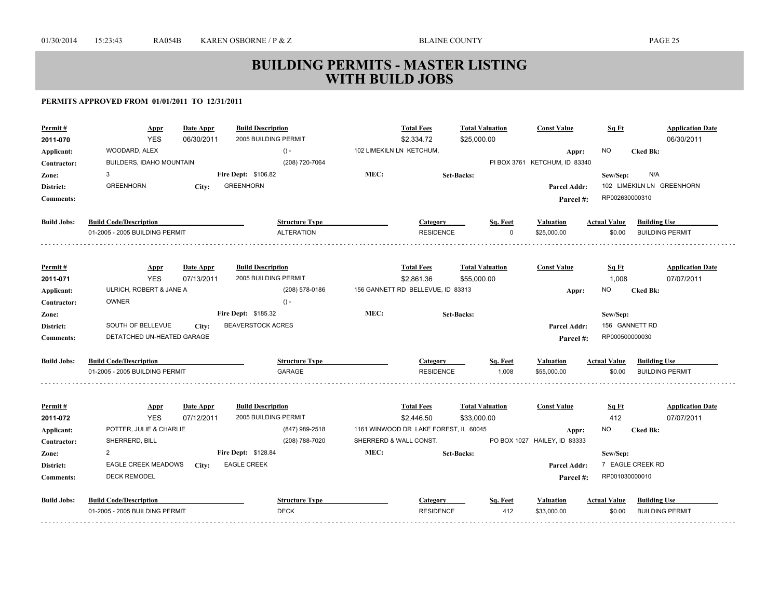| Permit#<br>2011-070 | <b>Appr</b><br><b>YES</b>      | Date Appr<br>06/30/2011 | <b>Build Description</b><br>2005 BUILDING PERMIT |      | <b>Total Fees</b><br>\$2,334.72       | <b>Total Valuation</b><br>\$25,000.00 |          | <b>Const Value</b>            | Sq Ft               | <b>Application Date</b><br>06/30/2011 |
|---------------------|--------------------------------|-------------------------|--------------------------------------------------|------|---------------------------------------|---------------------------------------|----------|-------------------------------|---------------------|---------------------------------------|
| Applicant:          | WOODARD, ALEX                  |                         | $() -$                                           |      | 102 LIMEKILN LN KETCHUM,              |                                       |          | Appr:                         | NO.                 | <b>Cked Bk:</b>                       |
| Contractor:         | BUILDERS, IDAHO MOUNTAIN       |                         | (208) 720-7064                                   |      |                                       |                                       |          | PI BOX 3761 KETCHUM, ID 83340 |                     |                                       |
| Zone:               | 3                              |                         | Fire Dept: \$106.82                              | MEC: |                                       | <b>Set-Backs:</b>                     |          |                               | Sew/Sep:            | N/A                                   |
| District:           | <b>GREENHORN</b>               | City:                   | <b>GREENHORN</b>                                 |      |                                       |                                       |          | <b>Parcel Addr:</b>           |                     | 102 LIMEKILN LN GREENHORN             |
| <b>Comments:</b>    |                                |                         |                                                  |      |                                       |                                       |          | Parcel#:                      | RP002630000310      |                                       |
|                     |                                |                         |                                                  |      |                                       |                                       |          |                               |                     |                                       |
| <b>Build Jobs:</b>  | <b>Build Code/Description</b>  |                         | <b>Structure Type</b>                            |      | Category                              |                                       | Sq. Feet | <b>Valuation</b>              | <b>Actual Value</b> | <b>Building Use</b>                   |
|                     | 01-2005 - 2005 BUILDING PERMIT |                         | <b>ALTERATION</b>                                |      | <b>RESIDENCE</b>                      |                                       | $\Omega$ | \$25,000.00                   | \$0.00              | <b>BUILDING PERMIT</b>                |
|                     |                                |                         |                                                  |      |                                       |                                       |          |                               |                     |                                       |
| Permit#             | <b>Appr</b>                    | Date Appr               | <b>Build Description</b>                         |      | <b>Total Fees</b>                     | <b>Total Valuation</b>                |          | <b>Const Value</b>            | Sq Ft               | <b>Application Date</b>               |
| 2011-071            | <b>YES</b>                     | 07/13/2011              | 2005 BUILDING PERMIT                             |      | \$2,861.36                            | \$55,000.00                           |          |                               | 1,008               | 07/07/2011                            |
| Applicant:          | ULRICH, ROBERT & JANE A        |                         | (208) 578-0186                                   |      | 156 GANNETT RD BELLEVUE, ID 83313     |                                       |          | Appr:                         | NO                  | <b>Cked Bk:</b>                       |
| Contractor:         | <b>OWNER</b>                   |                         | $() -$                                           |      |                                       |                                       |          |                               |                     |                                       |
| Zone:               |                                |                         | <b>Fire Dept: \$185.32</b>                       | MEC: |                                       | <b>Set-Backs:</b>                     |          |                               | Sew/Sep:            |                                       |
| District:           | SOUTH OF BELLEVUE              | City:                   | <b>BEAVERSTOCK ACRES</b>                         |      |                                       |                                       |          | <b>Parcel Addr:</b>           | 156 GANNETT RD      |                                       |
| <b>Comments:</b>    | DETATCHED UN-HEATED GARAGE     |                         |                                                  |      |                                       |                                       |          | Parcel#:                      | RP000500000030      |                                       |
| <b>Build Jobs:</b>  | <b>Build Code/Description</b>  |                         | <b>Structure Type</b>                            |      | Category                              |                                       | Sq. Feet | <b>Valuation</b>              | <b>Actual Value</b> | <b>Building Use</b>                   |
|                     | 01-2005 - 2005 BUILDING PERMIT |                         | <b>GARAGE</b>                                    |      | <b>RESIDENCE</b>                      |                                       | 1,008    | \$55,000.00                   | \$0.00              | <b>BUILDING PERMIT</b>                |
|                     |                                |                         |                                                  |      |                                       |                                       |          |                               |                     |                                       |
| Permit#             | <b>Appr</b>                    | Date Appr               | <b>Build Description</b>                         |      | <b>Total Fees</b>                     | <b>Total Valuation</b>                |          | <b>Const Value</b>            | <u>Sq Ft</u>        | <b>Application Date</b>               |
| 2011-072            | <b>YES</b>                     | 07/12/2011              | 2005 BUILDING PERMIT                             |      | \$2,446.50                            | \$33,000.00                           |          |                               | 412                 | 07/07/2011                            |
| Applicant:          | POTTER, JULIE & CHARLIE        |                         | (847) 989-2518                                   |      | 1161 WINWOOD DR LAKE FOREST, IL 60045 |                                       |          | Appr:                         | ΝO                  | <b>Cked Bk:</b>                       |
| Contractor:         | SHERRERD, BILL                 |                         | (208) 788-7020                                   |      | SHERRERD & WALL CONST.                |                                       |          | PO BOX 1027 HAILEY, ID 83333  |                     |                                       |
| Zone:               | 2                              |                         | Fire Dept: \$128.84                              | MEC: |                                       | <b>Set-Backs:</b>                     |          |                               | Sew/Sep:            |                                       |
| District:           | <b>EAGLE CREEK MEADOWS</b>     | City:                   | <b>EAGLE CREEK</b>                               |      |                                       |                                       |          | Parcel Addr:                  |                     | 7 EAGLE CREEK RD                      |
| <b>Comments:</b>    | <b>DECK REMODEL</b>            |                         |                                                  |      |                                       |                                       |          | Parcel #:                     | RP001030000010      |                                       |
| <b>Build Jobs:</b>  | <b>Build Code/Description</b>  |                         | <b>Structure Type</b>                            |      | Category                              |                                       | Sq. Feet | <b>Valuation</b>              | <b>Actual Value</b> | <b>Building Use</b>                   |
|                     | 01-2005 - 2005 BUILDING PERMIT |                         | <b>DECK</b>                                      |      | <b>RESIDENCE</b>                      |                                       | 412      | \$33,000.00                   | \$0.00              | <b>BUILDING PERMIT</b>                |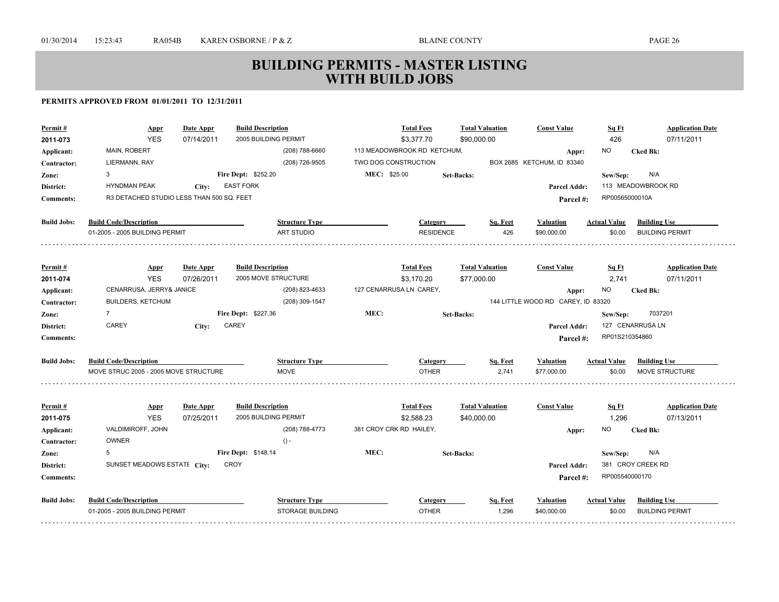| Permit#            | Appr                                      | Date Appr  | <b>Build Description</b>                         |                         | <b>Total Fees</b>           | <b>Total Valuation</b> | <b>Const Value</b>                 | Sq Ft               | <b>Application Date</b> |
|--------------------|-------------------------------------------|------------|--------------------------------------------------|-------------------------|-----------------------------|------------------------|------------------------------------|---------------------|-------------------------|
| 2011-073           | <b>YES</b>                                | 07/14/2011 | 2005 BUILDING PERMIT                             |                         | \$3,377.70                  | \$90,000.00            |                                    | 426                 | 07/11/2011              |
| Applicant:         | <b>MAIN, ROBERT</b>                       |            | (208) 788-6660                                   |                         | 113 MEADOWBROOK RD KETCHUM, |                        | Appr:                              | NO.                 | <b>Cked Bk:</b>         |
| Contractor:        | LIERMANN, RAY                             |            | (208) 726-9505                                   | TWO DOG CONSTRUCTION    |                             |                        | BOX 2685 KETCHUM, ID 83340         |                     |                         |
| Zone:              | 3                                         |            | <b>Fire Dept: \$252.20</b>                       | MEC: \$25.00            |                             | <b>Set-Backs:</b>      |                                    | Sew/Sep:            | N/A                     |
| District:          | <b>HYNDMAN PEAK</b>                       | City:      | <b>EAST FORK</b>                                 |                         |                             |                        | <b>Parcel Addr:</b>                |                     | 113 MEADOWBROOK RD      |
| <b>Comments:</b>   | R3 DETACHED STUDIO LESS THAN 500 SQ. FEET |            |                                                  |                         |                             |                        | Parcel #:                          | RP00565000010A      |                         |
| <b>Build Jobs:</b> | <b>Build Code/Description</b>             |            | <b>Structure Type</b>                            |                         | Category                    | Sq. Feet               | <b>Valuation</b>                   | <b>Actual Value</b> | <b>Building Use</b>     |
|                    | 01-2005 - 2005 BUILDING PERMIT            |            | ART STUDIO                                       |                         | <b>RESIDENCE</b>            | 426                    | \$90,000.00                        | \$0.00              | <b>BUILDING PERMIT</b>  |
|                    |                                           |            |                                                  |                         |                             |                        |                                    |                     |                         |
| Permit#            | <b>Appr</b>                               | Date Appr  | <b>Build Description</b>                         |                         | <b>Total Fees</b>           | <b>Total Valuation</b> | <b>Const Value</b>                 | Sq Ft               | <b>Application Date</b> |
| 2011-074           | <b>YES</b>                                | 07/26/2011 | 2005 MOVE STRUCTURE                              |                         | \$3.170.20                  | \$77,000.00            |                                    | 2,741               | 07/11/2011              |
| Applicant:         | CENARRUSA, JERRY& JANICE                  |            | (208) 823-4633                                   |                         | 127 CENARRUSA LN CAREY,     |                        | Appr:                              | NO.                 | <b>Cked Bk:</b>         |
| Contractor:        | BUILDERS, KETCHUM                         |            | (208) 309-1547                                   |                         |                             |                        | 144 LITTLE WOOD RD CAREY, ID 83320 |                     |                         |
| Zone:              | $\overline{7}$                            |            | Fire Dept: \$227.36                              | MEC:                    |                             | <b>Set-Backs:</b>      |                                    | Sew/Sep:            | 7037201                 |
| District:          | CAREY                                     | City:      | CAREY                                            |                         |                             |                        | <b>Parcel Addr:</b>                |                     | 127 CENARRUSA LN        |
| <b>Comments:</b>   |                                           |            |                                                  |                         |                             |                        | Parcel #:                          | RP01S210354860      |                         |
| <b>Build Jobs:</b> | <b>Build Code/Description</b>             |            | <b>Structure Type</b>                            |                         | Category                    | Sq. Feet               | <b>Valuation</b>                   | <b>Actual Value</b> | <b>Building Use</b>     |
|                    | MOVE STRUC 2005 - 2005 MOVE STRUCTURE     |            | <b>MOVE</b>                                      |                         | <b>OTHER</b>                | 2,741                  | \$77,000.00                        | \$0.00              | <b>MOVE STRUCTURE</b>   |
|                    |                                           |            |                                                  |                         |                             |                        |                                    |                     |                         |
| Permit#            | <b>Appr</b>                               | Date Appr  | <b>Build Description</b><br>2005 BUILDING PERMIT |                         | <b>Total Fees</b>           | <b>Total Valuation</b> | <b>Const Value</b>                 | <u>Sq Ft</u>        | <b>Application Date</b> |
| 2011-075           | <b>YES</b>                                | 07/25/2011 |                                                  | 381 CROY CRK RD HAILEY, | \$2,588.23                  | \$40,000.00            |                                    | 1,296               | 07/13/2011              |
| Applicant:         | VALDIMIROFF, JOHN<br><b>OWNER</b>         |            | (208) 788-4773<br>$() -$                         |                         |                             |                        | Appr:                              | NO.                 | <b>Cked Bk:</b>         |
| Contractor:        | 5                                         |            | Fire Dept: \$148.14                              | MEC:                    |                             |                        |                                    |                     | N/A                     |
| Zone:              | SUNSET MEADOWS ESTATE City:               |            | CROY                                             |                         |                             | <b>Set-Backs:</b>      |                                    | Sew/Sep:            | 381 CROY CREEK RD       |
| District:          |                                           |            |                                                  |                         |                             |                        | <b>Parcel Addr:</b>                | RP005540000170      |                         |
| <b>Comments:</b>   |                                           |            |                                                  |                         |                             |                        | Parcel#:                           |                     |                         |
| <b>Build Jobs:</b> | <b>Build Code/Description</b>             |            | <b>Structure Type</b>                            |                         | Category                    | Sq. Feet               | Valuation                          | <b>Actual Value</b> | <b>Building Use</b>     |
|                    | 01-2005 - 2005 BUILDING PERMIT            |            | STORAGE BUILDING                                 |                         | <b>OTHER</b>                | 1,296                  | \$40,000.00                        | \$0.00              | <b>BUILDING PERMIT</b>  |
|                    |                                           |            |                                                  |                         |                             |                        |                                    |                     |                         |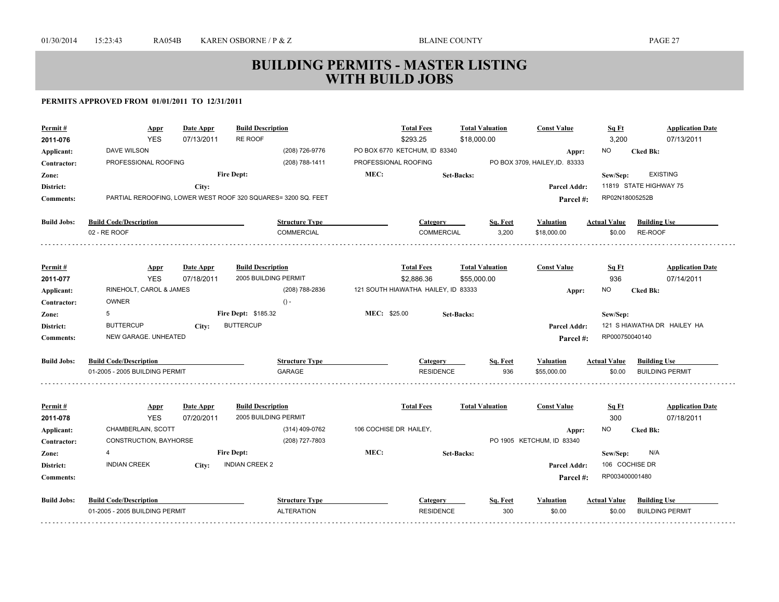| Permit#             | Appr                           | <b>Date Appr</b>        | <b>Build Description</b>                                      |                        | <b>Total Fees</b>                   | <b>Total Valuation</b> |          | <b>Const Value</b>             | Sq Ft               | <b>Application Date</b>               |
|---------------------|--------------------------------|-------------------------|---------------------------------------------------------------|------------------------|-------------------------------------|------------------------|----------|--------------------------------|---------------------|---------------------------------------|
| 2011-076            | <b>YES</b>                     | 07/13/2011              | <b>RE ROOF</b>                                                |                        | \$293.25                            | \$18,000.00            |          |                                | 3,200               | 07/13/2011                            |
| Applicant:          | DAVE WILSON                    |                         | (208) 726-9776                                                |                        | PO BOX 6770 KETCHUM, ID 83340       |                        |          | Appr:                          | <b>NO</b>           | <b>Cked Bk:</b>                       |
| Contractor:         | PROFESSIONAL ROOFING           |                         | (208) 788-1411                                                | PROFESSIONAL ROOFING   |                                     |                        |          | PO BOX 3709, HAILEY, ID. 83333 |                     |                                       |
| Zone:               |                                |                         | <b>Fire Dept:</b>                                             | MEC:                   |                                     | <b>Set-Backs:</b>      |          |                                | Sew/Sep:            | <b>EXISTING</b>                       |
| District:           |                                | City:                   |                                                               |                        |                                     |                        |          | <b>Parcel Addr:</b>            |                     | 11819 STATE HIGHWAY 75                |
| <b>Comments:</b>    |                                |                         | PARTIAL REROOFING, LOWER WEST ROOF 320 SQUARES= 3200 SQ. FEET |                        |                                     |                        |          | Parcel#:                       | RP02N18005252B      |                                       |
| <b>Build Jobs:</b>  | <b>Build Code/Description</b>  |                         | <b>Structure Type</b>                                         |                        | Category                            |                        | Sq. Feet | <b>Valuation</b>               | <b>Actual Value</b> | <b>Building Use</b>                   |
|                     | 02 - RE ROOF                   |                         | <b>COMMERCIAL</b>                                             |                        | <b>COMMERCIAL</b>                   |                        | 3,200    | \$18,000.00                    | \$0.00              | RE-ROOF                               |
| Permit#             |                                | Date Appr               | <b>Build Description</b>                                      |                        | <b>Total Fees</b>                   | <b>Total Valuation</b> |          | <b>Const Value</b>             | Sq Ft               | <b>Application Date</b>               |
| 2011-077            | <b>Appr</b><br><b>YES</b>      | 07/18/2011              | 2005 BUILDING PERMIT                                          |                        | \$2,886.36                          | \$55,000.00            |          |                                | 936                 | 07/14/2011                            |
| Applicant:          | RINEHOLT, CAROL & JAMES        |                         | (208) 788-2836                                                |                        | 121 SOUTH HIAWATHA HAILEY, ID 83333 |                        |          | Appr:                          | <b>NO</b>           | <b>Cked Bk:</b>                       |
| Contractor:         | OWNER                          |                         | $() -$                                                        |                        |                                     |                        |          |                                |                     |                                       |
| Zone:               | 5                              |                         | <b>Fire Dept: \$185.32</b>                                    | MEC: \$25.00           |                                     | <b>Set-Backs:</b>      |          |                                | Sew/Sep:            |                                       |
| District:           | <b>BUTTERCUP</b>               | City:                   | <b>BUTTERCUP</b>                                              |                        |                                     |                        |          | Parcel Addr:                   |                     | 121 S HIAWATHA DR HAILEY HA           |
| <b>Comments:</b>    | NEW GARAGE. UNHEATED           |                         |                                                               |                        |                                     |                        |          | Parcel#:                       | RP000750040140      |                                       |
| <b>Build Jobs:</b>  | <b>Build Code/Description</b>  |                         | <b>Structure Type</b>                                         |                        | <b>Category</b>                     |                        | Sq. Feet | Valuation                      | <b>Actual Value</b> | <b>Building Use</b>                   |
|                     | 01-2005 - 2005 BUILDING PERMIT |                         | GARAGE                                                        |                        | <b>RESIDENCE</b>                    |                        | 936      | \$55,000.00                    | \$0.00              | <b>BUILDING PERMIT</b>                |
|                     |                                |                         |                                                               |                        |                                     |                        |          |                                |                     |                                       |
| Permit#<br>2011-078 | <b>Appr</b><br><b>YES</b>      | Date Appr<br>07/20/2011 | <b>Build Description</b><br>2005 BUILDING PERMIT              |                        | <b>Total Fees</b>                   | <b>Total Valuation</b> |          | <b>Const Value</b>             | Sq Ft<br>300        | <b>Application Date</b><br>07/18/2011 |
| Applicant:          | CHAMBERLAIN, SCOTT             |                         | (314) 409-0762                                                | 106 COCHISE DR HAILEY, |                                     |                        |          | Appr:                          | <b>NO</b>           | <b>Cked Bk:</b>                       |
| Contractor:         | CONSTRUCTION, BAYHORSE         |                         | (208) 727-7803                                                |                        |                                     |                        |          | PO 1905 KETCHUM, ID 83340      |                     |                                       |
| Zone:               | 4                              |                         | <b>Fire Dept:</b>                                             | MEC:                   |                                     | <b>Set-Backs:</b>      |          |                                | Sew/Sep:            | N/A                                   |
| District:           | <b>INDIAN CREEK</b>            | City:                   | <b>INDIAN CREEK 2</b>                                         |                        |                                     |                        |          | Parcel Addr:                   | 106 COCHISE DR      |                                       |
| <b>Comments:</b>    |                                |                         |                                                               |                        |                                     |                        |          | Parcel#:                       | RP003400001480      |                                       |
| <b>Build Jobs:</b>  | <b>Build Code/Description</b>  |                         | <b>Structure Type</b>                                         |                        | Category                            |                        | Sq. Feet | <b>Valuation</b>               | <b>Actual Value</b> | <b>Building Use</b>                   |
|                     | 01-2005 - 2005 BUILDING PERMIT |                         | <b>ALTERATION</b>                                             |                        | <b>RESIDENCE</b>                    |                        | 300      | \$0.00                         | \$0.00              | <b>BUILDING PERMIT</b>                |
|                     |                                |                         |                                                               |                        |                                     |                        |          |                                |                     |                                       |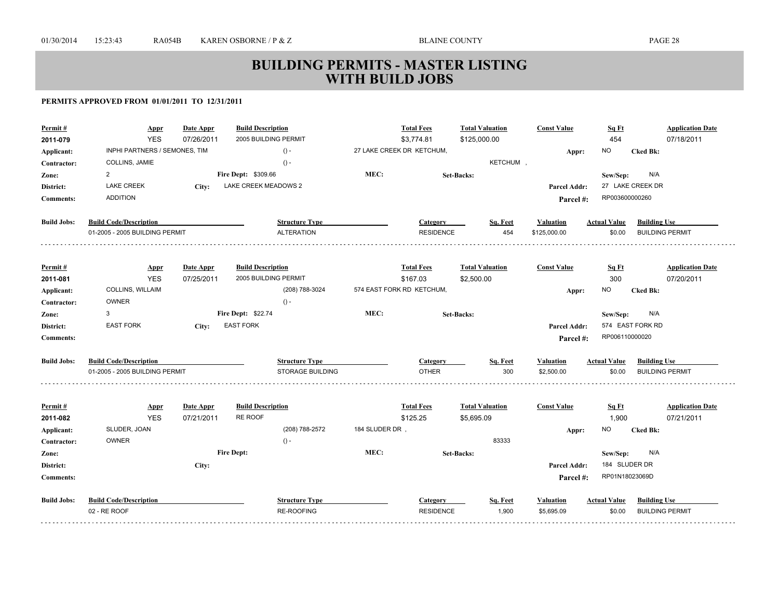| <b>YES</b><br>2005 BUILDING PERMIT<br>454<br>07/26/2011<br>\$3,774.81<br>\$125,000.00<br>2011-079<br>INPHI PARTNERS / SEMONES, TIM<br>$() -$<br>27 LAKE CREEK DR KETCHUM,<br><b>NO</b><br><b>Cked Bk:</b><br>Applicant:<br>Appr:<br>KETCHUM,<br>COLLINS, JAMIE<br>$() -$<br>Contractor:<br>MEC:<br>$\overline{2}$<br>Fire Dept: \$309.66<br>N/A<br>Zone:<br><b>Set-Backs:</b><br>Sew/Sep:<br>LAKE CREEK MEADOWS 2<br>27 LAKE CREEK DR<br><b>LAKE CREEK</b><br>District:<br>City:<br>Parcel Addr:<br><b>ADDITION</b><br>RP003600000260<br><b>Comments:</b><br>Parcel #:<br><b>Build Jobs:</b><br><b>Build Code/Description</b><br><b>Structure Type</b><br><b>Building Use</b><br>Category<br>Sq. Feet<br><b>Actual Value</b><br><b>Valuation</b> |                                       |
|--------------------------------------------------------------------------------------------------------------------------------------------------------------------------------------------------------------------------------------------------------------------------------------------------------------------------------------------------------------------------------------------------------------------------------------------------------------------------------------------------------------------------------------------------------------------------------------------------------------------------------------------------------------------------------------------------------------------------------------------------|---------------------------------------|
|                                                                                                                                                                                                                                                                                                                                                                                                                                                                                                                                                                                                                                                                                                                                                  | 07/18/2011                            |
|                                                                                                                                                                                                                                                                                                                                                                                                                                                                                                                                                                                                                                                                                                                                                  |                                       |
|                                                                                                                                                                                                                                                                                                                                                                                                                                                                                                                                                                                                                                                                                                                                                  |                                       |
|                                                                                                                                                                                                                                                                                                                                                                                                                                                                                                                                                                                                                                                                                                                                                  |                                       |
|                                                                                                                                                                                                                                                                                                                                                                                                                                                                                                                                                                                                                                                                                                                                                  |                                       |
|                                                                                                                                                                                                                                                                                                                                                                                                                                                                                                                                                                                                                                                                                                                                                  |                                       |
|                                                                                                                                                                                                                                                                                                                                                                                                                                                                                                                                                                                                                                                                                                                                                  |                                       |
| 01-2005 - 2005 BUILDING PERMIT<br><b>ALTERATION</b><br><b>RESIDENCE</b><br>454<br>\$125,000.00<br><b>BUILDING PERMIT</b><br>\$0.00                                                                                                                                                                                                                                                                                                                                                                                                                                                                                                                                                                                                               |                                       |
|                                                                                                                                                                                                                                                                                                                                                                                                                                                                                                                                                                                                                                                                                                                                                  |                                       |
| <b>Build Description</b><br><b>Total Fees</b><br><b>Total Valuation</b><br><b>Const Value</b><br>Permit#<br>Date Appr<br>Sq Ft<br><b>Appr</b>                                                                                                                                                                                                                                                                                                                                                                                                                                                                                                                                                                                                    | <b>Application Date</b>               |
| <b>YES</b><br>2005 BUILDING PERMIT<br>300<br>07/25/2011<br>\$167.03<br>\$2,500.00<br>2011-081                                                                                                                                                                                                                                                                                                                                                                                                                                                                                                                                                                                                                                                    | 07/20/2011                            |
| COLLINS, WILLAIM<br>574 EAST FORK RD KETCHUM,<br>(208) 788-3024<br><b>NO</b><br><b>Cked Bk:</b><br>Applicant:<br>Appr:                                                                                                                                                                                                                                                                                                                                                                                                                                                                                                                                                                                                                           |                                       |
| <b>OWNER</b><br>$() -$<br>Contractor:                                                                                                                                                                                                                                                                                                                                                                                                                                                                                                                                                                                                                                                                                                            |                                       |
| MEC:<br>3<br>Fire Dept: \$22.74<br>N/A<br><b>Set-Backs:</b><br>Sew/Sep:<br>Zone:                                                                                                                                                                                                                                                                                                                                                                                                                                                                                                                                                                                                                                                                 |                                       |
| <b>EAST FORK</b><br><b>EAST FORK</b><br>574 EAST FORK RD<br>District:<br>Parcel Addr:<br>City:                                                                                                                                                                                                                                                                                                                                                                                                                                                                                                                                                                                                                                                   |                                       |
| RP006110000020<br><b>Comments:</b><br>Parcel #:                                                                                                                                                                                                                                                                                                                                                                                                                                                                                                                                                                                                                                                                                                  |                                       |
| <b>Build Jobs:</b><br><b>Build Code/Description</b><br><b>Structure Type</b><br><b>Actual Value</b><br><b>Building Use</b><br>Category<br>Sq. Feet<br><b>Valuation</b>                                                                                                                                                                                                                                                                                                                                                                                                                                                                                                                                                                           |                                       |
| <b>OTHER</b><br>300<br>01-2005 - 2005 BUILDING PERMIT<br><b>STORAGE BUILDING</b><br>\$2,500.00<br>\$0.00<br><b>BUILDING PERMIT</b>                                                                                                                                                                                                                                                                                                                                                                                                                                                                                                                                                                                                               |                                       |
|                                                                                                                                                                                                                                                                                                                                                                                                                                                                                                                                                                                                                                                                                                                                                  |                                       |
| <b>Total Fees</b><br><b>Const Value</b><br>Date Appr<br><b>Build Description</b><br><b>Total Valuation</b><br>Sq Ft<br>Permit#<br><b>Appr</b><br>RE ROOF<br><b>YES</b>                                                                                                                                                                                                                                                                                                                                                                                                                                                                                                                                                                           | <b>Application Date</b><br>07/21/2011 |
| 07/21/2011<br>\$125.25<br>\$5,695.09<br>1,900<br>2011-082<br>184 SLUDER DR,<br>SLUDER, JOAN<br>(208) 788-2572<br><b>NO</b>                                                                                                                                                                                                                                                                                                                                                                                                                                                                                                                                                                                                                       |                                       |
| Applicant:<br><b>Cked Bk:</b><br>Appr:<br>83333<br>OWNER<br>$() -$<br>Contractor:                                                                                                                                                                                                                                                                                                                                                                                                                                                                                                                                                                                                                                                                |                                       |
| <b>Fire Dept:</b><br>MEC:<br>N/A<br><b>Set-Backs:</b><br>Zone:<br>Sew/Sep:                                                                                                                                                                                                                                                                                                                                                                                                                                                                                                                                                                                                                                                                       |                                       |
| 184 SLUDER DR<br>District:<br>Parcel Addr:<br>City:                                                                                                                                                                                                                                                                                                                                                                                                                                                                                                                                                                                                                                                                                              |                                       |
| RP01N18023069D<br><b>Comments:</b><br>Parcel #:                                                                                                                                                                                                                                                                                                                                                                                                                                                                                                                                                                                                                                                                                                  |                                       |
|                                                                                                                                                                                                                                                                                                                                                                                                                                                                                                                                                                                                                                                                                                                                                  |                                       |
| <b>Build Jobs:</b><br><b>Build Code/Description</b><br><b>Structure Type</b><br><b>Building Use</b><br>Category<br>Sq. Feet<br><b>Actual Value</b><br><b>Valuation</b>                                                                                                                                                                                                                                                                                                                                                                                                                                                                                                                                                                           |                                       |
| 02 - RE ROOF<br>RE-ROOFING<br>1,900<br><b>RESIDENCE</b><br>\$5,695.09<br>\$0.00<br><b>BUILDING PERMIT</b>                                                                                                                                                                                                                                                                                                                                                                                                                                                                                                                                                                                                                                        |                                       |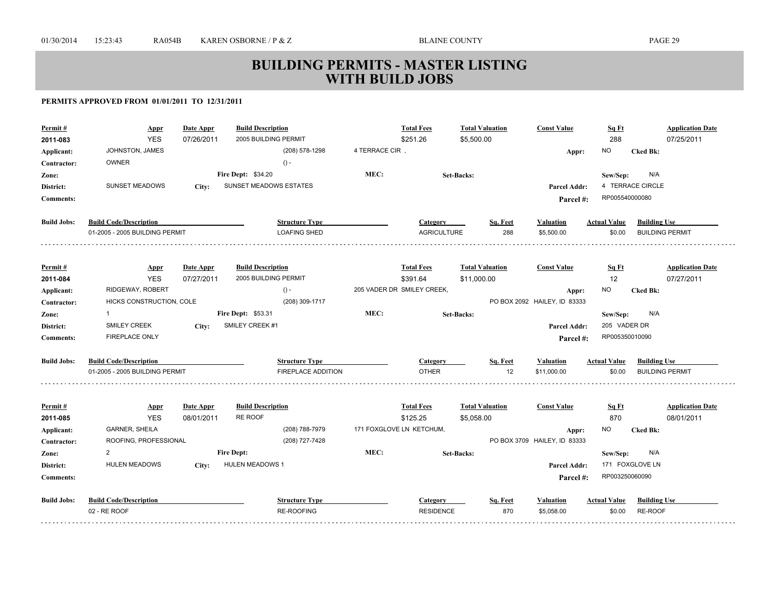| Permit#            | <b>Appr</b>                    | Date Appr  | <b>Build Description</b>  |                       |                | <b>Total Fees</b>          | <b>Total Valuation</b> |          | <b>Const Value</b>                    | Sq Ft               | <b>Application Date</b> |
|--------------------|--------------------------------|------------|---------------------------|-----------------------|----------------|----------------------------|------------------------|----------|---------------------------------------|---------------------|-------------------------|
| 2011-083           | <b>YES</b>                     | 07/26/2011 | 2005 BUILDING PERMIT      |                       |                | \$251.26                   | \$5,500.00             |          |                                       | 288                 | 07/25/2011              |
| Applicant:         | JOHNSTON, JAMES                |            |                           | (208) 578-1298        | 4 TERRACE CIR, |                            |                        |          | Appr:                                 | <b>NO</b>           | <b>Cked Bk:</b>         |
| Contractor:        | <b>OWNER</b>                   |            |                           | $() -$                |                |                            |                        |          |                                       |                     |                         |
| Zone:              |                                |            | <b>Fire Dept: \$34.20</b> |                       | MEC:           |                            | <b>Set-Backs:</b>      |          |                                       | Sew/Sep:            | N/A                     |
| District:          | SUNSET MEADOWS                 | City:      | SUNSET MEADOWS ESTATES    |                       |                |                            |                        |          | Parcel Addr:                          |                     | 4 TERRACE CIRCLE        |
| <b>Comments:</b>   |                                |            |                           |                       |                |                            |                        |          | Parcel#:                              | RP005540000080      |                         |
| <b>Build Jobs:</b> | <b>Build Code/Description</b>  |            |                           | <b>Structure Type</b> |                | Category                   |                        | Sq. Feet | <b>Valuation</b>                      | <b>Actual Value</b> | <b>Building Use</b>     |
|                    | 01-2005 - 2005 BUILDING PERMIT |            |                           | <b>LOAFING SHED</b>   |                | <b>AGRICULTURE</b>         |                        | 288      | \$5,500.00                            | \$0.00              | <b>BUILDING PERMIT</b>  |
| Permit#            | <b>Appr</b>                    | Date Appr  | <b>Build Description</b>  |                       |                | <b>Total Fees</b>          | <b>Total Valuation</b> |          | <b>Const Value</b>                    | <u>Sq Ft</u>        | <b>Application Date</b> |
| 2011-084           | <b>YES</b>                     | 07/27/2011 | 2005 BUILDING PERMIT      |                       |                | \$391.64                   | \$11,000.00            |          |                                       | 12                  | 07/27/2011              |
| Applicant:         | RIDGEWAY, ROBERT               |            |                           | $() -$                |                | 205 VADER DR SMILEY CREEK, |                        |          | Appr:                                 | NO.                 | <b>Cked Bk:</b>         |
| Contractor:        | HICKS CONSTRUCTION, COLE       |            |                           | (208) 309-1717        |                |                            |                        |          | PO BOX 2092 HAILEY, ID 83333          |                     |                         |
| Zone:              | $\mathbf{1}$                   |            | <b>Fire Dept: \$53.31</b> |                       | MEC:           |                            | <b>Set-Backs:</b>      |          |                                       | Sew/Sep:            | N/A                     |
| District:          | <b>SMILEY CREEK</b>            | City:      | SMILEY CREEK #1           |                       |                |                            |                        |          | Parcel Addr:                          | 205 VADER DR        |                         |
| <b>Comments:</b>   | <b>FIREPLACE ONLY</b>          |            |                           |                       |                |                            |                        |          | Parcel#:                              | RP005350010090      |                         |
|                    |                                |            |                           |                       |                |                            |                        |          |                                       |                     |                         |
| <b>Build Jobs:</b> | <b>Build Code/Description</b>  |            |                           | <b>Structure Type</b> |                | Category                   |                        | Sq. Feet | <b>Valuation</b>                      | <b>Actual Value</b> | <b>Building Use</b>     |
|                    | 01-2005 - 2005 BUILDING PERMIT |            |                           | FIREPLACE ADDITION    |                | <b>OTHER</b>               |                        | 12       | \$11,000.00                           | \$0.00              | <b>BUILDING PERMIT</b>  |
| Permit#            |                                | Date Appr  | <b>Build Description</b>  |                       |                | <b>Total Fees</b>          | <b>Total Valuation</b> |          | <b>Const Value</b>                    | <u>Sq Ft</u>        | <b>Application Date</b> |
| 2011-085           | <b>Appr</b><br><b>YES</b>      | 08/01/2011 | RE ROOF                   |                       |                | \$125.25                   | \$5,058.00             |          |                                       | 870                 | 08/01/2011              |
| Applicant:         | <b>GARNER, SHEILA</b>          |            |                           | (208) 788-7979        |                | 171 FOXGLOVE LN KETCHUM,   |                        |          |                                       | NO.                 | <b>Cked Bk:</b>         |
| Contractor:        | ROOFING, PROFESSIONAL          |            |                           | (208) 727-7428        |                |                            |                        |          | Appr:<br>PO BOX 3709 HAILEY, ID 83333 |                     |                         |
| Zone:              | $\overline{2}$                 |            | <b>Fire Dept:</b>         |                       | MEC:           |                            | <b>Set-Backs:</b>      |          |                                       | Sew/Sep:            | N/A                     |
| District:          | <b>HULEN MEADOWS</b>           | City:      | <b>HULEN MEADOWS 1</b>    |                       |                |                            |                        |          | Parcel Addr:                          |                     | 171 FOXGLOVE LN         |
| <b>Comments:</b>   |                                |            |                           |                       |                |                            |                        |          | Parcel#:                              | RP003250060090      |                         |
| <b>Build Jobs:</b> | <b>Build Code/Description</b>  |            |                           | <b>Structure Type</b> |                | <b>Category</b>            |                        | Sq. Feet | <b>Valuation</b>                      | <b>Actual Value</b> | <b>Building Use</b>     |
|                    | 02 - RE ROOF                   |            |                           | <b>RE-ROOFING</b>     |                | <b>RESIDENCE</b>           |                        | 870      | \$5,058.00                            | \$0.00              | RE-ROOF                 |
|                    |                                |            |                           |                       |                |                            |                        |          |                                       |                     |                         |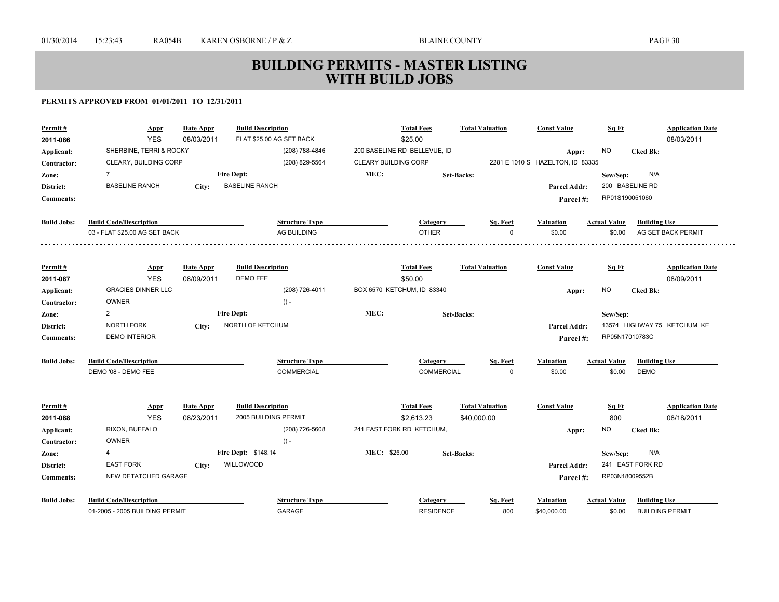| Permit#<br>2011-086 | Appr<br><b>YES</b>             | <b>Date Appr</b><br>08/03/2011 | <b>Build Description</b><br>FLAT \$25.00 AG SET BACK |                      | <b>Total Fees</b><br>\$25.00 | <b>Total Valuation</b> | <b>Const Value</b>                        | Sq Ft               | <b>Application Date</b><br>08/03/2011 |
|---------------------|--------------------------------|--------------------------------|------------------------------------------------------|----------------------|------------------------------|------------------------|-------------------------------------------|---------------------|---------------------------------------|
|                     | SHERBINE, TERRI & ROCKY        |                                | (208) 788-4846                                       |                      | 200 BASELINE RD BELLEVUE, ID |                        |                                           | <b>NO</b>           | <b>Cked Bk:</b>                       |
| Applicant:          | CLEARY, BUILDING CORP          |                                | (208) 829-5564                                       | CLEARY BUILDING CORP |                              |                        | Appr:<br>2281 E 1010 S HAZELTON, ID 83335 |                     |                                       |
| Contractor:         | $\overline{7}$                 |                                | <b>Fire Dept:</b>                                    | MEC:                 |                              |                        |                                           |                     | N/A                                   |
| Zone:               | <b>BASELINE RANCH</b>          |                                | <b>BASELINE RANCH</b>                                |                      |                              | <b>Set-Backs:</b>      |                                           | Sew/Sep:            | 200 BASELINE RD                       |
| District:           |                                | City:                          |                                                      |                      |                              |                        | Parcel Addr:                              | RP01S190051060      |                                       |
| <b>Comments:</b>    |                                |                                |                                                      |                      |                              |                        | Parcel#:                                  |                     |                                       |
| <b>Build Jobs:</b>  | <b>Build Code/Description</b>  |                                | <b>Structure Type</b>                                |                      | Category                     | Sq. Feet               | <b>Valuation</b>                          | <b>Actual Value</b> | <b>Building Use</b>                   |
|                     | 03 - FLAT \$25.00 AG SET BACK  |                                | AG BUILDING                                          |                      | <b>OTHER</b>                 | O                      | \$0.00                                    | \$0.00              | AG SET BACK PERMIT                    |
|                     |                                |                                |                                                      |                      |                              |                        |                                           |                     |                                       |
| Permit#             | <b>Appr</b>                    | Date Appr                      | <b>Build Description</b>                             |                      | <b>Total Fees</b>            | <b>Total Valuation</b> | <b>Const Value</b>                        | Sq Ft               | <b>Application Date</b>               |
| 2011-087            | <b>YES</b>                     | 08/09/2011                     | DEMO FEE                                             |                      | \$50.00                      |                        |                                           |                     | 08/09/2011                            |
| Applicant:          | <b>GRACIES DINNER LLC</b>      |                                | (208) 726-4011                                       |                      | BOX 6570 KETCHUM, ID 83340   |                        | Appr:                                     | NO.                 | <b>Cked Bk:</b>                       |
| Contractor:         | <b>OWNER</b>                   |                                | $() -$                                               |                      |                              |                        |                                           |                     |                                       |
| Zone:               | $\overline{2}$                 |                                | <b>Fire Dept:</b>                                    | MEC:                 |                              | Set-Backs:             |                                           | Sew/Sep:            |                                       |
| District:           | NORTH FORK                     | City:                          | NORTH OF KETCHUM                                     |                      |                              |                        | Parcel Addr:                              |                     | 13574 HIGHWAY 75 KETCHUM KE           |
| <b>Comments:</b>    | <b>DEMO INTERIOR</b>           |                                |                                                      |                      |                              |                        | Parcel#:                                  | RP05N17010783C      |                                       |
| <b>Build Jobs:</b>  | <b>Build Code/Description</b>  |                                | <b>Structure Type</b>                                |                      | Category                     | Sq. Feet               | <b>Valuation</b>                          | <b>Actual Value</b> | <b>Building Use</b>                   |
|                     | DEMO '08 - DEMO FEE            |                                | <b>COMMERCIAL</b>                                    |                      | COMMERCIAL                   | n                      | \$0.00                                    | \$0.00              | <b>DEMO</b>                           |
|                     |                                |                                |                                                      |                      |                              |                        |                                           |                     |                                       |
| Permit#             | <b>Appr</b>                    | Date Appr                      | <b>Build Description</b>                             |                      | <b>Total Fees</b>            | <b>Total Valuation</b> | <b>Const Value</b>                        | Sq Ft               | <b>Application Date</b>               |
| 2011-088            | <b>YES</b>                     | 08/23/2011                     | 2005 BUILDING PERMIT                                 |                      | \$2,613.23                   | \$40,000.00            |                                           | 800                 | 08/18/2011                            |
| Applicant:          | RIXON, BUFFALO                 |                                | (208) 726-5608                                       |                      | 241 EAST FORK RD KETCHUM,    |                        | Appr:                                     | <b>NO</b>           | <b>Cked Bk:</b>                       |
| Contractor:         | <b>OWNER</b>                   |                                | $() -$                                               |                      |                              |                        |                                           |                     |                                       |
| Zone:               | 4                              |                                | Fire Dept: \$148.14                                  | MEC: \$25.00         |                              | <b>Set-Backs:</b>      |                                           | Sew/Sep:            | N/A                                   |
| District:           | <b>EAST FORK</b>               | City:                          | WILLOWOOD                                            |                      |                              |                        | <b>Parcel Addr:</b>                       |                     | 241 EAST FORK RD                      |
| <b>Comments:</b>    | NEW DETATCHED GARAGE           |                                |                                                      |                      |                              |                        | Parcel #:                                 | RP03N18009552B      |                                       |
| <b>Build Jobs:</b>  | <b>Build Code/Description</b>  |                                | <b>Structure Type</b>                                |                      | Category                     | Sq. Feet               | <b>Valuation</b>                          | <b>Actual Value</b> | <b>Building Use</b>                   |
|                     | 01-2005 - 2005 BUILDING PERMIT |                                | <b>GARAGE</b>                                        |                      | <b>RESIDENCE</b>             | 800                    | \$40,000.00                               | \$0.00              | <b>BUILDING PERMIT</b>                |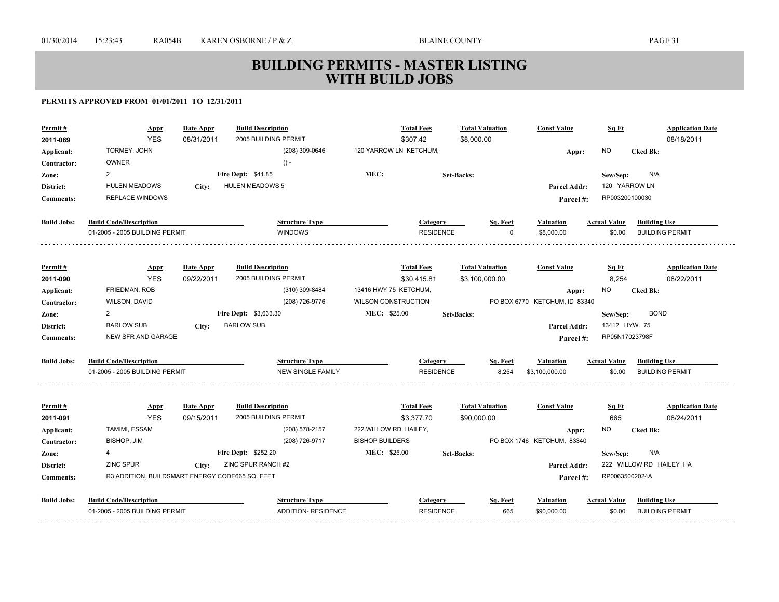| Permit#<br>2011-089       | Appr<br><b>YES</b><br>TORMEY, JOHN              | Date Appr<br>08/31/2011 | <b>Build Description</b><br>2005 BUILDING PERMIT<br>(208) 309-0646 | 120 YARROW LN KETCHUM,     | <b>Total Fees</b><br>\$307.42 | <b>Total Valuation</b><br>\$8,000.00 | <b>Const Value</b>            | Sq Ft<br>NO.        | <b>Application Date</b><br>08/18/2011<br><b>Cked Bk:</b> |
|---------------------------|-------------------------------------------------|-------------------------|--------------------------------------------------------------------|----------------------------|-------------------------------|--------------------------------------|-------------------------------|---------------------|----------------------------------------------------------|
| Applicant:<br>Contractor: | <b>OWNER</b>                                    |                         | $() -$                                                             |                            |                               |                                      | Appr:                         |                     |                                                          |
| Zone:                     | 2                                               |                         | Fire Dept: \$41.85                                                 | MEC:                       |                               | <b>Set-Backs:</b>                    |                               | Sew/Sep:            | N/A                                                      |
| District:                 | <b>HULEN MEADOWS</b>                            | City:                   | <b>HULEN MEADOWS 5</b>                                             |                            |                               |                                      | <b>Parcel Addr:</b>           | 120 YARROW LN       |                                                          |
| <b>Comments:</b>          | <b>REPLACE WINDOWS</b>                          |                         |                                                                    |                            |                               |                                      | Parcel #:                     | RP003200100030      |                                                          |
|                           |                                                 |                         |                                                                    |                            |                               |                                      |                               |                     |                                                          |
| <b>Build Jobs:</b>        | <b>Build Code/Description</b>                   |                         | <b>Structure Type</b>                                              |                            | Category                      | Sq. Feet                             | Valuation                     | <b>Actual Value</b> | <b>Building Use</b>                                      |
|                           | 01-2005 - 2005 BUILDING PERMIT                  |                         | <b>WINDOWS</b>                                                     |                            | <b>RESIDENCE</b>              | $\Omega$                             | \$8,000.00                    | \$0.00              | <b>BUILDING PERMIT</b>                                   |
|                           |                                                 |                         |                                                                    |                            |                               |                                      |                               |                     |                                                          |
| Permit#                   | Appr                                            | Date Appr               | <b>Build Description</b>                                           |                            | <b>Total Fees</b>             | <b>Total Valuation</b>               | <b>Const Value</b>            | Sq Ft               | <b>Application Date</b>                                  |
| 2011-090                  | <b>YES</b>                                      | 09/22/2011              | 2005 BUILDING PERMIT                                               |                            | \$30,415.81                   | \$3,100,000.00                       |                               | 8,254               | 08/22/2011                                               |
| Applicant:                | <b>FRIEDMAN, ROB</b>                            |                         | (310) 309-8484                                                     | 13416 HWY 75 KETCHUM,      |                               |                                      | Appr:                         | NO.                 | <b>Cked Bk:</b>                                          |
| Contractor:               | WILSON, DAVID                                   |                         | (208) 726-9776                                                     | <b>WILSON CONSTRUCTION</b> |                               |                                      | PO BOX 6770 KETCHUM. ID 83340 |                     |                                                          |
| Zone:                     | 2                                               |                         | <b>Fire Dept: \$3,633.30</b>                                       | <b>MEC: \$25.00</b>        |                               | <b>Set-Backs:</b>                    |                               | Sew/Sep:            | <b>BOND</b>                                              |
| District:                 | <b>BARLOW SUB</b>                               | City:                   | <b>BARLOW SUB</b>                                                  |                            |                               |                                      | <b>Parcel Addr:</b>           | 13412 HYW. 75       |                                                          |
| <b>Comments:</b>          | <b>NEW SFR AND GARAGE</b>                       |                         |                                                                    |                            |                               |                                      | Parcel#:                      | RP05N17023798F      |                                                          |
| <b>Build Jobs:</b>        | <b>Build Code/Description</b>                   |                         | <b>Structure Type</b>                                              |                            | Category                      | Sq. Feet                             | Valuation                     | <b>Actual Value</b> | <b>Building Use</b>                                      |
|                           | 01-2005 - 2005 BUILDING PERMIT                  |                         | <b>NEW SINGLE FAMILY</b>                                           |                            | <b>RESIDENCE</b>              | 8,254                                | \$3,100,000.00                | \$0.00              | <b>BUILDING PERMIT</b>                                   |
|                           |                                                 |                         |                                                                    |                            |                               |                                      |                               |                     |                                                          |
| Permit#                   | <u>Appr</u>                                     | Date Appr               | <b>Build Description</b>                                           |                            | <b>Total Fees</b>             | <b>Total Valuation</b>               | <b>Const Value</b>            | Sq Ft               | <b>Application Date</b>                                  |
| 2011-091                  | <b>YES</b>                                      | 09/15/2011              | 2005 BUILDING PERMIT                                               |                            | \$3,377.70                    | \$90,000.00                          |                               | 665                 | 08/24/2011                                               |
| Applicant:                | TAMIMI, ESSAM                                   |                         | (208) 578-2157                                                     | 222 WILLOW RD HAILEY,      |                               |                                      | Appr:                         | NO.                 | <b>Cked Bk:</b>                                          |
| Contractor:               | BISHOP, JIM                                     |                         | (208) 726-9717                                                     | <b>BISHOP BUILDERS</b>     |                               |                                      | PO BOX 1746 KETCHUM, 83340    |                     |                                                          |
| Zone:                     | 4                                               |                         | Fire Dept: \$252.20                                                | <b>MEC: \$25.00</b>        |                               | <b>Set-Backs:</b>                    |                               | Sew/Sep:            | N/A                                                      |
| District:                 | <b>ZINC SPUR</b>                                | City:                   | ZINC SPUR RANCH #2                                                 |                            |                               |                                      | Parcel Addr:                  |                     | 222 WILLOW RD HAILEY HA                                  |
| <b>Comments:</b>          | R3 ADDITION, BUILDSMART ENERGY CODE665 SQ. FEET |                         |                                                                    |                            |                               |                                      | Parcel#:                      | RP00635002024A      |                                                          |
| <b>Build Jobs:</b>        | <b>Build Code/Description</b>                   |                         | <b>Structure Type</b>                                              |                            | Category                      | Sq. Feet                             | <b>Valuation</b>              | <b>Actual Value</b> | <b>Building Use</b>                                      |
|                           | 01-2005 - 2005 BUILDING PERMIT                  |                         | ADDITION- RESIDENCE                                                |                            | <b>RESIDENCE</b>              | 665                                  | \$90,000.00                   | \$0.00              | <b>BUILDING PERMIT</b>                                   |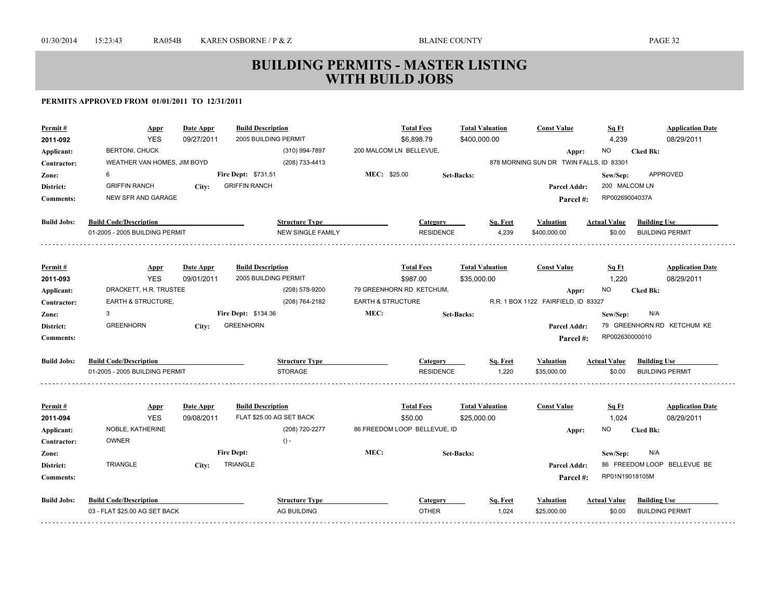| <b>YES</b><br>2005 BUILDING PERMIT<br>4,239<br>08/29/2011<br>2011-092<br>09/27/2011<br>\$6,898.79<br>\$400,000.00<br><b>BERTONI, CHUCK</b><br>(310) 994-7897<br>200 MALCOM LN BELLEVUE,<br><b>NO</b><br><b>Cked Bk:</b><br>Applicant:<br>Appr:<br>WEATHER VAN HOMES, JIM BOYD<br>878 MORNING SUN DR TWIN FALLS, ID 83301<br>(208) 733-4413<br>Contractor:<br>MEC: \$25.00<br>APPROVED<br>6<br><b>Fire Dept: \$731.51</b><br>Zone:<br>Set-Backs:<br>Sew/Sep:<br><b>GRIFFIN RANCH</b><br>200 MALCOM LN<br><b>GRIFFIN RANCH</b><br>District:<br>City:<br><b>Parcel Addr:</b><br>RP00269004037A<br>NEW SFR AND GARAGE<br><b>Comments:</b><br>Parcel #:<br><b>Build Code/Description</b><br><b>Build Jobs:</b><br><b>Structure Type</b><br><b>Actual Value</b><br><b>Building Use</b><br>Category<br>Sq. Feet<br><b>Valuation</b><br>01-2005 - 2005 BUILDING PERMIT<br><b>NEW SINGLE FAMILY</b><br><b>RESIDENCE</b><br>4,239<br>\$0.00<br><b>BUILDING PERMIT</b><br>\$400,000.00<br><b>Build Description</b><br><b>Total Fees</b><br><b>Total Valuation</b><br><b>Const Value</b><br><b>Application Date</b><br>Permit#<br>Date Appr<br>Sq Ft<br><b>Appr</b><br><b>YES</b><br>09/01/2011<br>2005 BUILDING PERMIT<br>\$987.00<br>\$35,000.00<br>1,220<br>08/29/2011<br>2011-093<br>DRACKETT, H.R. TRUSTEE<br>(208) 578-9200<br>79 GREENHORN RD KETCHUM,<br>NO<br><b>Cked Bk:</b><br>Applicant:<br>Appr:<br>EARTH & STRUCTURE,<br>(208) 764-2182<br><b>EARTH &amp; STRUCTURE</b><br>R.R. 1 BOX 1122 FAIRFIELD, ID 83327<br>Contractor:<br>MEC:<br>Fire Dept: \$134.36<br>3<br><b>Set-Backs:</b><br>N/A<br>Zone:<br>Sew/Sep:<br><b>GREENHORN</b><br>79 GREENHORN RD KETCHUM KE<br><b>GREENHORN</b><br>District:<br>City:<br>Parcel Addr:<br>RP002630000010<br><b>Comments:</b><br>Parcel #:<br><b>Build Jobs:</b><br><b>Build Code/Description</b><br><b>Structure Type</b><br>Sq. Feet<br><b>Valuation</b><br><b>Actual Value</b><br><b>Building Use</b><br>Category<br>01-2005 - 2005 BUILDING PERMIT<br><b>STORAGE</b><br><b>RESIDENCE</b><br>1,220<br>\$35,000.00<br>\$0.00<br><b>BUILDING PERMIT</b><br>Date Appr<br><b>Build Description</b><br><b>Total Fees</b><br><b>Total Valuation</b><br><b>Const Value</b><br><b>Application Date</b><br>Permit#<br><b>Appr</b><br><u>Sq Ft</u><br><b>YES</b><br>FLAT \$25.00 AG SET BACK<br>1,024<br>2011-094<br>09/08/2011<br>\$50.00<br>\$25,000.00<br>08/29/2011<br>NOBLE, KATHERINE<br>86 FREEDOM LOOP BELLEVUE, ID<br>(208) 720-2277<br>NO.<br><b>Cked Bk:</b><br>Applicant:<br>Appr:<br><b>OWNER</b><br>$() -$<br>Contractor:<br><b>Fire Dept:</b><br>MEC:<br>N/A<br>Set-Backs:<br>Sew/Sep:<br>Zone:<br>TRIANGLE<br><b>TRIANGLE</b><br>86 FREEDOM LOOP BELLEVUE BE<br>Parcel Addr:<br>District:<br>City:<br>RP01N19018105M<br><b>Comments:</b><br>Parcel #:<br><b>Build Jobs:</b><br><b>Build Code/Description</b><br><b>Structure Type</b><br><b>Building Use</b><br>Sq. Feet<br>Valuation<br><b>Actual Value</b><br>Category<br><b>OTHER</b><br>1,024<br>03 - FLAT \$25.00 AG SET BACK<br><b>AG BUILDING</b><br>\$25,000.00<br><b>BUILDING PERMIT</b><br>\$0.00 | Permit# | Appr | Date Appr | <b>Build Description</b> |  | <b>Total Fees</b> | <b>Total Valuation</b> | <b>Const Value</b> | Sq Ft | <b>Application Date</b> |
|---------------------------------------------------------------------------------------------------------------------------------------------------------------------------------------------------------------------------------------------------------------------------------------------------------------------------------------------------------------------------------------------------------------------------------------------------------------------------------------------------------------------------------------------------------------------------------------------------------------------------------------------------------------------------------------------------------------------------------------------------------------------------------------------------------------------------------------------------------------------------------------------------------------------------------------------------------------------------------------------------------------------------------------------------------------------------------------------------------------------------------------------------------------------------------------------------------------------------------------------------------------------------------------------------------------------------------------------------------------------------------------------------------------------------------------------------------------------------------------------------------------------------------------------------------------------------------------------------------------------------------------------------------------------------------------------------------------------------------------------------------------------------------------------------------------------------------------------------------------------------------------------------------------------------------------------------------------------------------------------------------------------------------------------------------------------------------------------------------------------------------------------------------------------------------------------------------------------------------------------------------------------------------------------------------------------------------------------------------------------------------------------------------------------------------------------------------------------------------------------------------------------------------------------------------------------------------------------------------------------------------------------------------------------------------------------------------------------------------------------------------------------------------------------------------------------------------------------------------------------------------------------------------------------------------------------------------------------------------------------------------------------------------------------------------------------------------------------------------------|---------|------|-----------|--------------------------|--|-------------------|------------------------|--------------------|-------|-------------------------|
|                                                                                                                                                                                                                                                                                                                                                                                                                                                                                                                                                                                                                                                                                                                                                                                                                                                                                                                                                                                                                                                                                                                                                                                                                                                                                                                                                                                                                                                                                                                                                                                                                                                                                                                                                                                                                                                                                                                                                                                                                                                                                                                                                                                                                                                                                                                                                                                                                                                                                                                                                                                                                                                                                                                                                                                                                                                                                                                                                                                                                                                                                                               |         |      |           |                          |  |                   |                        |                    |       |                         |
|                                                                                                                                                                                                                                                                                                                                                                                                                                                                                                                                                                                                                                                                                                                                                                                                                                                                                                                                                                                                                                                                                                                                                                                                                                                                                                                                                                                                                                                                                                                                                                                                                                                                                                                                                                                                                                                                                                                                                                                                                                                                                                                                                                                                                                                                                                                                                                                                                                                                                                                                                                                                                                                                                                                                                                                                                                                                                                                                                                                                                                                                                                               |         |      |           |                          |  |                   |                        |                    |       |                         |
|                                                                                                                                                                                                                                                                                                                                                                                                                                                                                                                                                                                                                                                                                                                                                                                                                                                                                                                                                                                                                                                                                                                                                                                                                                                                                                                                                                                                                                                                                                                                                                                                                                                                                                                                                                                                                                                                                                                                                                                                                                                                                                                                                                                                                                                                                                                                                                                                                                                                                                                                                                                                                                                                                                                                                                                                                                                                                                                                                                                                                                                                                                               |         |      |           |                          |  |                   |                        |                    |       |                         |
|                                                                                                                                                                                                                                                                                                                                                                                                                                                                                                                                                                                                                                                                                                                                                                                                                                                                                                                                                                                                                                                                                                                                                                                                                                                                                                                                                                                                                                                                                                                                                                                                                                                                                                                                                                                                                                                                                                                                                                                                                                                                                                                                                                                                                                                                                                                                                                                                                                                                                                                                                                                                                                                                                                                                                                                                                                                                                                                                                                                                                                                                                                               |         |      |           |                          |  |                   |                        |                    |       |                         |
|                                                                                                                                                                                                                                                                                                                                                                                                                                                                                                                                                                                                                                                                                                                                                                                                                                                                                                                                                                                                                                                                                                                                                                                                                                                                                                                                                                                                                                                                                                                                                                                                                                                                                                                                                                                                                                                                                                                                                                                                                                                                                                                                                                                                                                                                                                                                                                                                                                                                                                                                                                                                                                                                                                                                                                                                                                                                                                                                                                                                                                                                                                               |         |      |           |                          |  |                   |                        |                    |       |                         |
|                                                                                                                                                                                                                                                                                                                                                                                                                                                                                                                                                                                                                                                                                                                                                                                                                                                                                                                                                                                                                                                                                                                                                                                                                                                                                                                                                                                                                                                                                                                                                                                                                                                                                                                                                                                                                                                                                                                                                                                                                                                                                                                                                                                                                                                                                                                                                                                                                                                                                                                                                                                                                                                                                                                                                                                                                                                                                                                                                                                                                                                                                                               |         |      |           |                          |  |                   |                        |                    |       |                         |
|                                                                                                                                                                                                                                                                                                                                                                                                                                                                                                                                                                                                                                                                                                                                                                                                                                                                                                                                                                                                                                                                                                                                                                                                                                                                                                                                                                                                                                                                                                                                                                                                                                                                                                                                                                                                                                                                                                                                                                                                                                                                                                                                                                                                                                                                                                                                                                                                                                                                                                                                                                                                                                                                                                                                                                                                                                                                                                                                                                                                                                                                                                               |         |      |           |                          |  |                   |                        |                    |       |                         |
|                                                                                                                                                                                                                                                                                                                                                                                                                                                                                                                                                                                                                                                                                                                                                                                                                                                                                                                                                                                                                                                                                                                                                                                                                                                                                                                                                                                                                                                                                                                                                                                                                                                                                                                                                                                                                                                                                                                                                                                                                                                                                                                                                                                                                                                                                                                                                                                                                                                                                                                                                                                                                                                                                                                                                                                                                                                                                                                                                                                                                                                                                                               |         |      |           |                          |  |                   |                        |                    |       |                         |
|                                                                                                                                                                                                                                                                                                                                                                                                                                                                                                                                                                                                                                                                                                                                                                                                                                                                                                                                                                                                                                                                                                                                                                                                                                                                                                                                                                                                                                                                                                                                                                                                                                                                                                                                                                                                                                                                                                                                                                                                                                                                                                                                                                                                                                                                                                                                                                                                                                                                                                                                                                                                                                                                                                                                                                                                                                                                                                                                                                                                                                                                                                               |         |      |           |                          |  |                   |                        |                    |       |                         |
|                                                                                                                                                                                                                                                                                                                                                                                                                                                                                                                                                                                                                                                                                                                                                                                                                                                                                                                                                                                                                                                                                                                                                                                                                                                                                                                                                                                                                                                                                                                                                                                                                                                                                                                                                                                                                                                                                                                                                                                                                                                                                                                                                                                                                                                                                                                                                                                                                                                                                                                                                                                                                                                                                                                                                                                                                                                                                                                                                                                                                                                                                                               |         |      |           |                          |  |                   |                        |                    |       |                         |
|                                                                                                                                                                                                                                                                                                                                                                                                                                                                                                                                                                                                                                                                                                                                                                                                                                                                                                                                                                                                                                                                                                                                                                                                                                                                                                                                                                                                                                                                                                                                                                                                                                                                                                                                                                                                                                                                                                                                                                                                                                                                                                                                                                                                                                                                                                                                                                                                                                                                                                                                                                                                                                                                                                                                                                                                                                                                                                                                                                                                                                                                                                               |         |      |           |                          |  |                   |                        |                    |       |                         |
|                                                                                                                                                                                                                                                                                                                                                                                                                                                                                                                                                                                                                                                                                                                                                                                                                                                                                                                                                                                                                                                                                                                                                                                                                                                                                                                                                                                                                                                                                                                                                                                                                                                                                                                                                                                                                                                                                                                                                                                                                                                                                                                                                                                                                                                                                                                                                                                                                                                                                                                                                                                                                                                                                                                                                                                                                                                                                                                                                                                                                                                                                                               |         |      |           |                          |  |                   |                        |                    |       |                         |
|                                                                                                                                                                                                                                                                                                                                                                                                                                                                                                                                                                                                                                                                                                                                                                                                                                                                                                                                                                                                                                                                                                                                                                                                                                                                                                                                                                                                                                                                                                                                                                                                                                                                                                                                                                                                                                                                                                                                                                                                                                                                                                                                                                                                                                                                                                                                                                                                                                                                                                                                                                                                                                                                                                                                                                                                                                                                                                                                                                                                                                                                                                               |         |      |           |                          |  |                   |                        |                    |       |                         |
|                                                                                                                                                                                                                                                                                                                                                                                                                                                                                                                                                                                                                                                                                                                                                                                                                                                                                                                                                                                                                                                                                                                                                                                                                                                                                                                                                                                                                                                                                                                                                                                                                                                                                                                                                                                                                                                                                                                                                                                                                                                                                                                                                                                                                                                                                                                                                                                                                                                                                                                                                                                                                                                                                                                                                                                                                                                                                                                                                                                                                                                                                                               |         |      |           |                          |  |                   |                        |                    |       |                         |
|                                                                                                                                                                                                                                                                                                                                                                                                                                                                                                                                                                                                                                                                                                                                                                                                                                                                                                                                                                                                                                                                                                                                                                                                                                                                                                                                                                                                                                                                                                                                                                                                                                                                                                                                                                                                                                                                                                                                                                                                                                                                                                                                                                                                                                                                                                                                                                                                                                                                                                                                                                                                                                                                                                                                                                                                                                                                                                                                                                                                                                                                                                               |         |      |           |                          |  |                   |                        |                    |       |                         |
|                                                                                                                                                                                                                                                                                                                                                                                                                                                                                                                                                                                                                                                                                                                                                                                                                                                                                                                                                                                                                                                                                                                                                                                                                                                                                                                                                                                                                                                                                                                                                                                                                                                                                                                                                                                                                                                                                                                                                                                                                                                                                                                                                                                                                                                                                                                                                                                                                                                                                                                                                                                                                                                                                                                                                                                                                                                                                                                                                                                                                                                                                                               |         |      |           |                          |  |                   |                        |                    |       |                         |
|                                                                                                                                                                                                                                                                                                                                                                                                                                                                                                                                                                                                                                                                                                                                                                                                                                                                                                                                                                                                                                                                                                                                                                                                                                                                                                                                                                                                                                                                                                                                                                                                                                                                                                                                                                                                                                                                                                                                                                                                                                                                                                                                                                                                                                                                                                                                                                                                                                                                                                                                                                                                                                                                                                                                                                                                                                                                                                                                                                                                                                                                                                               |         |      |           |                          |  |                   |                        |                    |       |                         |
|                                                                                                                                                                                                                                                                                                                                                                                                                                                                                                                                                                                                                                                                                                                                                                                                                                                                                                                                                                                                                                                                                                                                                                                                                                                                                                                                                                                                                                                                                                                                                                                                                                                                                                                                                                                                                                                                                                                                                                                                                                                                                                                                                                                                                                                                                                                                                                                                                                                                                                                                                                                                                                                                                                                                                                                                                                                                                                                                                                                                                                                                                                               |         |      |           |                          |  |                   |                        |                    |       |                         |
|                                                                                                                                                                                                                                                                                                                                                                                                                                                                                                                                                                                                                                                                                                                                                                                                                                                                                                                                                                                                                                                                                                                                                                                                                                                                                                                                                                                                                                                                                                                                                                                                                                                                                                                                                                                                                                                                                                                                                                                                                                                                                                                                                                                                                                                                                                                                                                                                                                                                                                                                                                                                                                                                                                                                                                                                                                                                                                                                                                                                                                                                                                               |         |      |           |                          |  |                   |                        |                    |       |                         |
|                                                                                                                                                                                                                                                                                                                                                                                                                                                                                                                                                                                                                                                                                                                                                                                                                                                                                                                                                                                                                                                                                                                                                                                                                                                                                                                                                                                                                                                                                                                                                                                                                                                                                                                                                                                                                                                                                                                                                                                                                                                                                                                                                                                                                                                                                                                                                                                                                                                                                                                                                                                                                                                                                                                                                                                                                                                                                                                                                                                                                                                                                                               |         |      |           |                          |  |                   |                        |                    |       |                         |
|                                                                                                                                                                                                                                                                                                                                                                                                                                                                                                                                                                                                                                                                                                                                                                                                                                                                                                                                                                                                                                                                                                                                                                                                                                                                                                                                                                                                                                                                                                                                                                                                                                                                                                                                                                                                                                                                                                                                                                                                                                                                                                                                                                                                                                                                                                                                                                                                                                                                                                                                                                                                                                                                                                                                                                                                                                                                                                                                                                                                                                                                                                               |         |      |           |                          |  |                   |                        |                    |       |                         |
|                                                                                                                                                                                                                                                                                                                                                                                                                                                                                                                                                                                                                                                                                                                                                                                                                                                                                                                                                                                                                                                                                                                                                                                                                                                                                                                                                                                                                                                                                                                                                                                                                                                                                                                                                                                                                                                                                                                                                                                                                                                                                                                                                                                                                                                                                                                                                                                                                                                                                                                                                                                                                                                                                                                                                                                                                                                                                                                                                                                                                                                                                                               |         |      |           |                          |  |                   |                        |                    |       |                         |
|                                                                                                                                                                                                                                                                                                                                                                                                                                                                                                                                                                                                                                                                                                                                                                                                                                                                                                                                                                                                                                                                                                                                                                                                                                                                                                                                                                                                                                                                                                                                                                                                                                                                                                                                                                                                                                                                                                                                                                                                                                                                                                                                                                                                                                                                                                                                                                                                                                                                                                                                                                                                                                                                                                                                                                                                                                                                                                                                                                                                                                                                                                               |         |      |           |                          |  |                   |                        |                    |       |                         |
|                                                                                                                                                                                                                                                                                                                                                                                                                                                                                                                                                                                                                                                                                                                                                                                                                                                                                                                                                                                                                                                                                                                                                                                                                                                                                                                                                                                                                                                                                                                                                                                                                                                                                                                                                                                                                                                                                                                                                                                                                                                                                                                                                                                                                                                                                                                                                                                                                                                                                                                                                                                                                                                                                                                                                                                                                                                                                                                                                                                                                                                                                                               |         |      |           |                          |  |                   |                        |                    |       |                         |
|                                                                                                                                                                                                                                                                                                                                                                                                                                                                                                                                                                                                                                                                                                                                                                                                                                                                                                                                                                                                                                                                                                                                                                                                                                                                                                                                                                                                                                                                                                                                                                                                                                                                                                                                                                                                                                                                                                                                                                                                                                                                                                                                                                                                                                                                                                                                                                                                                                                                                                                                                                                                                                                                                                                                                                                                                                                                                                                                                                                                                                                                                                               |         |      |           |                          |  |                   |                        |                    |       |                         |
|                                                                                                                                                                                                                                                                                                                                                                                                                                                                                                                                                                                                                                                                                                                                                                                                                                                                                                                                                                                                                                                                                                                                                                                                                                                                                                                                                                                                                                                                                                                                                                                                                                                                                                                                                                                                                                                                                                                                                                                                                                                                                                                                                                                                                                                                                                                                                                                                                                                                                                                                                                                                                                                                                                                                                                                                                                                                                                                                                                                                                                                                                                               |         |      |           |                          |  |                   |                        |                    |       |                         |
|                                                                                                                                                                                                                                                                                                                                                                                                                                                                                                                                                                                                                                                                                                                                                                                                                                                                                                                                                                                                                                                                                                                                                                                                                                                                                                                                                                                                                                                                                                                                                                                                                                                                                                                                                                                                                                                                                                                                                                                                                                                                                                                                                                                                                                                                                                                                                                                                                                                                                                                                                                                                                                                                                                                                                                                                                                                                                                                                                                                                                                                                                                               |         |      |           |                          |  |                   |                        |                    |       |                         |
|                                                                                                                                                                                                                                                                                                                                                                                                                                                                                                                                                                                                                                                                                                                                                                                                                                                                                                                                                                                                                                                                                                                                                                                                                                                                                                                                                                                                                                                                                                                                                                                                                                                                                                                                                                                                                                                                                                                                                                                                                                                                                                                                                                                                                                                                                                                                                                                                                                                                                                                                                                                                                                                                                                                                                                                                                                                                                                                                                                                                                                                                                                               |         |      |           |                          |  |                   |                        |                    |       |                         |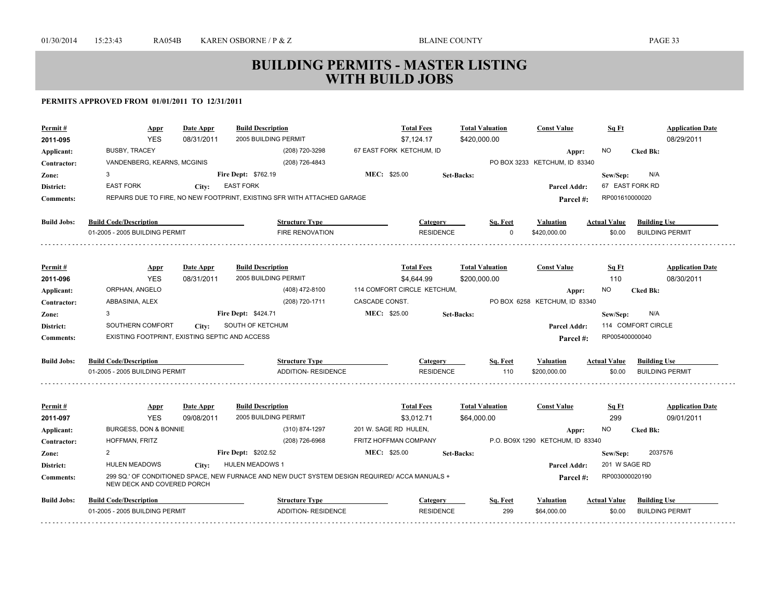| <b>BUSBY, TRACEY</b><br>(208) 720-3298<br>67 EAST FORK KETCHUM, ID<br>NO.<br>Applicant:<br>Appr:<br>(208) 726-4843<br>PO BOX 3233 KETCHUM, ID 83340<br>VANDENBERG, KEARNS, MCGINIS<br>Contractor:<br>3<br><b>Fire Dept: \$762.19</b><br><b>MEC: \$25.00</b><br>Set-Backs:<br>Sew/Sep:<br>Zone:<br><b>EAST FORK</b><br><b>EAST FORK</b><br>District:<br>City:<br><b>Parcel Addr:</b> | <b>Cked Bk:</b><br>N/A<br>67 EAST FORK RD<br>RP001610000020 |
|-------------------------------------------------------------------------------------------------------------------------------------------------------------------------------------------------------------------------------------------------------------------------------------------------------------------------------------------------------------------------------------|-------------------------------------------------------------|
|                                                                                                                                                                                                                                                                                                                                                                                     |                                                             |
|                                                                                                                                                                                                                                                                                                                                                                                     |                                                             |
|                                                                                                                                                                                                                                                                                                                                                                                     |                                                             |
|                                                                                                                                                                                                                                                                                                                                                                                     |                                                             |
| REPAIRS DUE TO FIRE, NO NEW FOOTPRINT, EXISTING SFR WITH ATTACHED GARAGE<br><b>Comments:</b><br>Parcel #:                                                                                                                                                                                                                                                                           |                                                             |
| <b>Build Jobs:</b><br><b>Build Code/Description</b><br><b>Structure Type</b><br>Sq. Feet<br><b>Actual Value</b><br>Category<br>Valuation                                                                                                                                                                                                                                            | <b>Building Use</b>                                         |
| 01-2005 - 2005 BUILDING PERMIT<br><b>FIRE RENOVATION</b><br><b>RESIDENCE</b><br>\$0.00<br>$\Omega$<br>\$420,000,00                                                                                                                                                                                                                                                                  | <b>BUILDING PERMIT</b>                                      |
| <b>Build Description</b><br><b>Total Fees</b><br><b>Total Valuation</b><br><b>Const Value</b><br>Permit#<br>Date Appr<br><u>Sq Ft</u><br><b>Appr</b>                                                                                                                                                                                                                                | <b>Application Date</b>                                     |
| <b>YES</b><br>08/31/2011<br>2005 BUILDING PERMIT<br>\$4,644.99<br>\$200,000.00<br>110<br>2011-096                                                                                                                                                                                                                                                                                   | 08/30/2011                                                  |
| ORPHAN, ANGELO<br>(408) 472-8100<br>114 COMFORT CIRCLE KETCHUM,<br>NO.<br>Applicant:<br>Appr:                                                                                                                                                                                                                                                                                       | <b>Cked Bk:</b>                                             |
| (208) 720-1711<br>CASCADE CONST.<br>ABBASINIA, ALEX<br>PO BOX 6258 KETCHUM. ID 83340<br>Contractor:                                                                                                                                                                                                                                                                                 |                                                             |
| 3<br><b>Fire Dept: \$424.71</b><br><b>MEC: \$25.00</b><br><b>Set-Backs:</b><br>Sew/Sep:<br>Zone:                                                                                                                                                                                                                                                                                    | N/A                                                         |
| SOUTH OF KETCHUM<br>SOUTHERN COMFORT<br>District:<br>City:<br><b>Parcel Addr:</b>                                                                                                                                                                                                                                                                                                   | 114 COMFORT CIRCLE                                          |
| EXISTING FOOTPRINT, EXISTING SEPTIC AND ACCESS<br><b>Comments:</b><br>Parcel #:                                                                                                                                                                                                                                                                                                     | RP005400000040                                              |
| <b>Build Jobs:</b><br><b>Build Code/Description</b><br><b>Structure Type</b><br><b>Actual Value</b><br>Sq. Feet<br><b>Valuation</b><br><b>Category</b>                                                                                                                                                                                                                              | <b>Building Use</b>                                         |
| 01-2005 - 2005 BUILDING PERMIT<br><b>ADDITION- RESIDENCE</b><br><b>RESIDENCE</b><br>110<br>\$200,000,00<br>\$0.00                                                                                                                                                                                                                                                                   | <b>BUILDING PERMIT</b>                                      |
| <b>Build Description</b><br><b>Total Fees</b><br><b>Total Valuation</b><br><b>Const Value</b><br>Permit#<br>Date Appr<br><u>Sq Ft</u><br><b>Appr</b>                                                                                                                                                                                                                                | <b>Application Date</b>                                     |
| 2005 BUILDING PERMIT<br><b>YES</b><br>299<br>09/08/2011<br>\$3,012.71<br>\$64,000.00<br>2011-097                                                                                                                                                                                                                                                                                    | 09/01/2011                                                  |
| BURGESS, DON & BONNIE<br>(310) 874-1297<br>201 W. SAGE RD HULEN,<br>NO.<br>Applicant:<br>Appr:                                                                                                                                                                                                                                                                                      | <b>Cked Bk:</b>                                             |
| FRITZ HOFFMAN COMPANY<br>P.O. BO9X 1290 KETCHUM. ID 83340<br>HOFFMAN, FRITZ<br>(208) 726-6968<br>Contractor:                                                                                                                                                                                                                                                                        |                                                             |
| <b>Fire Dept: \$202.52</b><br><b>MEC: \$25.00</b><br>2<br>Set-Backs:<br>Sew/Sep:<br>Zone:                                                                                                                                                                                                                                                                                           | 2037576                                                     |
| <b>HULEN MEADOWS</b><br>HULEN MEADOWS 1<br>District:<br>City:<br><b>Parcel Addr:</b>                                                                                                                                                                                                                                                                                                | 201 W SAGE RD                                               |
| 299 SQ.' OF CONDITIONED SPACE, NEW FURNACE AND NEW DUCT SYSTEM DESIGN REQUIRED/ ACCA MANUALS +<br><b>Comments:</b><br>Parcel #:<br>NEW DECK AND COVERED PORCH                                                                                                                                                                                                                       | RP003000020190                                              |
| <b>Build Jobs:</b><br><b>Build Code/Description</b><br><b>Structure Type</b><br><b>Actual Value</b><br>Sq. Feet<br><b>Valuation</b><br><b>Category</b>                                                                                                                                                                                                                              | <b>Building Use</b>                                         |
| <b>ADDITION- RESIDENCE</b><br>299<br>01-2005 - 2005 BUILDING PERMIT<br><b>RESIDENCE</b><br>\$64,000.00<br>\$0.00                                                                                                                                                                                                                                                                    | <b>BUILDING PERMIT</b>                                      |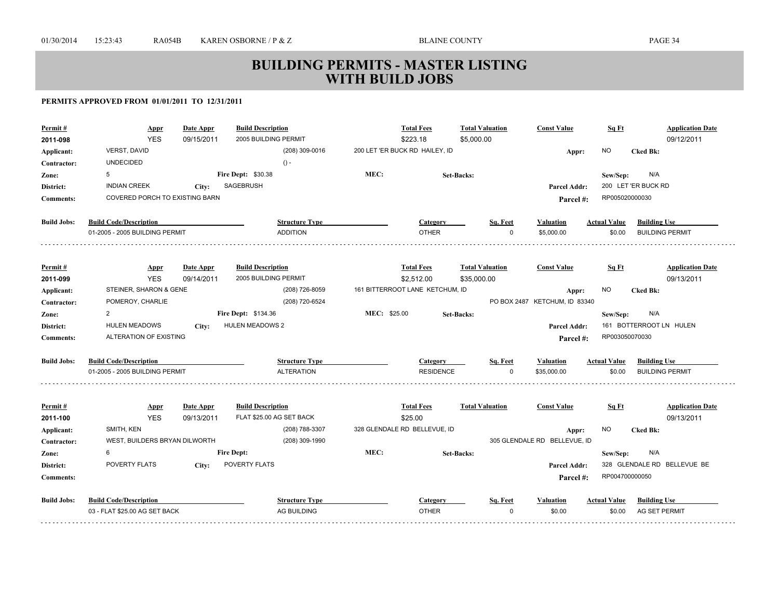| Permit#            | <b>Appr</b><br><b>YES</b>      | Date Appr<br>09/15/2011 | <b>Build Description</b><br>2005 BUILDING PERMIT |              | <b>Total Fees</b><br>\$223.18   | <b>Total Valuation</b><br>\$5,000.00 | <b>Const Value</b>            | Sq Ft               | <b>Application Date</b><br>09/12/2011 |
|--------------------|--------------------------------|-------------------------|--------------------------------------------------|--------------|---------------------------------|--------------------------------------|-------------------------------|---------------------|---------------------------------------|
| 2011-098           | <b>VERST, DAVID</b>            |                         | (208) 309-0016                                   |              | 200 LET 'ER BUCK RD HAILEY, ID  |                                      |                               | NO.                 |                                       |
| Applicant:         | <b>UNDECIDED</b>               |                         | $() -$                                           |              |                                 |                                      | Appr:                         |                     | <b>Cked Bk:</b>                       |
| Contractor:        | 5                              |                         | Fire Dept: \$30.38                               | MEC:         |                                 |                                      |                               |                     | N/A                                   |
| Zone:              | <b>INDIAN CREEK</b>            |                         | SAGEBRUSH                                        |              |                                 | <b>Set-Backs:</b>                    |                               | Sew/Sep:            | 200 LET 'ER BUCK RD                   |
| District:          | COVERED PORCH TO EXISTING BARN | City:                   |                                                  |              |                                 |                                      | <b>Parcel Addr:</b>           | RP005020000030      |                                       |
| <b>Comments:</b>   |                                |                         |                                                  |              |                                 |                                      | Parcel #:                     |                     |                                       |
| <b>Build Jobs:</b> | <b>Build Code/Description</b>  |                         | <b>Structure Type</b>                            |              | Category                        | Sq. Feet                             | <b>Valuation</b>              | <b>Actual Value</b> | <b>Building Use</b>                   |
|                    | 01-2005 - 2005 BUILDING PERMIT |                         | <b>ADDITION</b>                                  |              | <b>OTHER</b>                    | $\Omega$                             | \$5,000.00                    | \$0.00              | <b>BUILDING PERMIT</b>                |
|                    |                                |                         |                                                  |              |                                 |                                      |                               |                     |                                       |
| Permit#            | <b>Appr</b>                    | Date Appr               | <b>Build Description</b>                         |              | <b>Total Fees</b>               | <b>Total Valuation</b>               | <b>Const Value</b>            | Sq Ft               | <b>Application Date</b>               |
| 2011-099           | <b>YES</b>                     | 09/14/2011              | 2005 BUILDING PERMIT                             |              | \$2,512.00                      | \$35,000.00                          |                               |                     | 09/13/2011                            |
| Applicant:         | STEINER, SHARON & GENE         |                         | (208) 726-8059                                   |              | 161 BITTERROOT LANE KETCHUM, ID |                                      | Appr:                         | NO.                 | <b>Cked Bk:</b>                       |
| Contractor:        | POMEROY, CHARLIE               |                         | (208) 720-6524                                   |              |                                 |                                      | PO BOX 2487 KETCHUM, ID 83340 |                     |                                       |
| Zone:              | $\overline{2}$                 |                         | Fire Dept: \$134.36                              | MEC: \$25.00 |                                 | <b>Set-Backs:</b>                    |                               | Sew/Sep:            | N/A                                   |
| District:          | <b>HULEN MEADOWS</b>           | City:                   | <b>HULEN MEADOWS 2</b>                           |              |                                 |                                      | <b>Parcel Addr:</b>           |                     | 161 BOTTERROOT LN HULEN               |
| <b>Comments:</b>   | ALTERATION OF EXISTING         |                         |                                                  |              |                                 |                                      | Parcel #:                     | RP003050070030      |                                       |
| <b>Build Jobs:</b> | <b>Build Code/Description</b>  |                         | <b>Structure Type</b>                            |              | <b>Category</b>                 | Sq. Feet                             | <b>Valuation</b>              | <b>Actual Value</b> | <b>Building Use</b>                   |
|                    | 01-2005 - 2005 BUILDING PERMIT |                         | <b>ALTERATION</b>                                |              | <b>RESIDENCE</b>                | $\Omega$                             | \$35,000.00                   | \$0.00              | <b>BUILDING PERMIT</b>                |
| Permit#            | <b>Appr</b>                    | Date Appr               | <b>Build Description</b>                         |              | <b>Total Fees</b>               | <b>Total Valuation</b>               | <b>Const Value</b>            | Sq Ft               | <b>Application Date</b>               |
| 2011-100           | <b>YES</b>                     | 09/13/2011              | FLAT \$25.00 AG SET BACK                         |              | \$25.00                         |                                      |                               |                     | 09/13/2011                            |
| Applicant:         | SMITH, KEN                     |                         | (208) 788-3307                                   |              | 328 GLENDALE RD BELLEVUE, ID    |                                      | Appr:                         | NO                  | <b>Cked Bk:</b>                       |
| Contractor:        | WEST, BUILDERS BRYAN DILWORTH  |                         | (208) 309-1990                                   |              |                                 |                                      | 305 GLENDALE RD BELLEVUE, ID  |                     |                                       |
| Zone:              | 6                              |                         | <b>Fire Dept:</b>                                | MEC:         |                                 | Set-Backs:                           |                               | Sew/Sep:            | N/A                                   |
| District:          | POVERTY FLATS                  | City:                   | <b>POVERTY FLATS</b>                             |              |                                 |                                      | Parcel Addr:                  |                     | 328 GLENDALE RD BELLEVUE BE           |
| <b>Comments:</b>   |                                |                         |                                                  |              |                                 |                                      | Parcel #:                     | RP004700000050      |                                       |
| <b>Build Jobs:</b> | <b>Build Code/Description</b>  |                         | <b>Structure Type</b>                            |              | Category                        | Sq. Feet                             | Valuation                     | <b>Actual Value</b> | <b>Building Use</b>                   |
|                    | 03 - FLAT \$25.00 AG SET BACK  |                         | AG BUILDING                                      |              | <b>OTHER</b>                    | $\Omega$                             | \$0.00                        | \$0.00              | AG SET PERMIT                         |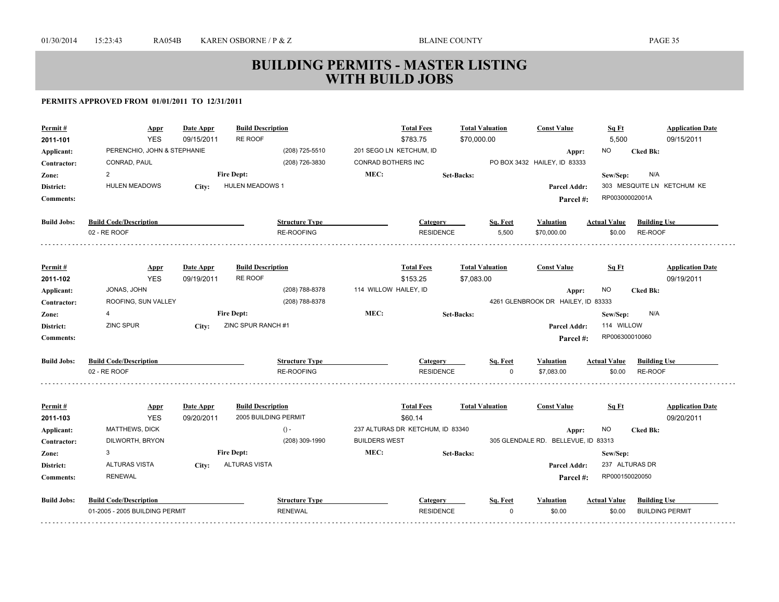| Permit#            | Appr                           | <b>Date Appr</b> | <b>Build Description</b><br>RE ROOF |                         | <b>Total Fees</b>                | <b>Total Valuation</b> |          | <b>Const Value</b>                  | Sq Ft               | <b>Application Date</b>    |
|--------------------|--------------------------------|------------------|-------------------------------------|-------------------------|----------------------------------|------------------------|----------|-------------------------------------|---------------------|----------------------------|
| 2011-101           | <b>YES</b>                     | 09/15/2011       |                                     |                         | \$783.75                         | \$70,000.00            |          |                                     | 5,500               | 09/15/2011                 |
| Applicant:         | PERENCHIO, JOHN & STEPHANIE    |                  | (208) 725-5510                      | 201 SEGO LN KETCHUM, ID |                                  |                        |          | Appr:                               | NO                  | <b>Cked Bk:</b>            |
| Contractor:        | CONRAD, PAUL                   |                  | (208) 726-3830                      | CONRAD BOTHERS INC      |                                  |                        |          | PO BOX 3432 HAILEY, ID 83333        |                     |                            |
| Zone:              | $\overline{2}$                 |                  | <b>Fire Dept:</b>                   | MEC:                    |                                  | <b>Set-Backs:</b>      |          |                                     | Sew/Sep:            | N/A                        |
| District:          | <b>HULEN MEADOWS</b>           | City:            | <b>HULEN MEADOWS 1</b>              |                         |                                  |                        |          | Parcel Addr:                        |                     | 303 MESQUITE LN KETCHUM KE |
| <b>Comments:</b>   |                                |                  |                                     |                         |                                  |                        |          | Parcel#:                            | RP00300002001A      |                            |
| <b>Build Jobs:</b> | <b>Build Code/Description</b>  |                  | <b>Structure Type</b>               |                         | Category                         |                        | Sq. Feet | <b>Valuation</b>                    | <b>Actual Value</b> | <b>Building Use</b>        |
|                    | 02 - RE ROOF                   |                  | <b>RE-ROOFING</b>                   |                         | <b>RESIDENCE</b>                 |                        | 5,500    | \$70,000.00                         | \$0.00              | RE-ROOF                    |
|                    |                                |                  |                                     |                         |                                  |                        |          |                                     |                     |                            |
| Permit#            | <b>Appr</b>                    | Date Appr        | <b>Build Description</b>            |                         | <b>Total Fees</b>                | <b>Total Valuation</b> |          | <b>Const Value</b>                  | Sq Ft               | <b>Application Date</b>    |
| 2011-102           | <b>YES</b>                     | 09/19/2011       | <b>RE ROOF</b>                      |                         | \$153.25                         | \$7,083.00             |          |                                     |                     | 09/19/2011                 |
| Applicant:         | JONAS, JOHN                    |                  | (208) 788-8378                      | 114 WILLOW HAILEY, ID   |                                  |                        |          | Appr:                               | NO.                 | <b>Cked Bk:</b>            |
| Contractor:        | ROOFING, SUN VALLEY            |                  | (208) 788-8378                      |                         |                                  |                        |          | 4261 GLENBROOK DR HAILEY, ID 83333  |                     |                            |
| Zone:              | 4                              |                  | <b>Fire Dept:</b>                   | MEC:                    |                                  | <b>Set-Backs:</b>      |          |                                     | Sew/Sep:            | N/A                        |
| District:          | <b>ZINC SPUR</b>               | City:            | ZINC SPUR RANCH #1                  |                         |                                  |                        |          | Parcel Addr:                        | 114 WILLOW          |                            |
| <b>Comments:</b>   |                                |                  |                                     |                         |                                  |                        |          | Parcel#:                            | RP006300010060      |                            |
| <b>Build Jobs:</b> | <b>Build Code/Description</b>  |                  | <b>Structure Type</b>               |                         | Category                         |                        | Sq. Feet | <b>Valuation</b>                    | <b>Actual Value</b> | <b>Building Use</b>        |
|                    | 02 - RE ROOF                   |                  | <b>RE-ROOFING</b>                   |                         | <b>RESIDENCE</b>                 |                        | $\Omega$ | \$7,083.00                          | \$0.00              | RE-ROOF                    |
|                    |                                |                  |                                     |                         |                                  |                        |          |                                     |                     |                            |
| Permit#            | <b>Appr</b>                    | Date Appr        | <b>Build Description</b>            |                         | <b>Total Fees</b>                | <b>Total Valuation</b> |          | <b>Const Value</b>                  | Sq Ft               | <b>Application Date</b>    |
| 2011-103           | <b>YES</b>                     | 09/20/2011       | 2005 BUILDING PERMIT                |                         | \$60.14                          |                        |          |                                     |                     | 09/20/2011                 |
| Applicant:         | MATTHEWS, DICK                 |                  | $() -$                              |                         | 237 ALTURAS DR KETCHUM, ID 83340 |                        |          | Appr:                               | NO                  | <b>Cked Bk:</b>            |
| Contractor:        | DILWORTH, BRYON                |                  | (208) 309-1990                      | <b>BUILDERS WEST</b>    |                                  |                        |          | 305 GLENDALE RD. BELLEVUE, ID 83313 |                     |                            |
| Zone:              | 3                              |                  | <b>Fire Dept:</b>                   | MEC:                    |                                  | <b>Set-Backs:</b>      |          |                                     | Sew/Sep:            |                            |
| District:          | <b>ALTURAS VISTA</b>           | City:            | <b>ALTURAS VISTA</b>                |                         |                                  |                        |          | Parcel Addr:                        |                     | 237 ALTURAS DR             |
| <b>Comments:</b>   | <b>RENEWAL</b>                 |                  |                                     |                         |                                  |                        |          | Parcel#:                            | RP000150020050      |                            |
| <b>Build Jobs:</b> | <b>Build Code/Description</b>  |                  | <b>Structure Type</b>               |                         | Category                         |                        | Sq. Feet | <b>Valuation</b>                    | <b>Actual Value</b> | <b>Building Use</b>        |
|                    | 01-2005 - 2005 BUILDING PERMIT |                  | <b>RENEWAL</b>                      |                         | <b>RESIDENCE</b>                 |                        | $\Omega$ | \$0.00                              | \$0.00              | <b>BUILDING PERMIT</b>     |
|                    |                                |                  |                                     |                         |                                  |                        |          |                                     |                     |                            |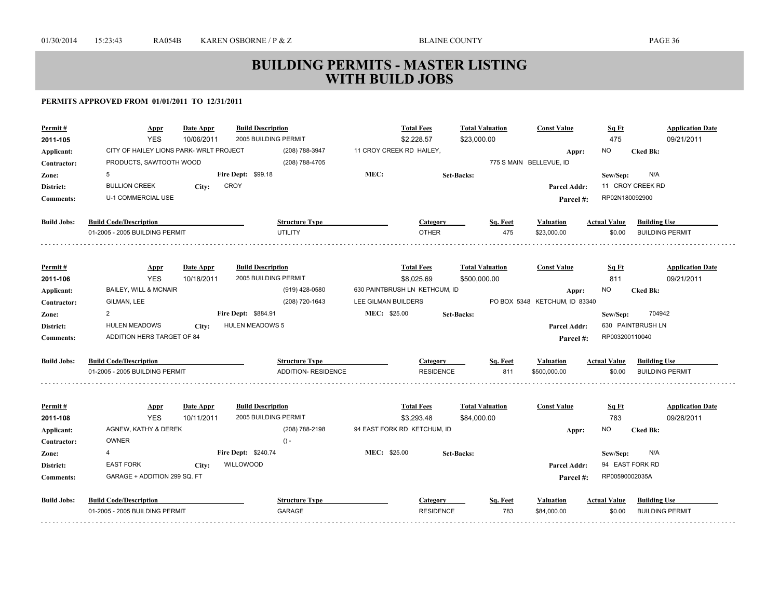| <b>YES</b><br>2005 BUILDING PERMIT<br>475<br>2011-105<br>10/06/2011<br>\$2,228.57<br>\$23,000.00<br>CITY OF HAILEY LIONS PARK- WRLT PROJECT<br>11 CROY CREEK RD HAILEY,<br>(208) 788-3947<br>ΝO<br><b>Cked Bk:</b><br>Applicant:<br>Appr: | 09/21/2011              |
|-------------------------------------------------------------------------------------------------------------------------------------------------------------------------------------------------------------------------------------------|-------------------------|
|                                                                                                                                                                                                                                           |                         |
|                                                                                                                                                                                                                                           |                         |
| PRODUCTS, SAWTOOTH WOOD<br>775 S MAIN BELLEVUE, ID<br>(208) 788-4705<br>Contractor:                                                                                                                                                       |                         |
| MEC:<br><b>Fire Dept: \$99.18</b><br>5<br>N/A<br><b>Set-Backs:</b><br>Zone:<br>Sew/Sep:                                                                                                                                                   |                         |
| <b>CROY</b><br>11 CROY CREEK RD<br><b>BULLION CREEK</b><br>District:<br>City:<br>Parcel Addr:                                                                                                                                             |                         |
| <b>U-1 COMMERCIAL USE</b><br>RP02N180092900<br><b>Comments:</b><br>Parcel #:                                                                                                                                                              |                         |
| <b>Build Code/Description</b><br><b>Build Jobs:</b><br><b>Structure Type</b><br>Sq. Feet<br><b>Actual Value</b><br>Category<br>Valuation                                                                                                  | <b>Building Use</b>     |
| <b>UTILITY</b><br><b>OTHER</b><br>475<br>01-2005 - 2005 BUILDING PERMIT<br>\$23,000.00<br>\$0.00                                                                                                                                          | <b>BUILDING PERMIT</b>  |
| <b>Date Appr</b><br><b>Build Description</b><br><b>Total Fees</b><br><b>Total Valuation</b><br><b>Const Value</b><br>Sq Ft<br>Permit#                                                                                                     | <b>Application Date</b> |
| <b>Appr</b><br><b>YES</b><br>10/18/2011<br>2005 BUILDING PERMIT<br>\$8,025.69<br>\$500,000.00<br>811<br>2011-106                                                                                                                          | 09/21/2011              |
| BAILEY, WILL & MCNAIR<br>(919) 428-0580<br>630 PAINTBRUSH LN KETHCUM, ID<br>NO<br><b>Cked Bk:</b><br>Applicant:<br>Appr:                                                                                                                  |                         |
| LEE GILMAN BUILDERS<br>GILMAN, LEE<br>(208) 720-1643<br>PO BOX 5348 KETCHUM, ID 83340<br>Contractor:                                                                                                                                      |                         |
| MEC: \$25.00<br>2<br><b>Fire Dept: \$884.91</b><br><b>Set-Backs:</b><br>Sew/Sep:<br>Zone:                                                                                                                                                 | 704942                  |
| <b>HULEN MEADOWS 5</b><br>630 PAINTBRUSH LN<br><b>HULEN MEADOWS</b><br>District:<br>Parcel Addr:<br>City:                                                                                                                                 |                         |
| ADDITION HERS TARGET OF 84<br>RP003200110040<br><b>Comments:</b><br>Parcel #:                                                                                                                                                             |                         |
|                                                                                                                                                                                                                                           |                         |
| <b>Build Code/Description</b><br><b>Build Jobs:</b><br><b>Structure Type</b><br><b>Actual Value</b><br>Category<br>Sq. Feet<br>Valuation                                                                                                  | <b>Building Use</b>     |
| <b>ADDITION- RESIDENCE</b><br>811<br>01-2005 - 2005 BUILDING PERMIT<br><b>RESIDENCE</b><br>\$500,000.00<br>\$0.00                                                                                                                         | <b>BUILDING PERMIT</b>  |
| <b>Build Description</b><br><b>Total Fees</b><br><b>Total Valuation</b><br><b>Const Value</b><br>Sq Ft<br>Permit#<br>Date Appr<br><b>Appr</b>                                                                                             | <b>Application Date</b> |
| <b>YES</b><br>2005 BUILDING PERMIT<br>783<br>2011-108<br>10/11/2011<br>\$3,293.48<br>\$84,000.00                                                                                                                                          | 09/28/2011              |
| AGNEW, KATHY & DEREK<br>94 EAST FORK RD KETCHUM, ID<br>(208) 788-2198<br>ΝO<br>Applicant:<br><b>Cked Bk:</b><br>Appr:                                                                                                                     |                         |
| <b>OWNER</b><br>$() -$<br>Contractor:                                                                                                                                                                                                     |                         |
| MEC: \$25.00<br>Fire Dept: \$240.74<br>$\overline{4}$<br>N/A<br><b>Set-Backs:</b><br>Sew/Sep:<br>Zone:                                                                                                                                    |                         |
| <b>EAST FORK</b><br>WILLOWOOD<br>94 EAST FORK RD<br>District:<br><b>Parcel Addr:</b><br>City:                                                                                                                                             |                         |
| GARAGE + ADDITION 299 SQ. FT<br>RP00590002035A<br><b>Comments:</b><br>Parcel #:                                                                                                                                                           |                         |
| <b>Build Jobs:</b><br><b>Build Code/Description</b><br><b>Structure Type</b><br><b>Actual Value</b><br><b>Category</b><br>Sq. Feet<br>Valuation                                                                                           | <b>Building Use</b>     |
| 783<br>01-2005 - 2005 BUILDING PERMIT<br>GARAGE<br><b>RESIDENCE</b><br>\$84,000.00<br>\$0.00                                                                                                                                              | <b>BUILDING PERMIT</b>  |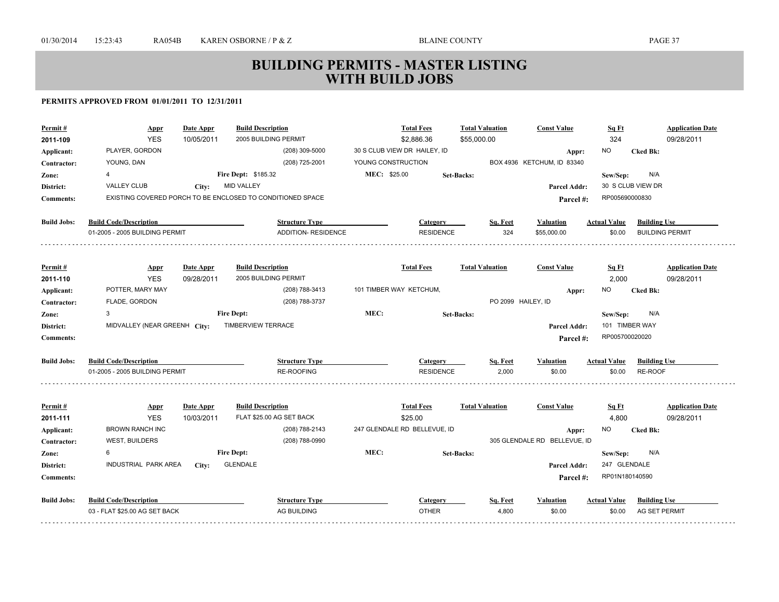| Permit #           | <b>Appr</b>                    | Date Appr  | <b>Build Description</b>                                   |                    | <b>Total Fees</b>            | <b>Total Valuation</b> | <b>Const Value</b>           | Sq Ft                      | <b>Application Date</b> |
|--------------------|--------------------------------|------------|------------------------------------------------------------|--------------------|------------------------------|------------------------|------------------------------|----------------------------|-------------------------|
| 2011-109           | <b>YES</b>                     | 10/05/2011 | 2005 BUILDING PERMIT                                       |                    | \$2,886.36                   | \$55,000.00            |                              | 324                        | 09/28/2011              |
| Applicant:         | PLAYER, GORDON                 |            | (208) 309-5000                                             |                    | 30 S CLUB VIEW DR HAILEY, ID |                        | Appr:                        | <b>NO</b>                  | <b>Cked Bk:</b>         |
| Contractor:        | YOUNG, DAN                     |            | (208) 725-2001                                             | YOUNG CONSTRUCTION |                              |                        | BOX 4936 KETCHUM, ID 83340   |                            |                         |
| Zone:              | 4                              |            | Fire Dept: \$185.32                                        | MEC: \$25.00       |                              | Set-Backs:             |                              | Sew/Sep:                   | N/A                     |
| District:          | <b>VALLEY CLUB</b>             | City:      | <b>MID VALLEY</b>                                          |                    |                              |                        | <b>Parcel Addr:</b>          |                            | 30 S CLUB VIEW DR       |
| <b>Comments:</b>   |                                |            | EXISTING COVERED PORCH TO BE ENCLOSED TO CONDITIONED SPACE |                    |                              |                        | Parcel #:                    | RP005690000830             |                         |
| <b>Build Jobs:</b> | <b>Build Code/Description</b>  |            | <b>Structure Type</b>                                      |                    | Category                     | Sq. Feet               | Valuation                    | <b>Actual Value</b>        | <b>Building Use</b>     |
|                    | 01-2005 - 2005 BUILDING PERMIT |            | <b>ADDITION- RESIDENCE</b>                                 |                    | <b>RESIDENCE</b>             | 324                    | \$55,000.00                  | \$0.00                     | <b>BUILDING PERMIT</b>  |
|                    |                                |            |                                                            |                    |                              |                        |                              |                            |                         |
| Permit#            | <b>Appr</b>                    | Date Appr  | <b>Build Description</b>                                   |                    | <b>Total Fees</b>            | <b>Total Valuation</b> | <b>Const Value</b>           | Sq Ft                      | <b>Application Date</b> |
| 2011-110           | <b>YES</b>                     | 09/28/2011 | 2005 BUILDING PERMIT                                       |                    |                              |                        |                              | 2,000                      | 09/28/2011              |
| Applicant:         | POTTER, MARY MAY               |            | (208) 788-3413<br>(208) 788-3737                           |                    | 101 TIMBER WAY KETCHUM,      |                        | Appr:<br>PO 2099 HAILEY, ID  | NO                         | <b>Cked Bk:</b>         |
| Contractor:        | FLADE, GORDON<br>3             |            | <b>Fire Dept:</b>                                          | MEC:               |                              |                        |                              |                            | N/A                     |
| Zone:              | MIDVALLEY (NEAR GREENH City:   |            | <b>TIMBERVIEW TERRACE</b>                                  |                    |                              | <b>Set-Backs:</b>      | <b>Parcel Addr:</b>          | Sew/Sep:<br>101 TIMBER WAY |                         |
| District:          |                                |            |                                                            |                    |                              |                        |                              | RP005700020020             |                         |
| <b>Comments:</b>   |                                |            |                                                            |                    |                              |                        | Parcel#:                     |                            |                         |
| <b>Build Jobs:</b> | <b>Build Code/Description</b>  |            | <b>Structure Type</b>                                      |                    | Category                     | Sq. Feet               | <b>Valuation</b>             | <b>Actual Value</b>        | <b>Building Use</b>     |
|                    | 01-2005 - 2005 BUILDING PERMIT |            | <b>RE-ROOFING</b>                                          |                    | <b>RESIDENCE</b>             | 2,000                  | \$0.00                       | \$0.00                     | RE-ROOF                 |
|                    |                                |            |                                                            |                    |                              |                        |                              |                            |                         |
| Permit#            | <b>Appr</b>                    | Date Appr  | <b>Build Description</b>                                   |                    | <b>Total Fees</b>            | <b>Total Valuation</b> | <b>Const Value</b>           | Sq Ft                      | <b>Application Date</b> |
| 2011-111           | <b>YES</b>                     | 10/03/2011 | FLAT \$25.00 AG SET BACK                                   |                    | \$25.00                      |                        |                              | 4,800                      | 09/28/2011              |
| Applicant:         | <b>BROWN RANCH INC</b>         |            | (208) 788-2143                                             |                    | 247 GLENDALE RD BELLEVUE, ID |                        | Appr:                        | NO                         | <b>Cked Bk:</b>         |
| Contractor:        | <b>WEST, BUILDERS</b>          |            | (208) 788-0990<br><b>Fire Dept:</b>                        | MEC:               |                              |                        | 305 GLENDALE RD BELLEVUE, ID |                            |                         |
| Zone:              | 6<br>INDUSTRIAL PARK AREA      |            | <b>GLENDALE</b>                                            |                    |                              | <b>Set-Backs:</b>      |                              | Sew/Sep:<br>247 GLENDALE   | N/A                     |
| District:          |                                | City:      |                                                            |                    |                              |                        | Parcel Addr:                 | RP01N180140590             |                         |
| <b>Comments:</b>   |                                |            |                                                            |                    |                              |                        | Parcel #:                    |                            |                         |
| <b>Build Jobs:</b> | <b>Build Code/Description</b>  |            | <b>Structure Type</b>                                      |                    | Category                     | Sq. Feet               | <b>Valuation</b>             | <b>Actual Value</b>        | <b>Building Use</b>     |
|                    | 03 - FLAT \$25.00 AG SET BACK  |            | AG BUILDING                                                |                    | <b>OTHER</b>                 | 4,800                  | \$0.00                       | \$0.00                     | AG SET PERMIT           |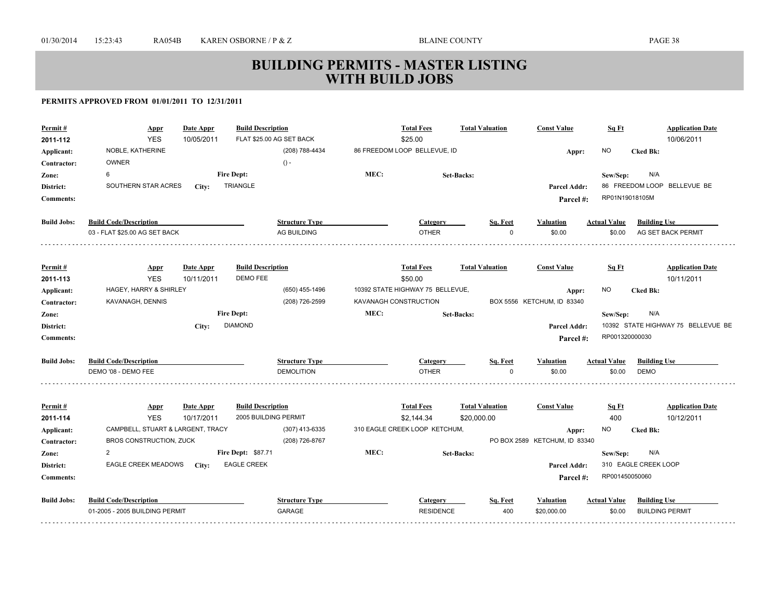| Permit #<br>2011-112      | <b>Appr</b><br><b>YES</b>                       | Date Appr<br>10/05/2011 | <b>Build Description</b><br>FLAT \$25.00 AG SET BACK |      | <b>Total Fees</b><br>\$25.00                | <b>Total Valuation</b> | <b>Const Value</b>                     | Sq Ft               | <b>Application Date</b><br>10/06/2011 |
|---------------------------|-------------------------------------------------|-------------------------|------------------------------------------------------|------|---------------------------------------------|------------------------|----------------------------------------|---------------------|---------------------------------------|
| Applicant:<br>Contractor: | NOBLE, KATHERINE<br><b>OWNER</b>                |                         | (208) 788-4434<br>$() -$                             |      | 86 FREEDOM LOOP BELLEVUE, ID                |                        | Appr:                                  | <b>NO</b>           | <b>Cked Bk:</b>                       |
| Zone:                     | 6                                               |                         | <b>Fire Dept:</b>                                    | MEC: |                                             | <b>Set-Backs:</b>      |                                        | Sew/Sep:            | N/A                                   |
| District:                 | SOUTHERN STAR ACRES                             | City:                   | <b>TRIANGLE</b>                                      |      |                                             |                        | <b>Parcel Addr:</b>                    |                     | 86 FREEDOM LOOP BELLEVUE BE           |
| <b>Comments:</b>          |                                                 |                         |                                                      |      |                                             |                        | Parcel #:                              | RP01N19018105M      |                                       |
| <b>Build Jobs:</b>        | <b>Build Code/Description</b>                   |                         | <b>Structure Type</b>                                |      | <b>Category</b>                             | Sq. Feet               | <b>Valuation</b>                       | <b>Actual Value</b> | <b>Building Use</b>                   |
|                           | 03 - FLAT \$25.00 AG SET BACK                   |                         | <b>AG BUILDING</b>                                   |      | <b>OTHER</b>                                |                        | \$0.00                                 | \$0.00              | AG SET BACK PERMIT                    |
|                           |                                                 |                         |                                                      |      |                                             |                        |                                        |                     |                                       |
| Permit#                   | <b>Appr</b>                                     | Date Appr               | <b>Build Description</b>                             |      | <b>Total Fees</b>                           | <b>Total Valuation</b> | <b>Const Value</b>                     | Sq Ft               | <b>Application Date</b>               |
| 2011-113                  | <b>YES</b>                                      | 10/11/2011              | DEMO FEE                                             |      | \$50.00<br>10392 STATE HIGHWAY 75 BELLEVUE, |                        |                                        | <b>NO</b>           | 10/11/2011                            |
| Applicant:<br>Contractor: | HAGEY, HARRY & SHIRLEY<br>KAVANAGH, DENNIS      |                         | (650) 455-1496<br>(208) 726-2599                     |      | KAVANAGH CONSTRUCTION                       |                        | Appr:<br>BOX 5556 KETCHUM, ID 83340    |                     | <b>Cked Bk:</b>                       |
| Zone:                     |                                                 |                         | <b>Fire Dept:</b>                                    | MEC: |                                             | <b>Set-Backs:</b>      |                                        | Sew/Sep:            | N/A                                   |
| District:                 |                                                 | City:                   | <b>DIAMOND</b>                                       |      |                                             |                        | Parcel Addr:                           |                     | 10392 STATE HIGHWAY 75 BELLEVUE BE    |
| <b>Comments:</b>          |                                                 |                         |                                                      |      |                                             |                        | Parcel#:                               | RP001320000030      |                                       |
| <b>Build Jobs:</b>        | <b>Build Code/Description</b>                   |                         | <b>Structure Type</b>                                |      | <b>Category</b>                             | Sq. Feet               | <b>Valuation</b>                       | <b>Actual Value</b> | <b>Building Use</b>                   |
|                           | DEMO '08 - DEMO FEE                             |                         | <b>DEMOLITION</b>                                    |      | <b>OTHER</b>                                | $\Omega$               | \$0.00                                 | \$0.00              | <b>DEMO</b>                           |
|                           |                                                 |                         |                                                      |      |                                             |                        |                                        |                     |                                       |
| Permit#                   | <b>Appr</b>                                     | Date Appr               | <b>Build Description</b>                             |      | <b>Total Fees</b>                           | <b>Total Valuation</b> | <b>Const Value</b>                     | Sq Ft               | <b>Application Date</b>               |
| 2011-114                  | <b>YES</b><br>CAMPBELL, STUART & LARGENT, TRACY | 10/17/2011              | 2005 BUILDING PERMIT<br>(307) 413-6335               |      | \$2,144.34<br>310 EAGLE CREEK LOOP KETCHUM, | \$20,000.00            |                                        | 400<br><b>NO</b>    | 10/12/2011                            |
| Applicant:<br>Contractor: | BROS CONSTRUCTION, ZUCK                         |                         | (208) 726-8767                                       |      |                                             |                        | Appr:<br>PO BOX 2589 KETCHUM, ID 83340 |                     | <b>Cked Bk:</b>                       |
| Zone:                     | $\overline{2}$                                  |                         | Fire Dept: \$87.71                                   | MEC: |                                             | <b>Set-Backs:</b>      |                                        | Sew/Sep:            | N/A                                   |
| District:                 | EAGLE CREEK MEADOWS                             | City:                   | <b>EAGLE CREEK</b>                                   |      |                                             |                        | Parcel Addr:                           |                     | 310 EAGLE CREEK LOOP                  |
| <b>Comments:</b>          |                                                 |                         |                                                      |      |                                             |                        | Parcel #:                              | RP001450050060      |                                       |
| <b>Build Jobs:</b>        | <b>Build Code/Description</b>                   |                         | <b>Structure Type</b>                                |      | Category                                    | Sq. Feet               | <b>Valuation</b>                       | <b>Actual Value</b> | <b>Building Use</b>                   |
|                           | 01-2005 - 2005 BUILDING PERMIT                  |                         | <b>GARAGE</b>                                        |      | <b>RESIDENCE</b>                            | 400                    | \$20,000.00                            | \$0.00              | <b>BUILDING PERMIT</b>                |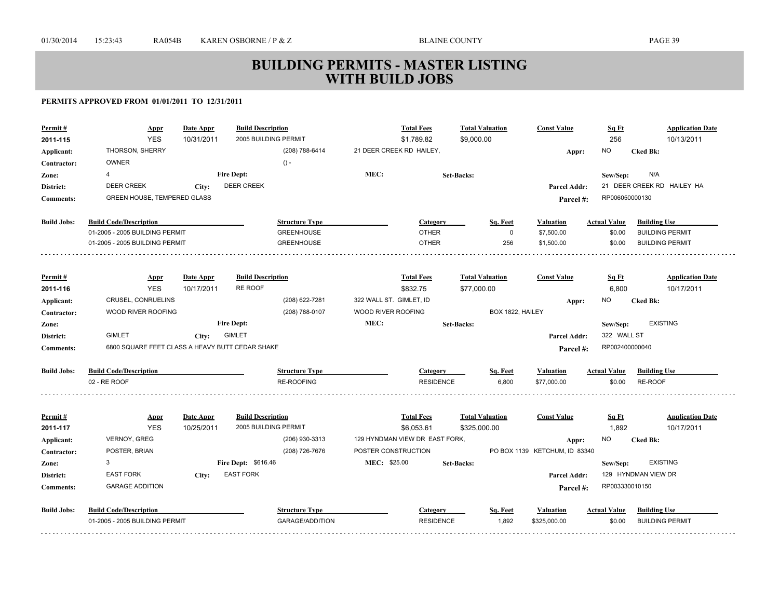| Permit#            | <b>Appr</b>                                     | Date Appr  | <b>Build Description</b> |                         | <b>Total Fees</b>              |                        | <b>Total Valuation</b> | <b>Const Value</b>            | Sq Ft               | <b>Application Date</b>    |
|--------------------|-------------------------------------------------|------------|--------------------------|-------------------------|--------------------------------|------------------------|------------------------|-------------------------------|---------------------|----------------------------|
| 2011-115           | <b>YES</b>                                      | 10/31/2011 | 2005 BUILDING PERMIT     |                         | \$1,789.82                     | \$9,000.00             |                        |                               | 256                 | 10/13/2011                 |
| Applicant:         | THORSON, SHERRY                                 |            | (208) 788-6414           |                         | 21 DEER CREEK RD HAILEY,       |                        |                        | Appr:                         | NO.                 | <b>Cked Bk:</b>            |
| Contractor:        | <b>OWNER</b>                                    |            | $() -$                   |                         |                                |                        |                        |                               |                     |                            |
| Zone:              | 4                                               |            | <b>Fire Dept:</b>        | MEC:                    |                                | <b>Set-Backs:</b>      |                        |                               | Sew/Sep:            | N/A                        |
| District:          | <b>DEER CREEK</b>                               | City:      | <b>DEER CREEK</b>        |                         |                                |                        |                        | <b>Parcel Addr:</b>           |                     | 21 DEER CREEK RD HAILEY HA |
| <b>Comments:</b>   | <b>GREEN HOUSE, TEMPERED GLASS</b>              |            |                          |                         |                                |                        |                        | Parcel#:                      | RP006050000130      |                            |
|                    |                                                 |            |                          |                         |                                |                        |                        |                               |                     |                            |
| <b>Build Jobs:</b> | <b>Build Code/Description</b>                   |            | <b>Structure Type</b>    |                         | Category                       |                        | Sq. Feet               | Valuation                     | <b>Actual Value</b> | <b>Building Use</b>        |
|                    | 01-2005 - 2005 BUILDING PERMIT                  |            | <b>GREENHOUSE</b>        |                         | <b>OTHER</b>                   |                        | $\mathbf 0$            | \$7,500.00                    | \$0.00              | <b>BUILDING PERMIT</b>     |
|                    | 01-2005 - 2005 BUILDING PERMIT                  |            | <b>GREENHOUSE</b>        |                         | <b>OTHER</b>                   |                        | 256                    | \$1,500.00                    | \$0.00              | <b>BUILDING PERMIT</b>     |
|                    |                                                 |            |                          |                         |                                |                        |                        |                               |                     |                            |
| Permit#            | <b>Appr</b>                                     | Date Appr  | <b>Build Description</b> |                         | <b>Total Fees</b>              | <b>Total Valuation</b> |                        | <b>Const Value</b>            | Sq Ft               | <b>Application Date</b>    |
| 2011-116           | <b>YES</b>                                      | 10/17/2011 | <b>RE ROOF</b>           |                         | \$832.75                       | \$77,000.00            |                        |                               | 6,800               | 10/17/2011                 |
| Applicant:         | CRUSEL, CONRUELINS                              |            | (208) 622-7281           | 322 WALL ST. GIMLET, ID |                                |                        |                        | Appr:                         | NO                  | <b>Cked Bk:</b>            |
| Contractor:        | WOOD RIVER ROOFING                              |            | (208) 788-0107           | WOOD RIVER ROOFING      |                                |                        | BOX 1822, HAILEY       |                               |                     |                            |
| Zone:              |                                                 |            | <b>Fire Dept:</b>        | MEC:                    |                                | Set-Backs:             |                        |                               | Sew/Sep:            | <b>EXISTING</b>            |
| District:          | <b>GIMLET</b>                                   | City:      | <b>GIMLET</b>            |                         |                                |                        |                        | <b>Parcel Addr:</b>           | 322 WALL ST         |                            |
| <b>Comments:</b>   | 6800 SQUARE FEET CLASS A HEAVY BUTT CEDAR SHAKE |            |                          |                         |                                |                        |                        | Parcel#:                      | RP002400000040      |                            |
|                    |                                                 |            |                          |                         |                                |                        |                        |                               |                     |                            |
| <b>Build Jobs:</b> | <b>Build Code/Description</b>                   |            | <b>Structure Type</b>    |                         | Category                       |                        | Sq. Feet               | <b>Valuation</b>              | <b>Actual Value</b> | <b>Building Use</b>        |
|                    | 02 - RE ROOF                                    |            | <b>RE-ROOFING</b>        |                         | <b>RESIDENCE</b>               |                        | 6,800                  | \$77,000.00                   | \$0.00              | RE-ROOF                    |
|                    |                                                 |            |                          |                         |                                |                        |                        |                               |                     |                            |
| Permit#            | <u>Appr</u>                                     | Date Appr  | <b>Build Description</b> |                         | <b>Total Fees</b>              |                        | <b>Total Valuation</b> | <b>Const Value</b>            | Sq Ft               | <b>Application Date</b>    |
| 2011-117           | <b>YES</b>                                      | 10/25/2011 | 2005 BUILDING PERMIT     |                         | \$6,053.61                     | \$325,000.00           |                        |                               | 1,892               | 10/17/2011                 |
| Applicant:         | VERNOY, GREG                                    |            | (206) 930-3313           |                         | 129 HYNDMAN VIEW DR EAST FORK, |                        |                        | Appr:                         | NO                  | <b>Cked Bk:</b>            |
| Contractor:        | POSTER, BRIAN                                   |            | (208) 726-7676           | POSTER CONSTRUCTION     |                                |                        |                        | PO BOX 1139 KETCHUM, ID 83340 |                     |                            |
| Zone:              | 3                                               |            | Fire Dept: \$616.46      | MEC: \$25.00            |                                | <b>Set-Backs:</b>      |                        |                               | Sew/Sep:            | <b>EXISTING</b>            |
| District:          | <b>EAST FORK</b>                                | City:      | <b>EAST FORK</b>         |                         |                                |                        |                        | <b>Parcel Addr:</b>           |                     | 129 HYNDMAN VIEW DR        |
| <b>Comments:</b>   | <b>GARAGE ADDITION</b>                          |            |                          |                         |                                |                        |                        | Parcel#:                      | RP003330010150      |                            |
|                    |                                                 |            |                          |                         |                                |                        |                        |                               |                     |                            |
| <b>Build Jobs:</b> | <b>Build Code/Description</b>                   |            | <b>Structure Type</b>    |                         | Category                       |                        | Sq. Feet               | Valuation                     | <b>Actual Value</b> | <b>Building Use</b>        |
|                    | 01-2005 - 2005 BUILDING PERMIT                  |            | <b>GARAGE/ADDITION</b>   |                         | <b>RESIDENCE</b>               |                        | 1,892                  | \$325,000.00                  | \$0.00              | <b>BUILDING PERMIT</b>     |
|                    |                                                 |            |                          |                         |                                |                        |                        |                               |                     |                            |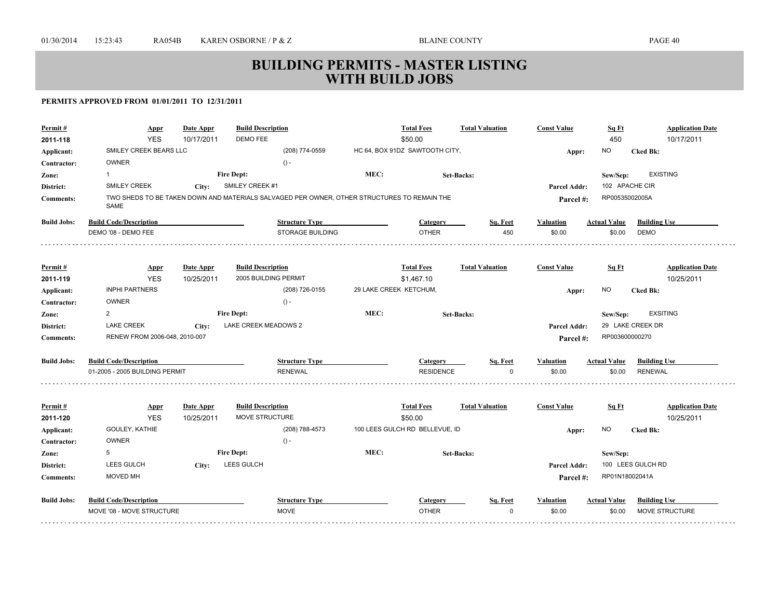| Permit#             | <u>Appr</u>                    | Date Appr               | <b>Build Description</b>                                                                    |      | <b>Total Fees</b>              | <b>Total Valuation</b> | <b>Const Value</b>  | Sq Ft               | <b>Application Date</b>               |
|---------------------|--------------------------------|-------------------------|---------------------------------------------------------------------------------------------|------|--------------------------------|------------------------|---------------------|---------------------|---------------------------------------|
| 2011-118            | <b>YES</b>                     | 10/17/2011              | DEMO FEE                                                                                    |      | \$50.00                        |                        |                     | 450                 | 10/17/2011                            |
| Applicant:          | SMILEY CREEK BEARS LLC         |                         | (208) 774-0559                                                                              |      | HC 64, BOX 91DZ SAWTOOTH CITY, |                        | Appr:               | NO.                 | <b>Cked Bk:</b>                       |
| Contractor:         | <b>OWNER</b>                   |                         | $() -$                                                                                      |      |                                |                        |                     |                     |                                       |
| Zone:               | $\mathbf{1}$                   |                         | <b>Fire Dept:</b>                                                                           | MEC: |                                | Set-Backs:             |                     | Sew/Sep:            | <b>EXISTING</b>                       |
| District:           | <b>SMILEY CREEK</b>            | City:                   | SMILEY CREEK #1                                                                             |      |                                |                        | Parcel Addr:        |                     | 102 APACHE CIR                        |
| <b>Comments:</b>    | SAME                           |                         | TWO SHEDS TO BE TAKEN DOWN AND MATERIALS SALVAGED PER OWNER, OTHER STRUCTURES TO REMAIN THE |      |                                |                        | Parcel#:            | RP00535002005A      |                                       |
| <b>Build Jobs:</b>  | <b>Build Code/Description</b>  |                         | <b>Structure Type</b>                                                                       |      | Category                       | Sq. Feet               | Valuation           | <b>Actual Value</b> | <b>Building Use</b>                   |
|                     | DEMO '08 - DEMO FEE            |                         | <b>STORAGE BUILDING</b>                                                                     |      | <b>OTHER</b>                   | 450                    | \$0.00              | \$0.00              | <b>DEMO</b>                           |
|                     |                                |                         |                                                                                             |      |                                |                        |                     |                     |                                       |
| Permit#             | <b>Appr</b>                    | Date Appr               | <b>Build Description</b>                                                                    |      | <b>Total Fees</b>              | <b>Total Valuation</b> | <b>Const Value</b>  | Sq Ft               | <b>Application Date</b>               |
| 2011-119            | <b>YES</b>                     | 10/25/2011              | 2005 BUILDING PERMIT                                                                        |      | \$1,467.10                     |                        |                     |                     | 10/25/2011                            |
| Applicant:          | <b>INPHI PARTNERS</b>          |                         | (208) 726-0155                                                                              |      | 29 LAKE CREEK KETCHUM,         |                        | Appr:               | NO.                 | <b>Cked Bk:</b>                       |
| Contractor:         | <b>OWNER</b>                   |                         | $() -$                                                                                      |      |                                |                        |                     |                     |                                       |
| Zone:               | $\overline{2}$                 |                         | <b>Fire Dept:</b>                                                                           | MEC: |                                | <b>Set-Backs:</b>      |                     | Sew/Sep:            | <b>EXSITING</b>                       |
| District:           | <b>LAKE CREEK</b>              | City:                   | LAKE CREEK MEADOWS 2                                                                        |      |                                |                        | <b>Parcel Addr:</b> |                     | 29 LAKE CREEK DR                      |
| <b>Comments:</b>    | RENEW FROM 2006-048, 2010-007  |                         |                                                                                             |      |                                |                        | Parcel#:            | RP003600000270      |                                       |
| <b>Build Jobs:</b>  | <b>Build Code/Description</b>  |                         | <b>Structure Type</b>                                                                       |      | Category                       | Sq. Feet               | <b>Valuation</b>    | <b>Actual Value</b> | <b>Building Use</b>                   |
|                     | 01-2005 - 2005 BUILDING PERMIT |                         | <b>RENEWAL</b>                                                                              |      | <b>RESIDENCE</b>               | $\Omega$               | \$0.00              | \$0.00              | <b>RENEWAL</b>                        |
|                     |                                |                         |                                                                                             |      |                                |                        |                     |                     |                                       |
| Permit#<br>2011-120 | <b>Appr</b><br><b>YES</b>      | Date Appr<br>10/25/2011 | <b>Build Description</b><br>MOVE STRUCTURE                                                  |      | <b>Total Fees</b><br>\$50.00   | <b>Total Valuation</b> | <b>Const Value</b>  | Sq Ft               | <b>Application Date</b><br>10/25/2011 |
| Applicant:          | GOULEY, KATHIE                 |                         | (208) 788-4573                                                                              |      | 100 LEES GULCH RD BELLEVUE, ID |                        | Appr:               | NO.                 | <b>Cked Bk:</b>                       |
| Contractor:         | <b>OWNER</b>                   |                         | $() -$                                                                                      |      |                                |                        |                     |                     |                                       |
| Zone:               | 5                              |                         | <b>Fire Dept:</b>                                                                           | MEC: |                                | <b>Set-Backs:</b>      |                     | Sew/Sep:            |                                       |
| District:           | LEES GULCH                     | City:                   | LEES GULCH                                                                                  |      |                                |                        | Parcel Addr:        |                     | 100 LEES GULCH RD                     |
| <b>Comments:</b>    | MOVED MH                       |                         |                                                                                             |      |                                |                        | Parcel#:            | RP01N18002041A      |                                       |
| <b>Build Jobs:</b>  | <b>Build Code/Description</b>  |                         | <b>Structure Type</b>                                                                       |      | Category                       | Sq. Feet               | Valuation           | <b>Actual Value</b> | <b>Building Use</b>                   |
|                     |                                |                         |                                                                                             |      |                                |                        |                     |                     |                                       |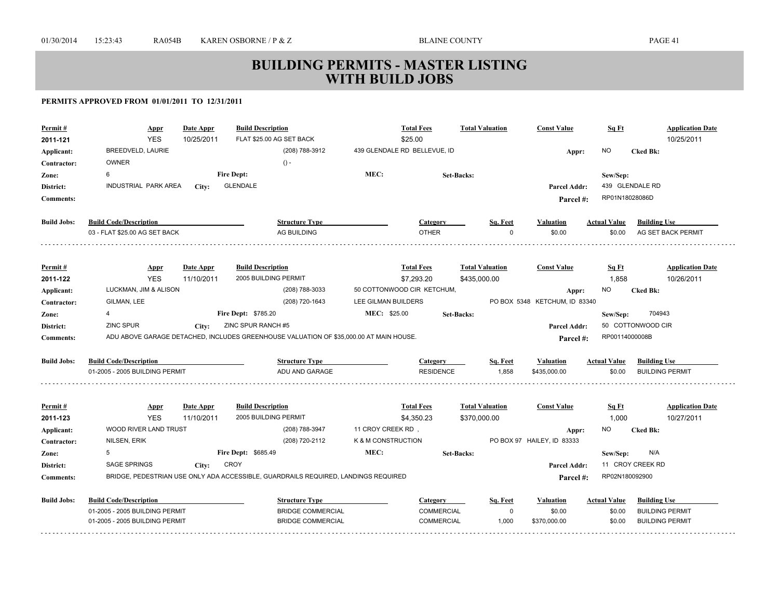| Permit#<br>2011-121<br>Applicant:<br>Contractor: | <b>Build Description</b><br>Date Appr<br>Appr<br><b>YES</b><br>10/25/2011<br>BREEDVELD, LAURIE<br><b>OWNER</b> |                         |                                                  | <b>Total Fees</b><br><b>Total Valuation</b><br>FLAT \$25.00 AG SET BACK<br>\$25.00<br>439 GLENDALE RD BELLEVUE, ID<br>(208) 788-3912<br>$() -$ |                     |                                          |                                        |                | <b>Const Value</b><br>Appr:            | Sq Ft<br><b>NO</b>  | <b>Application Date</b><br>10/25/2011<br><b>Cked Bk:</b> |
|--------------------------------------------------|----------------------------------------------------------------------------------------------------------------|-------------------------|--------------------------------------------------|------------------------------------------------------------------------------------------------------------------------------------------------|---------------------|------------------------------------------|----------------------------------------|----------------|----------------------------------------|---------------------|----------------------------------------------------------|
| Zone:                                            | 6                                                                                                              |                         | <b>Fire Dept:</b>                                |                                                                                                                                                | MEC:                |                                          | <b>Set-Backs:</b>                      |                |                                        | Sew/Sep:            |                                                          |
| District:                                        | INDUSTRIAL PARK AREA                                                                                           | City:                   | <b>GLENDALE</b>                                  |                                                                                                                                                |                     |                                          |                                        |                | <b>Parcel Addr:</b>                    |                     | 439 GLENDALE RD                                          |
| <b>Comments:</b>                                 |                                                                                                                |                         |                                                  |                                                                                                                                                |                     |                                          |                                        |                | Parcel#:                               | RP01N18028086D      |                                                          |
| <b>Build Jobs:</b>                               | <b>Build Code/Description</b>                                                                                  |                         |                                                  | <b>Structure Type</b>                                                                                                                          |                     | Category                                 |                                        | Sq. Feet       | Valuation                              | <b>Actual Value</b> | <b>Building Use</b>                                      |
|                                                  | 03 - FLAT \$25.00 AG SET BACK                                                                                  |                         |                                                  | AG BUILDING                                                                                                                                    |                     | <b>OTHER</b>                             |                                        | $\Omega$       | \$0.00                                 | \$0.00              | AG SET BACK PERMIT                                       |
|                                                  |                                                                                                                |                         |                                                  |                                                                                                                                                |                     |                                          |                                        |                |                                        |                     |                                                          |
| Permit#                                          | <b>Appr</b><br><b>YES</b>                                                                                      | Date Appr               | <b>Build Description</b><br>2005 BUILDING PERMIT |                                                                                                                                                |                     | <b>Total Fees</b>                        | <b>Total Valuation</b>                 |                | <b>Const Value</b>                     | Sq Ft               | <b>Application Date</b>                                  |
| 2011-122                                         |                                                                                                                | 11/10/2011              |                                                  |                                                                                                                                                |                     | \$7,293.20<br>50 COTTONWOOD CIR KETCHUM, | \$435,000.00                           |                |                                        | 1,858               | 10/26/2011                                               |
| Applicant:                                       | LUCKMAN, JIM & ALISON<br>GILMAN, LEE                                                                           |                         |                                                  | (208) 788-3033<br>(208) 720-1643                                                                                                               | LEE GILMAN BUILDERS |                                          |                                        |                | Appr:<br>PO BOX 5348 KETCHUM, ID 83340 | NO.                 | <b>Cked Bk:</b>                                          |
| Contractor:                                      | 4                                                                                                              |                         | Fire Dept: \$785.20                              |                                                                                                                                                | MEC: \$25.00        |                                          | <b>Set-Backs:</b>                      |                |                                        |                     | 704943                                                   |
| Zone:<br>District:                               | ZINC SPUR                                                                                                      | City:                   | ZINC SPUR RANCH #5                               |                                                                                                                                                |                     |                                          |                                        |                | Parcel Addr:                           | Sew/Sep:            | 50 COTTONWOOD CIR                                        |
| <b>Comments:</b>                                 | ADU ABOVE GARAGE DETACHED, INCLUDES GREENHOUSE VALUATION OF \$35,000.00 AT MAIN HOUSE.                         |                         |                                                  |                                                                                                                                                |                     |                                          |                                        | RP00114000008B |                                        |                     |                                                          |
|                                                  |                                                                                                                |                         |                                                  |                                                                                                                                                |                     |                                          |                                        |                | Parcel #:                              |                     |                                                          |
| <b>Build Jobs:</b>                               | <b>Build Code/Description</b>                                                                                  |                         |                                                  | <b>Structure Type</b>                                                                                                                          |                     | Category                                 |                                        | Sq. Feet       | <b>Valuation</b>                       | <b>Actual Value</b> | <b>Building Use</b>                                      |
|                                                  | 01-2005 - 2005 BUILDING PERMIT                                                                                 |                         |                                                  | ADU AND GARAGE                                                                                                                                 |                     | <b>RESIDENCE</b>                         |                                        | 1,858          | \$435,000.00                           | \$0.00              | <b>BUILDING PERMIT</b>                                   |
|                                                  |                                                                                                                |                         |                                                  |                                                                                                                                                |                     |                                          |                                        |                | <b>Const Value</b>                     |                     | <b>Application Date</b>                                  |
| Permit#<br>2011-123                              | <b>Appr</b><br><b>YES</b>                                                                                      | Date Appr<br>11/10/2011 | <b>Build Description</b><br>2005 BUILDING PERMIT |                                                                                                                                                |                     | <b>Total Fees</b><br>\$4,350.23          | <b>Total Valuation</b><br>\$370,000.00 |                |                                        | Sq Ft<br>1,000      | 10/27/2011                                               |
| Applicant:                                       | <b>WOOD RIVER LAND TRUST</b>                                                                                   |                         |                                                  | (208) 788-3947                                                                                                                                 | 11 CROY CREEK RD,   |                                          |                                        |                |                                        | NO                  | <b>Cked Bk:</b>                                          |
| Contractor:                                      | NILSEN, ERIK                                                                                                   |                         |                                                  | (208) 720-2112                                                                                                                                 | K & M CONSTRUCTION  |                                          |                                        |                | Appr:<br>PO BOX 97 HAILEY, ID 83333    |                     |                                                          |
| Zone:                                            | 5                                                                                                              |                         | Fire Dept: \$685.49                              |                                                                                                                                                | MEC:                |                                          | <b>Set-Backs:</b>                      |                |                                        | Sew/Sep:            | N/A                                                      |
| District:                                        | SAGE SPRINGS                                                                                                   | City:                   | <b>CROY</b>                                      |                                                                                                                                                |                     |                                          |                                        |                | Parcel Addr:                           |                     | 11 CROY CREEK RD                                         |
| <b>Comments:</b>                                 | BRIDGE, PEDESTRIAN USE ONLY ADA ACCESSIBLE, GUARDRAILS REQUIRED, LANDINGS REQUIRED                             |                         |                                                  |                                                                                                                                                |                     |                                          |                                        |                | Parcel #:                              | RP02N180092900      |                                                          |
|                                                  |                                                                                                                |                         |                                                  |                                                                                                                                                |                     |                                          |                                        |                |                                        |                     |                                                          |
| <b>Build Jobs:</b>                               | <b>Build Code/Description</b>                                                                                  |                         |                                                  | <b>Structure Type</b>                                                                                                                          |                     | Category                                 |                                        | Sq. Feet       | Valuation                              | <b>Actual Value</b> | <b>Building Use</b>                                      |
|                                                  | 01-2005 - 2005 BUILDING PERMIT                                                                                 |                         |                                                  | <b>BRIDGE COMMERCIAL</b>                                                                                                                       |                     | COMMERCIAL                               |                                        | $\mathbf 0$    | \$0.00                                 | \$0.00              | <b>BUILDING PERMIT</b>                                   |
|                                                  | 01-2005 - 2005 BUILDING PERMIT                                                                                 |                         |                                                  | <b>BRIDGE COMMERCIAL</b>                                                                                                                       |                     | <b>COMMERCIAL</b>                        |                                        | 1,000          | \$370,000.00                           | \$0.00              | <b>BUILDING PERMIT</b>                                   |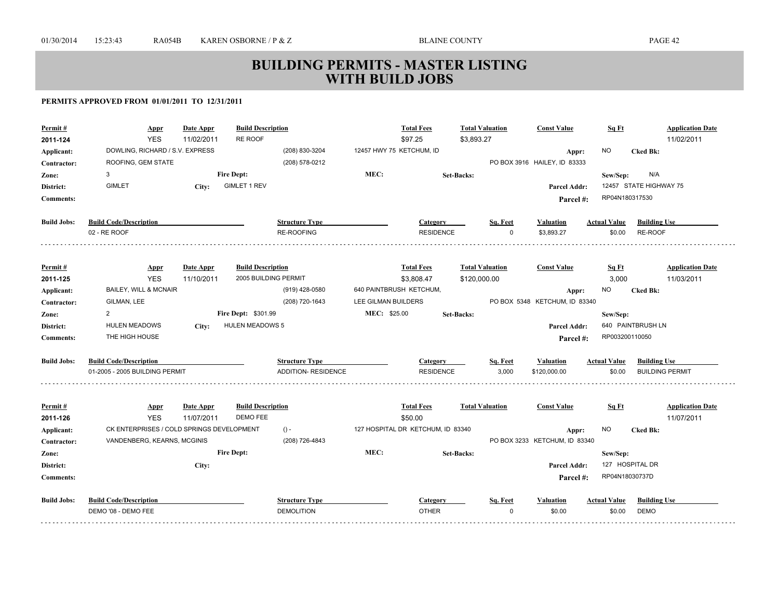| Permit#<br>2011-124 | <b>Appr</b><br><b>YES</b>                 | Date Appr<br>11/02/2011 | <b>Build Description</b><br>RE ROOF |                            |                          | <b>Total Fees</b><br>\$97.25      | <b>Total Valuation</b><br>\$3,893.27 |          | <b>Const Value</b>            | Sq Ft               | <b>Application Date</b><br>11/02/2011 |
|---------------------|-------------------------------------------|-------------------------|-------------------------------------|----------------------------|--------------------------|-----------------------------------|--------------------------------------|----------|-------------------------------|---------------------|---------------------------------------|
| Applicant:          | DOWLING, RICHARD / S.V. EXPRESS           |                         |                                     | (208) 830-3204             | 12457 HWY 75 KETCHUM, ID |                                   |                                      |          | Appr:                         | <b>NO</b>           | <b>Cked Bk:</b>                       |
| Contractor:         | ROOFING, GEM STATE                        |                         |                                     | (208) 578-0212             |                          |                                   |                                      |          | PO BOX 3916 HAILEY, ID 83333  |                     |                                       |
| Zone:               | 3                                         |                         | <b>Fire Dept:</b>                   |                            | MEC:                     |                                   | <b>Set-Backs:</b>                    |          |                               | Sew/Sep:            | N/A                                   |
| District:           | <b>GIMLET</b>                             | City:                   | <b>GIMLET 1 REV</b>                 |                            |                          |                                   |                                      |          | Parcel Addr:                  |                     | 12457 STATE HIGHWAY 75                |
| <b>Comments:</b>    |                                           |                         |                                     |                            |                          |                                   |                                      |          | Parcel #:                     | RP04N180317530      |                                       |
|                     |                                           |                         |                                     |                            |                          |                                   |                                      |          |                               |                     |                                       |
| <b>Build Jobs:</b>  | <b>Build Code/Description</b>             |                         |                                     | <b>Structure Type</b>      |                          | Category                          |                                      | Sq. Feet | <b>Valuation</b>              | <b>Actual Value</b> | <b>Building Use</b>                   |
|                     | 02 - RE ROOF                              |                         |                                     | RE-ROOFING                 |                          | <b>RESIDENCE</b>                  |                                      | $\Omega$ | \$3,893.27                    | \$0.00              | RE-ROOF                               |
|                     |                                           |                         |                                     |                            |                          |                                   |                                      |          |                               |                     |                                       |
| Permit#             | <b>Appr</b>                               | Date Appr               | <b>Build Description</b>            |                            |                          | <b>Total Fees</b>                 | <b>Total Valuation</b>               |          | <b>Const Value</b>            | Sq Ft               | <b>Application Date</b>               |
| 2011-125            | <b>YES</b>                                | 11/10/2011              | 2005 BUILDING PERMIT                |                            |                          | \$3,808.47                        | \$120,000.00                         |          |                               | 3,000               | 11/03/2011                            |
| Applicant:          | <b>BAILEY, WILL &amp; MCNAIR</b>          |                         |                                     | (919) 428-0580             | 640 PAINTBRUSH KETCHUM,  |                                   |                                      |          | Appr:                         | NO.                 | <b>Cked Bk:</b>                       |
| Contractor:         | GILMAN, LEE                               |                         |                                     | (208) 720-1643             | LEE GILMAN BUILDERS      |                                   |                                      |          | PO BOX 5348 KETCHUM, ID 83340 |                     |                                       |
| Zone:               | $\overline{2}$                            |                         | <b>Fire Dept: \$301.99</b>          |                            | MEC: \$25.00             |                                   | <b>Set-Backs:</b>                    |          |                               | Sew/Sep:            |                                       |
| District:           | <b>HULEN MEADOWS</b>                      | City:                   | <b>HULEN MEADOWS 5</b>              |                            |                          |                                   |                                      |          | <b>Parcel Addr:</b>           |                     | 640 PAINTBRUSH LN                     |
| <b>Comments:</b>    | THE HIGH HOUSE                            |                         |                                     |                            |                          |                                   |                                      |          | Parcel #:                     | RP003200110050      |                                       |
|                     |                                           |                         |                                     |                            |                          |                                   |                                      |          |                               |                     |                                       |
| <b>Build Jobs:</b>  | <b>Build Code/Description</b>             |                         |                                     | <b>Structure Type</b>      |                          | Category                          |                                      | Sq. Feet | <b>Valuation</b>              | <b>Actual Value</b> | <b>Building Use</b>                   |
|                     | 01-2005 - 2005 BUILDING PERMIT            |                         |                                     | <b>ADDITION- RESIDENCE</b> |                          | <b>RESIDENCE</b>                  |                                      | 3.000    | \$120,000.00                  | \$0.00              | <b>BUILDING PERMIT</b>                |
|                     |                                           |                         |                                     |                            |                          |                                   |                                      |          |                               |                     |                                       |
| Permit#             | <b>Appr</b>                               | Date Appr               | <b>Build Description</b>            |                            |                          | <b>Total Fees</b>                 | <b>Total Valuation</b>               |          | <b>Const Value</b>            | Sq Ft               | <b>Application Date</b>               |
| 2011-126            | <b>YES</b>                                | 11/07/2011              | DEMO FEE                            |                            |                          | \$50.00                           |                                      |          |                               |                     | 11/07/2011                            |
| Applicant:          | CK ENTERPRISES / COLD SPRINGS DEVELOPMENT |                         |                                     | $() -$                     |                          | 127 HOSPITAL DR KETCHUM, ID 83340 |                                      |          | Appr:                         | NO.                 | <b>Cked Bk:</b>                       |
| Contractor:         | VANDENBERG, KEARNS, MCGINIS               |                         |                                     | (208) 726-4843             |                          |                                   |                                      |          | PO BOX 3233 KETCHUM, ID 83340 |                     |                                       |
| Zone:               |                                           |                         | <b>Fire Dept:</b>                   |                            | MEC:                     |                                   | <b>Set-Backs:</b>                    |          |                               | Sew/Sep:            | 127 HOSPITAL DR                       |
| District:           |                                           | City:                   |                                     |                            |                          |                                   |                                      |          | <b>Parcel Addr:</b>           |                     |                                       |
| <b>Comments:</b>    |                                           |                         |                                     |                            |                          |                                   |                                      |          | Parcel #:                     | RP04N18030737D      |                                       |
| <b>Build Jobs:</b>  | <b>Build Code/Description</b>             |                         |                                     | <b>Structure Type</b>      |                          | Category                          |                                      | Sq. Feet | <b>Valuation</b>              | <b>Actual Value</b> | <b>Building Use</b>                   |
|                     | DEMO '08 - DEMO FEE                       |                         |                                     | <b>DEMOLITION</b>          |                          | <b>OTHER</b>                      |                                      | $\Omega$ | \$0.00                        | \$0.00              | <b>DEMO</b>                           |
|                     |                                           |                         |                                     |                            |                          |                                   |                                      |          |                               |                     |                                       |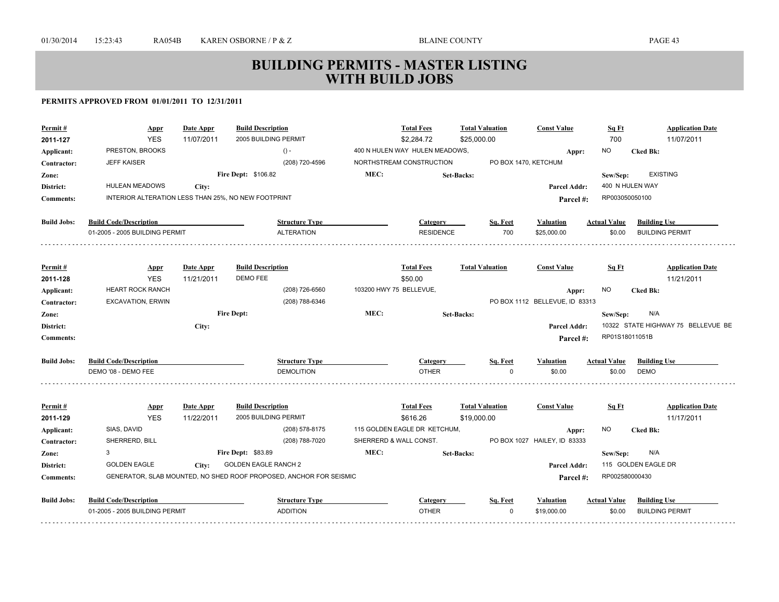| Permit#              | <u>Appr</u>                                         | Date Appr               | <b>Build Description</b>                                           |      | <b>Total Fees</b>                        | <b>Total Valuation</b> | <b>Const Value</b>                    | Sq Ft               | <b>Application Date</b>            |
|----------------------|-----------------------------------------------------|-------------------------|--------------------------------------------------------------------|------|------------------------------------------|------------------------|---------------------------------------|---------------------|------------------------------------|
| 2011-127             | <b>YES</b>                                          | 11/07/2011              | 2005 BUILDING PERMIT                                               |      | \$2,284.72                               | \$25,000.00            |                                       | 700                 | 11/07/2011                         |
| Applicant:           | PRESTON, BROOKS                                     |                         | $() -$                                                             |      | 400 N HULEN WAY HULEN MEADOWS,           |                        | Appr:                                 | <b>NO</b>           | <b>Cked Bk:</b>                    |
| Contractor:          | <b>JEFF KAISER</b>                                  |                         | (208) 720-4596                                                     |      | NORTHSTREAM CONSTRUCTION                 |                        | PO BOX 1470, KETCHUM                  |                     |                                    |
| Zone:                |                                                     |                         | <b>Fire Dept: \$106.82</b>                                         | MEC: |                                          | <b>Set-Backs:</b>      |                                       | Sew/Sep:            | <b>EXISTING</b>                    |
| District:            | HULEAN MEADOWS                                      | City:                   |                                                                    |      |                                          |                        | <b>Parcel Addr:</b>                   |                     | 400 N HULEN WAY                    |
| <b>Comments:</b>     | INTERIOR ALTERATION LESS THAN 25%, NO NEW FOOTPRINT |                         |                                                                    |      |                                          |                        | Parcel#:                              | RP003050050100      |                                    |
| <b>Build Jobs:</b>   | <b>Build Code/Description</b>                       |                         | <b>Structure Type</b>                                              |      | <b>Category</b>                          | Sq. Feet               | <b>Valuation</b>                      | <b>Actual Value</b> | <b>Building Use</b>                |
|                      | 01-2005 - 2005 BUILDING PERMIT                      |                         | <b>ALTERATION</b>                                                  |      | <b>RESIDENCE</b>                         | 700                    | \$25,000.00                           | \$0.00              | <b>BUILDING PERMIT</b>             |
| Permit#              |                                                     |                         | <b>Build Description</b>                                           |      | <b>Total Fees</b>                        | <b>Total Valuation</b> | <b>Const Value</b>                    |                     | <b>Application Date</b>            |
| 2011-128             | <b>Appr</b><br><b>YES</b>                           | Date Appr<br>11/21/2011 | DEMO FEE                                                           |      | \$50.00                                  |                        |                                       | Sq Ft               | 11/21/2011                         |
| Applicant:           | <b>HEART ROCK RANCH</b>                             |                         | (208) 726-6560                                                     |      | 103200 HWY 75 BELLEVUE,                  |                        | Appr:                                 | NO.                 | <b>Cked Bk:</b>                    |
| Contractor:          | <b>EXCAVATION, ERWIN</b>                            |                         | (208) 788-6346                                                     |      |                                          |                        | PO BOX 1112 BELLEVUE, ID 83313        |                     |                                    |
| Zone:                |                                                     |                         | <b>Fire Dept:</b>                                                  | MEC: |                                          | <b>Set-Backs:</b>      |                                       | Sew/Sep:            | N/A                                |
| District:            |                                                     | City:                   |                                                                    |      |                                          |                        | Parcel Addr:                          |                     | 10322 STATE HIGHWAY 75 BELLEVUE BE |
| <b>Comments:</b>     |                                                     |                         |                                                                    |      |                                          |                        | Parcel#:                              | RP01S18011051B      |                                    |
| <b>Build Jobs:</b>   | <b>Build Code/Description</b>                       |                         | <b>Structure Type</b>                                              |      | Category                                 | Sq. Feet               | <b>Valuation</b>                      | <b>Actual Value</b> | <b>Building Use</b>                |
|                      | DEMO '08 - DEMO FEE                                 |                         | <b>DEMOLITION</b>                                                  |      | <b>OTHER</b>                             |                        | $\Omega$<br>\$0.00                    | \$0.00              | <b>DEMO</b>                        |
|                      |                                                     |                         |                                                                    |      |                                          |                        |                                       |                     |                                    |
| Permit#              | <b>Appr</b>                                         | Date Appr               | <b>Build Description</b>                                           |      | <b>Total Fees</b>                        | <b>Total Valuation</b> | <b>Const Value</b>                    | Sq Ft               | <b>Application Date</b>            |
| 2011-129             | <b>YES</b><br>SIAS, DAVID                           | 11/22/2011              | 2005 BUILDING PERMIT<br>(208) 578-8175                             |      | \$616.26<br>115 GOLDEN EAGLE DR KETCHUM, | \$19,000.00            |                                       | NO.                 | 11/17/2011                         |
| Applicant:           | SHERRERD, BILL                                      |                         | (208) 788-7020                                                     |      | SHERRERD & WALL CONST.                   |                        | Appr:<br>PO BOX 1027 HAILEY, ID 83333 |                     | <b>Cked Bk:</b>                    |
| Contractor:<br>Zone: | 3                                                   |                         | <b>Fire Dept: \$83.89</b>                                          | MEC: |                                          | <b>Set-Backs:</b>      |                                       | Sew/Sep:            | N/A                                |
| District:            | <b>GOLDEN EAGLE</b>                                 | City:                   | <b>GOLDEN EAGLE RANCH 2</b>                                        |      |                                          |                        | Parcel Addr:                          |                     | 115 GOLDEN EAGLE DR                |
| <b>Comments:</b>     |                                                     |                         | GENERATOR, SLAB MOUNTED, NO SHED ROOF PROPOSED, ANCHOR FOR SEISMIC |      |                                          |                        |                                       | RP002580000430      |                                    |
|                      |                                                     |                         |                                                                    |      |                                          |                        | Parcel#:                              |                     |                                    |
| <b>Build Jobs:</b>   | <b>Build Code/Description</b>                       |                         | <b>Structure Type</b>                                              |      | Category                                 | Sq. Feet               | <b>Valuation</b>                      | <b>Actual Value</b> | <b>Building Use</b>                |
|                      | 01-2005 - 2005 BUILDING PERMIT                      |                         | <b>ADDITION</b>                                                    |      | <b>OTHER</b>                             |                        | $\mathbf 0$<br>\$19,000.00            | \$0.00              | <b>BUILDING PERMIT</b>             |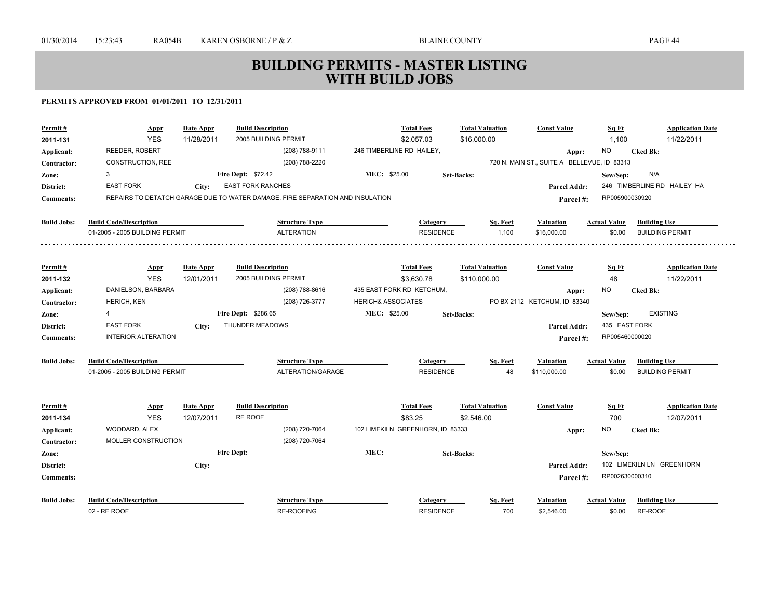| Permit#            | Appr                           | <b>Date Appr</b> | <b>Build Description</b>                                                      | <b>Total Fees</b>                |                   | <b>Total Valuation</b> | <b>Const Value</b>                          | Sq Ft               | <b>Application Date</b>     |
|--------------------|--------------------------------|------------------|-------------------------------------------------------------------------------|----------------------------------|-------------------|------------------------|---------------------------------------------|---------------------|-----------------------------|
| 2011-131           | <b>YES</b>                     | 11/28/2011       | 2005 BUILDING PERMIT                                                          | \$2,057.03                       |                   | \$16,000.00            |                                             | 1,100               | 11/22/2011                  |
| Applicant:         | REEDER, ROBERT                 |                  | (208) 788-9111                                                                | 246 TIMBERLINE RD HAILEY,        |                   |                        | Appr:                                       | <b>NO</b>           | <b>Cked Bk:</b>             |
| Contractor:        | CONSTRUCTION, REE              |                  | (208) 788-2220                                                                |                                  |                   |                        | 720 N. MAIN ST., SUITE A BELLEVUE, ID 83313 |                     |                             |
| Zone:              | 3                              |                  | <b>Fire Dept: \$72.42</b>                                                     | MEC: \$25.00                     | <b>Set-Backs:</b> |                        |                                             | Sew/Sep:            | N/A                         |
| District:          | <b>EAST FORK</b>               | City:            | <b>EAST FORK RANCHES</b>                                                      |                                  |                   |                        | Parcel Addr:                                |                     | 246 TIMBERLINE RD HAILEY HA |
| <b>Comments:</b>   |                                |                  | REPAIRS TO DETATCH GARAGE DUE TO WATER DAMAGE. FIRE SEPARATION AND INSULATION |                                  |                   |                        | Parcel #:                                   | RP005900030920      |                             |
| <b>Build Jobs:</b> | <b>Build Code/Description</b>  |                  | <b>Structure Type</b>                                                         |                                  | <b>Category</b>   | Sq. Feet               | <b>Valuation</b>                            | <b>Actual Value</b> | <b>Building Use</b>         |
|                    | 01-2005 - 2005 BUILDING PERMIT |                  | <b>ALTERATION</b>                                                             |                                  | <b>RESIDENCE</b>  | 1,100                  | \$16,000.00                                 | \$0.00              | <b>BUILDING PERMIT</b>      |
| Permit#            | <b>Appr</b>                    | Date Appr        | <b>Build Description</b>                                                      | <b>Total Fees</b>                |                   | <b>Total Valuation</b> | <b>Const Value</b>                          | Sq Ft               | <b>Application Date</b>     |
| 2011-132           | <b>YES</b>                     | 12/01/2011       | 2005 BUILDING PERMIT                                                          | \$3,630.78                       |                   | \$110,000.00           |                                             | 48                  | 11/22/2011                  |
| Applicant:         | DANIELSON, BARBARA             |                  | (208) 788-8616                                                                | 435 EAST FORK RD KETCHUM,        |                   |                        | Appr:                                       | NO.                 | <b>Cked Bk:</b>             |
| Contractor:        | HERICH, KEN                    |                  | (208) 726-3777                                                                | <b>HERICH&amp; ASSOCIATES</b>    |                   |                        | PO BX 2112 KETCHUM, ID 83340                |                     |                             |
| Zone:              | 4                              |                  | Fire Dept: \$286.65                                                           | MEC: \$25.00                     | <b>Set-Backs:</b> |                        |                                             | Sew/Sep:            | <b>EXISTING</b>             |
| District:          | <b>EAST FORK</b>               | City:            | THUNDER MEADOWS                                                               |                                  |                   |                        | <b>Parcel Addr:</b>                         | 435 EAST FORK       |                             |
| <b>Comments:</b>   | <b>INTERIOR ALTERATION</b>     |                  |                                                                               |                                  |                   |                        | Parcel#:                                    | RP005460000020      |                             |
| <b>Build Jobs:</b> | <b>Build Code/Description</b>  |                  | <b>Structure Type</b>                                                         |                                  | Category          | Sq. Feet               | Valuation                                   | Actual Value        | <b>Building Use</b>         |
|                    | 01-2005 - 2005 BUILDING PERMIT |                  | ALTERATION/GARAGE                                                             |                                  | <b>RESIDENCE</b>  | 48                     | \$110,000.00                                | \$0.00              | <b>BUILDING PERMIT</b>      |
| Permit#            | <b>Appr</b>                    | Date Appr        | <b>Build Description</b>                                                      | <b>Total Fees</b>                |                   | <b>Total Valuation</b> | <b>Const Value</b>                          | Sq Ft               | <b>Application Date</b>     |
| 2011-134           | <b>YES</b>                     | 12/07/2011       | <b>RE ROOF</b>                                                                | \$83.25                          |                   | \$2,546.00             |                                             | 700                 | 12/07/2011                  |
| Applicant:         | WOODARD, ALEX                  |                  | (208) 720-7064                                                                | 102 LIMEKILN GREENHORN, ID 83333 |                   |                        | Appr:                                       | <b>NO</b>           | <b>Cked Bk:</b>             |
| Contractor:        | MOLLER CONSTRUCTION            |                  | (208) 720-7064                                                                |                                  |                   |                        |                                             |                     |                             |
| Zone:              |                                |                  | <b>Fire Dept:</b>                                                             | MEC:                             | <b>Set-Backs:</b> |                        |                                             | Sew/Sep:            |                             |
| District:          |                                | City:            |                                                                               |                                  |                   |                        | <b>Parcel Addr:</b>                         |                     | 102 LIMEKILN LN GREENHORN   |
| <b>Comments:</b>   |                                |                  |                                                                               |                                  |                   |                        | Parcel #:                                   | RP002630000310      |                             |
| <b>Build Jobs:</b> | <b>Build Code/Description</b>  |                  | <b>Structure Type</b>                                                         |                                  | Category          | Sq. Feet               | Valuation                                   | <b>Actual Value</b> | <b>Building Use</b>         |
|                    | 02 - RE ROOF                   |                  | <b>RE-ROOFING</b>                                                             |                                  | <b>RESIDENCE</b>  | 700                    | \$2,546.00                                  | \$0.00              | RE-ROOF                     |